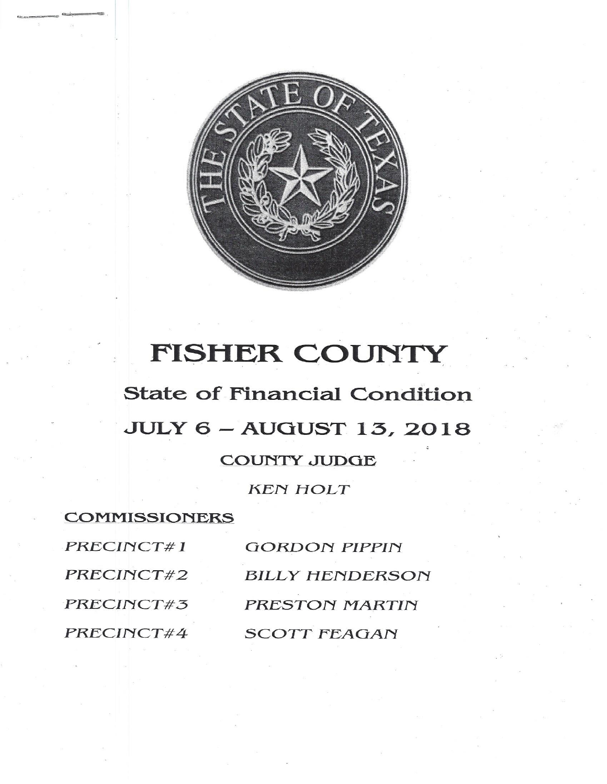

## FISHER COUNTY

**State of Financial Condition JULY 6 - AUGUST 13, 2018 COUNTY JUDGE** 

**KEN HOLT** 

**COMMISSIONERS** PRECINCT#1 PRECINCT#2 PRECINCT#3 PRECINCT#4

**GORDON PIPPIN BILLY HENDERSON** PRESTON MARTIN **SCOTT FEAGAN**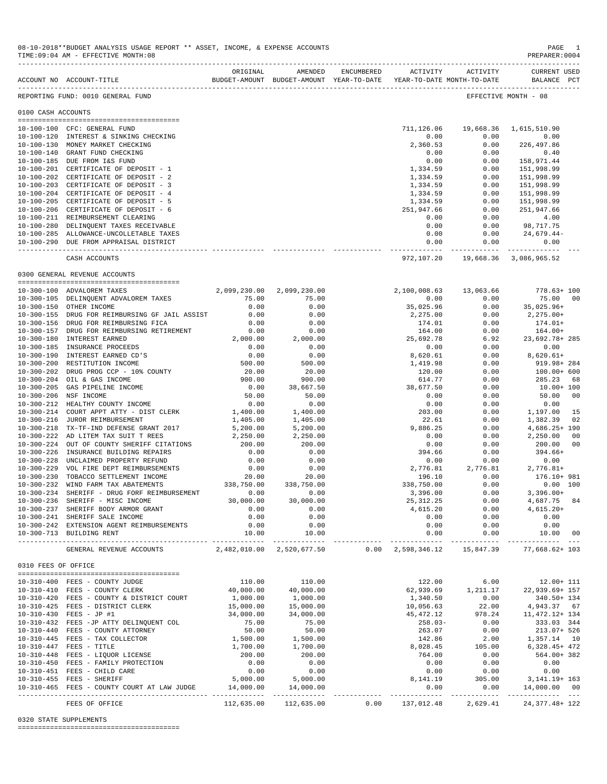|                     | TIME:09:04 AM - EFFECTIVE MONTH:08                                                              |                                |                             |      |                                          |                              | PREPARER:0004                                  |                |
|---------------------|-------------------------------------------------------------------------------------------------|--------------------------------|-----------------------------|------|------------------------------------------|------------------------------|------------------------------------------------|----------------|
|                     | BUDGET-AMOUNT BUDGET-AMOUNT YEAR-TO-DATE YEAR-TO-DATE MONTH-TO-DATE<br>ACCOUNT NO ACCOUNT-TITLE |                                | ORIGINAL AMENDED            |      |                                          | ENCUMBERED ACTIVITY ACTIVITY | <b>CURRENT USED</b><br>BALANCE PCT             |                |
|                     | REPORTING FUND: 0010 GENERAL FUND                                                               |                                |                             |      |                                          |                              | EFFECTIVE MONTH - 08                           |                |
| 0100 CASH ACCOUNTS  |                                                                                                 |                                |                             |      |                                          |                              |                                                |                |
|                     | 10-100-100 CFC: GENERAL FUND                                                                    |                                |                             |      | 711,126.06                               |                              | 19,668.36 1,615,510.90                         |                |
|                     | 10-100-120 INTEREST & SINKING CHECKING                                                          |                                |                             |      | 0.00                                     | 0.00                         | 0.00                                           |                |
|                     | 10-100-130 MONEY MARKET CHECKING                                                                |                                |                             |      | 2,360.53                                 | 0.00                         | 226,497.86                                     |                |
|                     | 10-100-140 GRANT FUND CHECKING                                                                  |                                |                             |      | 0.00                                     | 0.00                         | 0.40                                           |                |
|                     | 10-100-185 DUE FROM I&S FUND                                                                    |                                |                             |      | 0.00                                     | 0.00                         | 158,971.44                                     |                |
|                     | 10-100-201 CERTIFICATE OF DEPOSIT - 1                                                           |                                |                             |      | 1,334.59                                 | 0.00                         | 151,998.99                                     |                |
|                     | 10-100-202 CERTIFICATE OF DEPOSIT - 2                                                           |                                |                             |      | 1,334.59                                 | 0.00                         | 151,998.99                                     |                |
|                     | 10-100-203 CERTIFICATE OF DEPOSIT - 3                                                           |                                |                             |      | 1,334.59                                 | 0.00                         | 151,998.99                                     |                |
|                     | 10-100-204 CERTIFICATE OF DEPOSIT - 4                                                           |                                |                             |      | 1,334.59                                 | 0.00                         | 151,998.99                                     |                |
|                     | 10-100-205 CERTIFICATE OF DEPOSIT - 5<br>10-100-206 CERTIFICATE OF DEPOSIT - 6                  |                                |                             |      | 1,334.59<br>251,947.66                   | 0.00<br>0.00                 | 151,998.99<br>251,947.66                       |                |
|                     | 10-100-211 REIMBURSEMENT CLEARING                                                               |                                |                             |      | 0.00                                     | 0.00                         | 4.00                                           |                |
|                     | 10-100-280 DELINQUENT TAXES RECEIVABLE                                                          |                                |                             |      | 0.00                                     | 0.00                         | 98,717.75                                      |                |
|                     | 10-100-285 ALLOWANCE-UNCOLLETABLE TAXES                                                         |                                |                             |      | 0.00                                     | 0.00                         | 24,679.44-                                     |                |
|                     | 10-100-290 DUE FROM APPRAISAL DISTRICT                                                          |                                |                             |      | 0.00                                     | 0.00                         | 0.00                                           |                |
|                     |                                                                                                 |                                |                             |      | 972,107.20                               | ------------- ------------   | --------------<br>19,668.36 3,086,965.52       |                |
|                     | CASH ACCOUNTS                                                                                   |                                |                             |      |                                          |                              |                                                |                |
|                     | 0300 GENERAL REVENUE ACCOUNTS                                                                   |                                |                             |      |                                          |                              |                                                |                |
|                     | 10-300-100 ADVALOREM TAXES                                                                      | 2,099,230.00                   | 2,099,230.00                |      | 2,100,008.63                             | 13,063.66                    | $778.63 + 100$                                 |                |
|                     | 10-300-105 DELINQUENT ADVALOREM TAXES                                                           | 75.00                          | 75.00                       |      | 0.00                                     | 0.00                         | 75.00                                          | 00             |
|                     | 10-300-150 OTHER INCOME                                                                         | 0.00                           | 0.00                        |      | 35,025.96                                | 0.00                         | 35,025.96+                                     |                |
|                     | 10-300-155 DRUG FOR REIMBURSING GF JAIL ASSIST                                                  | 0.00                           | 0.00                        |      | 2,275.00                                 | 0.00                         | $2,275.00+$                                    |                |
|                     | 10-300-156 DRUG FOR REIMBURSING FICA                                                            | 0.00                           | 0.00                        |      | 174.01                                   | 0.00                         | 174.01+                                        |                |
|                     | 10-300-157 DRUG FOR REIMBURSING RETIREMENT                                                      | 0.00<br>2,000.00               | 0.00                        |      | 164.00                                   | 0.00                         | 164.00+                                        |                |
|                     | 10-300-180 INTEREST EARNED<br>10-300-185 INSURANCE PROCEEDS                                     | 0.00                           | 2,000.00<br>0.00            |      | 25,692.78                                | 6.92<br>0.00                 | 23,692.78+285<br>0.00                          |                |
|                     | 10-300-190 INTEREST EARNED CD'S                                                                 | 0.00                           | 0.00                        |      | 0.00<br>8,620.61                         | 0.00                         | 8,620.61+                                      |                |
|                     | 10-300-200 RESTITUTION INCOME                                                                   | 500.00                         | 500.00                      |      | 1,419.98                                 | 0.00                         | 919.98+ 284                                    |                |
|                     | 10-300-202 DRUG PROG CCP - 10% COUNTY                                                           | 20.00                          | 20.00                       |      | 120.00                                   | 0.00                         | $100.00+600$                                   |                |
|                     | 10-300-204 OIL & GAS INCOME                                                                     | 900.00                         | 900.00                      |      | 614.77                                   | 0.00                         | 285.23                                         | 68             |
|                     | 10-300-205 GAS PIPELINE INCOME                                                                  | 0.00                           | 38,667.50                   |      | 38,677.50                                | 0.00                         | $10.00 + 100$                                  |                |
|                     | 10-300-206 NSF INCOME                                                                           | 50.00                          | 50.00                       |      | 0.00                                     | 0.00                         | 50.00                                          | 00             |
|                     | 10-300-212 HEALTHY COUNTY INCOME                                                                | 0.00                           | 0.00                        |      | 0.00                                     | 0.00                         | 0.00                                           |                |
|                     | 10-300-214 COURT APPT ATTY - DIST CLERK                                                         | 1,400.00                       | 1,400.00                    |      | 203.00                                   | 0.00                         | 1,197.00                                       | 15             |
|                     | 10-300-216 JUROR REIMBURSEMENT                                                                  | 1,405.00                       | 1,405.00                    |      | 22.61                                    | 0.00                         | 1,382.39                                       | 02             |
|                     | 10-300-218 TX-TF-IND DEFENSE GRANT 2017                                                         | 5,200.00                       | 5,200.00                    |      | 9,886.25                                 | 0.00                         | $4,686.25+190$                                 |                |
|                     | 10-300-222 AD LITEM TAX SUIT T REES                                                             | 2,250.00                       | 2,250.00                    |      | 0.00                                     | 0.00                         | 2,250.00                                       | 00             |
|                     | 10-300-224 OUT OF COUNTY SHERIFF CITATIONS<br>10-300-226 INSURANCE BUILDING REPAIRS             | 200.00<br>0.00                 | 200.00<br>0.00              |      | 0.00<br>394.66                           | 0.00<br>0.00                 | 200.00<br>$394.66+$                            | 0 <sub>0</sub> |
|                     | 10-300-228 UNCLAIMED PROPERTY REFUND                                                            | 0.00                           | 0.00                        |      | 0.00                                     | 0.00                         | 0.00                                           |                |
|                     | 10-300-229 VOL FIRE DEPT REIMBURSEMENTS                                                         | 0.00                           | 0.00                        |      | 2,776.81                                 | 2,776.81                     | 2,776.81+                                      |                |
|                     | 10-300-230 TOBACCO SETTLEMENT INCOME                                                            | 20.00                          | 20.00                       |      | 196.10                                   | 0.00                         | 176.10+ 981                                    |                |
|                     | 10-300-232 WIND FARM TAX ABATEMENTS                                                             | 20.00<br>338,750.00            | 338,750.00                  |      | 338,750.00                               | 0.00                         | $0.00$ 100                                     |                |
|                     | 10-300-234 SHERIFF - DRUG FORF REIMBURSEMENT                                                    | 0.00                           | 0.00                        |      | 3,396.00                                 | 0.00                         | $3,396.00+$                                    |                |
|                     | 10-300-236 SHERIFF - MISC INCOME                                                                | 30,000.00                      | 30,000.00                   |      | 25, 312.25                               | 0.00                         | 4,687.75                                       | 84             |
|                     | 10-300-237 SHERIFF BODY ARMOR GRANT                                                             | 0.00                           | 0.00                        |      | 4,615.20                                 | 0.00                         | $4,615.20+$                                    |                |
|                     | 10-300-241 SHERIFF SALE INCOME                                                                  | 0.00                           | 0.00                        |      | 0.00                                     | 0.00                         | 0.00                                           |                |
|                     | 10-300-242 EXTENSION AGENT REIMBURSEMENTS<br>10-300-713 BUILDING RENT                           | 0.00<br>10.00                  | 0.00<br>10.00               |      | 0.00<br>0.00                             | 0.00<br>0.00                 | 0.00<br>10.00                                  | 00             |
|                     | GENERAL REVENUE ACCOUNTS                                                                        | .<br>2,482,010.00 2,520,677.50 | ------------                |      | -----------<br>$0.00 \quad 2,598,346.12$ | -----------<br>15,847.39     | ---------- ---<br>77,668.62+ 103               |                |
|                     |                                                                                                 |                                |                             |      |                                          |                              |                                                |                |
| 0310 FEES OF OFFICE |                                                                                                 |                                |                             |      |                                          |                              |                                                |                |
|                     | 10-310-400 FEES - COUNTY JUDGE                                                                  | 110.00                         | 110.00                      |      | 122.00                                   | 6.00                         | $12.00 + 111$                                  |                |
|                     | 10-310-410 FEES - COUNTY CLERK                                                                  | 40,000.00                      | 40,000.00                   |      | 62,939.69                                | 1,211.17                     | 22,939.69+ 157                                 |                |
|                     | 10-310-420 FEES - COUNTY & DISTRICT COURT                                                       | 1,000.00                       | 1,000.00                    |      | 1,340.50                                 | 0.00                         | 340.50+ 134                                    |                |
|                     | 10-310-425 FEES - DISTRICT CLERK                                                                | 15,000.00                      | 15,000.00                   |      | 10,056.63                                | 22.00                        | 4,943.37 67                                    |                |
|                     | 10-310-430 FEES - JP #1<br>10-310-432 FEES -JP ATTY DELINQUENT COL                              | 34,000.00<br>75.00             | 34,000.00<br>75.00          |      | 45,472.12<br>$258.03-$                   | 978.24<br>0.00               | 11, 472. 12+ 134<br>333.03 344                 |                |
|                     | 10-310-440 FEES - COUNTY ATTORNEY                                                               | 50.00                          | 50.00                       |      | 263.07                                   | 0.00                         | 213.07+ 526                                    |                |
|                     | 10-310-445 FEES - TAX COLLECTOR                                                                 | 1,500.00                       | 1,500.00                    |      | 142.86                                   | 2.00                         | 1,357.14 10                                    |                |
|                     | 10-310-447 FEES - TITLE                                                                         | 1,700.00                       | 1,700.00                    |      | 8,028.45                                 | 105.00                       | $6,328.45+472$                                 |                |
|                     | 10-310-448 FEES - LIQUOR LICENSE                                                                | 200.00                         | 200.00                      |      | 764.00                                   | 0.00                         | 564.00+ 382                                    |                |
|                     | 10-310-450 FEES - FAMILY PROTECTION                                                             | 0.00                           | 0.00                        |      | 0.00                                     | 0.00                         | 0.00                                           |                |
|                     | 10-310-451 FEES - CHILD CARE                                                                    | 0.00                           | 0.00                        |      | 0.00                                     | 0.00                         | 0.00                                           |                |
|                     | 10-310-455 FEES - SHERIFF                                                                       | 5,000.00                       | 5,000.00                    |      | 8,141.19                                 | 305.00                       | 3,141.19+ 163                                  |                |
|                     | 10-310-465 FEES - COUNTY COURT AT LAW JUDGE                                                     | 14,000.00                      | 14,000.00<br>______________ |      | 0.00<br>-------------                    | 0.00                         | 14,000.00 00<br>----------- -------------- --- |                |
|                     | FEES OF OFFICE                                                                                  | 112,635.00                     | 112,635.00                  | 0.00 | 137,012.48                               | 2,629.41                     | 24, 377. 48+ 122                               |                |

08-10-2018\*\*BUDGET ANALYSIS USAGE REPORT \*\* ASSET, INCOME, & EXPENSE ACCOUNTS PAGE 1

0320 STATE SUPPLEMENTS

========================================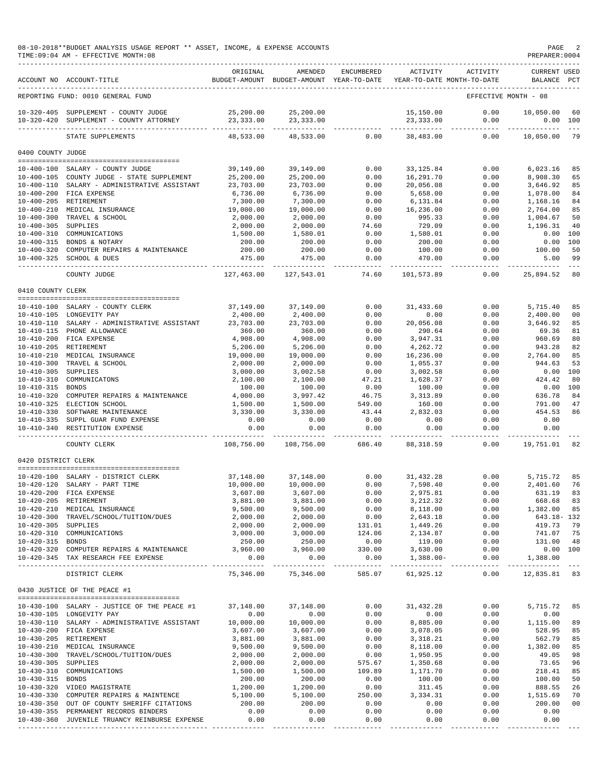## 08-10-2018\*\*BUDGET ANALYSIS USAGE REPORT \*\* ASSET, INCOME, & EXPENSE ACCOUNTS PAGE 2  $TIME:09:04 AM - EFFECTIVE MOMTH:08$

|                                         | ACCOUNT NO ACCOUNT-TITLE                                                              | ORIGINAL                | AMENDED<br>BUDGET-AMOUNT BUDGET-AMOUNT YEAR-TO-DATE | <b>ENCUMBERED</b>       | ACTIVITY                | ACTIVITY<br>YEAR-TO-DATE MONTH-TO-DATE | <b>CURRENT USED</b><br>BALANCE PCT |               |
|-----------------------------------------|---------------------------------------------------------------------------------------|-------------------------|-----------------------------------------------------|-------------------------|-------------------------|----------------------------------------|------------------------------------|---------------|
|                                         | REPORTING FUND: 0010 GENERAL FUND                                                     |                         |                                                     |                         |                         |                                        | EFFECTIVE MONTH - 08               |               |
|                                         |                                                                                       |                         |                                                     |                         |                         |                                        |                                    |               |
| $10 - 320 - 420$                        | 10-320-405 SUPPLEMENT - COUNTY JUDGE<br>SUPPLEMENT - COUNTY ATTORNEY                  | 25,200.00<br>23, 333.00 | 25,200.00<br>23, 333.00                             |                         | 15,150.00<br>23,333.00  | 0.00<br>0.00                           | 10,050.00<br>0.00                  | 60<br>100     |
|                                         | STATE SUPPLEMENTS                                                                     | 48,533.00               | 48,533.00                                           | 0.00                    | 38,483.00               | 0.00                                   | 10,050.00                          | 79            |
| 0400 COUNTY JUDGE                       |                                                                                       |                         |                                                     |                         |                         |                                        |                                    |               |
|                                         | 10-400-100 SALARY - COUNTY JUDGE                                                      | 39,149.00               | 39,149.00                                           | 0.00                    | 33, 125.84              | 0.00                                   | 6,023.16                           | 85            |
|                                         | 10-400-105 COUNTY JUDGE - STATE SUPPLEMENT                                            | 25,200.00               | 25,200.00                                           | 0.00                    | 16,291.70               | 0.00                                   | 8,908.30                           | 65            |
|                                         | 10-400-110 SALARY - ADMINISTRATIVE ASSISTANT                                          | 23,703.00               | 23,703.00                                           | 0.00                    | 20,056.08               | 0.00                                   | 3,646.92                           | 85            |
|                                         | 10-400-200 FICA EXPENSE                                                               | 6,736.00                | 6,736.00                                            | 0.00                    | 5,658.00                | 0.00                                   | 1,078.00                           | 84            |
|                                         | 10-400-205 RETIREMENT                                                                 | 7,300.00                | 7,300.00                                            | 0.00                    | 6,131.84                | 0.00                                   | 1,168.16                           | 84            |
| $10 - 400 - 210$                        | MEDICAL INSURANCE                                                                     | 19,000.00               | 19,000.00                                           | 0.00                    | 16,236.00               | 0.00                                   | 2,764.00                           | 85            |
|                                         | 10-400-300 TRAVEL & SCHOOL                                                            | 2,000.00                | 2,000.00                                            | 0.00                    | 995.33                  | 0.00                                   | 1,004.67                           | 50            |
| 10-400-305 SUPPLIES<br>$10 - 400 - 310$ | COMMUNICATIONS                                                                        | 2,000.00<br>1,500.00    | 2,000.00<br>1,580.01                                | 74.60<br>0.00           | 729.09<br>1,580.01      | 0.00<br>0.00                           | 1,196.31<br>0.00                   | 40<br>100     |
|                                         | 10-400-315 BONDS & NOTARY                                                             | 200.00                  | 200.00                                              | 0.00                    | 200.00                  | 0.00                                   | 0.00                               | 100           |
| $10 - 400 - 320$                        | COMPUTER REPAIRS & MAINTENANCE                                                        | 200.00                  | 200.00                                              | 0.00                    | 100.00                  | 0.00                                   | 100.00                             | 50            |
|                                         | 10-400-325 SCHOOL & DUES                                                              | 475.00                  | 475.00                                              | 0.00                    | 470.00                  | 0.00                                   | 5.00                               | 99            |
|                                         | COUNTY JUDGE                                                                          | 127,463.00              | 127,543.01                                          | 74.60                   | 101,573.89              | 0.00                                   | 25,894.52                          | $- - -$<br>80 |
| 0410 COUNTY CLERK                       |                                                                                       |                         |                                                     |                         |                         |                                        |                                    |               |
|                                         |                                                                                       |                         |                                                     |                         |                         |                                        |                                    |               |
|                                         | 10-410-100 SALARY - COUNTY CLERK                                                      | 37,149.00               | 37,149.00                                           | 0.00                    | 31,433.60               | 0.00                                   | 5,715.40                           | 85            |
| $10 - 410 - 110$                        | 10-410-105 LONGEVITY PAY<br>SALARY - ADMINISTRATIVE ASSISTANT                         | 2,400.00<br>23,703.00   | 2,400.00<br>23,703.00                               | 0.00<br>0.00            | 0.00<br>20,056.08       | 0.00<br>0.00                           | 2,400.00<br>3,646.92               | 00<br>85      |
|                                         | 10-410-115 PHONE ALLOWANCE                                                            | 360.00                  | 360.00                                              | 0.00                    | 290.64                  | 0.00                                   | 69.36                              | 81            |
| $10 - 410 - 200$                        | FICA EXPENSE                                                                          | 4,908.00                | 4,908.00                                            | 0.00                    | 3,947.31                | 0.00                                   | 960.69                             | 80            |
|                                         | 10-410-205 RETIREMENT                                                                 | 5,206.00                | 5,206.00                                            | 0.00                    | 4,262.72                | 0.00                                   | 943.28                             | 82            |
|                                         | 10-410-210 MEDICAL INSURANCE                                                          | 19,000.00               | 19,000.00                                           | 0.00                    | 16,236.00               | 0.00                                   | 2,764.00                           | 85            |
| $10 - 410 - 300$                        | TRAVEL & SCHOOL                                                                       | 2,000.00                | 2,000.00                                            | 0.00                    | 1,055.37                | 0.00                                   | 944.63                             | 53            |
| $10 - 410 - 305$                        | SUPPLIES                                                                              | 3,000.00                | 3,002.58                                            | 0.00                    | 3,002.58                | 0.00                                   | 0.00                               | 100           |
| $10 - 410 - 310$                        | COMMUNICATONS                                                                         | 2,100.00                | 2,100.00                                            | 47.21                   | 1,628.37                | 0.00                                   | 424.42                             | 80            |
| $10 - 410 - 315$<br>$10 - 410 - 320$    | <b>BONDS</b><br>COMPUTER REPAIRS & MAINTENANCE                                        | 100.00                  | 100.00                                              | 0.00<br>46.75           | 100.00                  | 0.00<br>0.00                           | 0.00<br>636.78                     | 100<br>84     |
| $10 - 410 - 325$                        | ELECTION SCHOOL                                                                       | 4,000.00<br>1,500.00    | 3,997.42<br>1,500.00                                | 549.00                  | 3, 313.89<br>160.00     | 0.00                                   | 791.00                             | 47            |
| $10 - 410 - 330$                        | SOFTWARE MAINTENANCE                                                                  | 3,330.00                | 3,330.00                                            | 43.44                   | 2,832.03                | 0.00                                   | 454.53                             | 86            |
|                                         | 10-410-335 SUPPL GUAR FUND EXPENSE                                                    | 0.00                    | 0.00                                                | 0.00                    | 0.00                    | 0.00                                   | 0.00                               |               |
| $10 - 410 - 340$                        | RESTITUTION EXPENSE                                                                   | 0.00                    | 0.00                                                | 0.00                    | 0.00                    | 0.00                                   | 0.00                               |               |
|                                         | COUNTY CLERK                                                                          | 108,756.00              | 108,756.00                                          | 686.40                  | 88, 318.59              | 0.00                                   | 19,751.01                          | 82            |
| 0420 DISTRICT CLERK                     |                                                                                       |                         |                                                     |                         |                         |                                        |                                    |               |
|                                         |                                                                                       |                         |                                                     |                         |                         |                                        |                                    |               |
| $10 - 420 - 120$                        | 10-420-100 SALARY - DISTRICT CLERK<br>SALARY - PART TIME                              | 37,148.00<br>10,000.00  | 37,148.00<br>10,000.00                              | 0.00<br>0.00            | 31, 432.28<br>7,598.40  | 0.00<br>0.00                           | 5,715.72<br>2,401.60               | 85<br>76      |
|                                         | 10-420-200 FICA EXPENSE                                                               | 3,607.00                | 3,607.00                                            | 0.00                    | 2,975.81                | 0.00                                   | 631.19                             | 83            |
| $10 - 420 - 205$                        | RETIREMENT                                                                            | 3,881.00                | 3,881.00                                            | 0.00                    | 3, 212.32               | 0.00                                   | 668.68                             | 83            |
|                                         | 10-420-210 MEDICAL INSURANCE                                                          | 9,500.00                | 9,500.00                                            | 0.00                    | 8,118.00                | 0.00                                   | 1,382.00                           | 85            |
| $10 - 420 - 300$                        | TRAVEL/SCHOOL/TUITION/DUES                                                            | 2,000.00                | 2,000.00                                            | 0.00                    | 2,643.18                | 0.00                                   | 643.18- 132                        |               |
| 10-420-305 SUPPLIES                     |                                                                                       | 2,000.00                | 2,000.00                                            | 131.01                  | 1,449.26                | 0.00                                   | 419.73                             | 79            |
|                                         | 10-420-310 COMMUNICATIONS                                                             | 3,000.00                | 3,000.00                                            | 124.06                  | 2,134.87                | 0.00                                   | 741.07                             | 75            |
| 10-420-315 BONDS                        |                                                                                       | 250.00                  | 250.00                                              | 0.00                    | 119.00                  | 0.00                                   | 131.00                             | 48            |
|                                         | 10-420-320 COMPUTER REPAIRS & MAINTENANCE<br>10-420-345 TAX RESEARCH FEE EXPENSE      | 3,960.00<br>0.00        | 3,960.00<br>0.00                                    | 330.00<br>0.00          | 3,630.00<br>$1,388.00-$ | 0.00<br>0.00                           | 0.00 100<br>1,388.00               |               |
|                                         | DISTRICT CLERK                                                                        | 75,346.00               | -------------<br>75,346.00                          | -------------<br>585.07 | 61,925.12               | ------<br>0.00                         | ______________<br>12,835.81 83     |               |
|                                         | 0430 JUSTICE OF THE PEACE #1                                                          |                         |                                                     |                         |                         |                                        |                                    |               |
|                                         |                                                                                       |                         |                                                     |                         |                         |                                        |                                    |               |
|                                         | 10-430-100 SALARY - JUSTICE OF THE PEACE #1                                           | 37,148.00               | 37,148.00                                           | 0.00                    | 31,432.28               | 0.00                                   | 5,715.72                           | 85            |
|                                         | 10-430-105 LONGEVITY PAY                                                              | 0.00                    | 0.00                                                | 0.00                    | 0.00                    | 0.00                                   | 0.00                               |               |
|                                         | 10-430-110 SALARY - ADMINISTRATIVE ASSISTANT<br>10-430-200 FICA EXPENSE               | 10,000.00<br>3,607.00   | 10,000.00<br>3,607.00                               | 0.00<br>0.00            | 8,885.00<br>3,078.05    | 0.00<br>0.00                           | 1,115.00<br>528.95                 | 89<br>85      |
|                                         | 10-430-205 RETIREMENT                                                                 | 3,881.00                | 3,881.00                                            | 0.00                    | 3,318.21                | 0.00                                   | 562.79                             | 85            |
|                                         | 10-430-210 MEDICAL INSURANCE                                                          | 9,500.00                | 9,500.00                                            | 0.00                    | 8,118.00                | 0.00                                   | 1,382.00                           | 85            |
|                                         | 10-430-300 TRAVEL/SCHOOL/TUITION/DUES                                                 | 2,000.00                | 2,000.00                                            | 0.00                    | 1,950.95                | 0.00                                   | 49.05                              | 98            |
| 10-430-305 SUPPLIES                     |                                                                                       | 2,000.00                | 2,000.00                                            | 575.67                  | 1,350.68                | 0.00                                   | 73.65                              | 96            |
|                                         | 10-430-310 COMMUNICATIONS                                                             | 1,500.00                | 1,500.00                                            | 109.89                  | 1,171.70                | 0.00                                   | 218.41                             | 85            |
| 10-430-315 BONDS                        |                                                                                       | 200.00                  | 200.00                                              | 0.00                    | 100.00                  | 0.00                                   | 100.00                             | 50            |
|                                         | 10-430-320 VIDEO MAGISTRATE                                                           | 1,200.00                | 1,200.00                                            | 0.00                    | 311.45                  | 0.00                                   | 888.55                             | 26            |
|                                         | 10-430-330 COMPUTER REPAIRS & MAINTENCE<br>10-430-350 OUT OF COUNTY SHERIFF CITATIONS | 5,100.00<br>200.00      | 5,100.00<br>200.00                                  | 250.00<br>0.00          | 3,334.31<br>0.00        | 0.00<br>0.00                           | 1,515.69<br>200.00                 | 70<br>00      |
|                                         | 10-430-355 PERMANENT RECORDS BINDERS                                                  | 0.00                    | 0.00                                                | 0.00                    | 0.00                    | 0.00                                   | 0.00                               |               |
|                                         | 10-430-360 JUVENILE TRUANCY REINBURSE EXPENSE                                         | 0.00                    | 0.00                                                | 0.00                    | 0.00                    | 0.00                                   | 0.00                               |               |
|                                         |                                                                                       |                         |                                                     |                         |                         |                                        |                                    |               |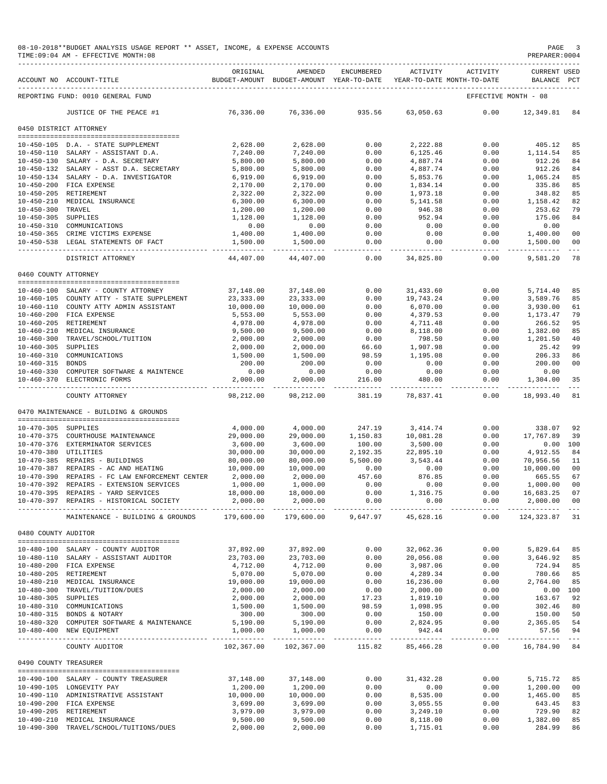|                       | 08-10-2018**BUDGET ANALYSIS USAGE REPORT ** ASSET, INCOME, & EXPENSE ACCOUNTS<br>TIME: 09:04 AM - EFFECTIVE MONTH: 08 |                        |                                                                                |                      |                         |                                | PAGE<br>PREPARER: 0004             | $\overline{\phantom{a}}$ |
|-----------------------|-----------------------------------------------------------------------------------------------------------------------|------------------------|--------------------------------------------------------------------------------|----------------------|-------------------------|--------------------------------|------------------------------------|--------------------------|
|                       | ACCOUNT NO ACCOUNT-TITLE                                                                                              | ORIGINAL               | AMENDED<br>BUDGET-AMOUNT BUDGET-AMOUNT YEAR-TO-DATE YEAR-TO-DATE MONTH-TO-DATE | ENCUMBERED           | ACTIVITY                | ACTIVITY                       | <b>CURRENT USED</b><br>BALANCE PCT |                          |
|                       | REPORTING FUND: 0010 GENERAL FUND                                                                                     |                        |                                                                                |                      |                         |                                | EFFECTIVE MONTH - 08               |                          |
|                       | JUSTICE OF THE PEACE #1                                                                                               | 76,336.00              | 76,336.00                                                                      | 935.56               | 63,050.63               | 0.00                           | 12,349.81 84                       |                          |
|                       | 0450 DISTRICT ATTORNEY                                                                                                |                        |                                                                                |                      |                         |                                |                                    |                          |
|                       |                                                                                                                       |                        |                                                                                |                      |                         |                                |                                    |                          |
|                       | 10-450-105 D.A. - STATE SUPPLEMENT                                                                                    | 2,628.00               | 2,628.00                                                                       | 0.00                 | 2,222.88                | 0.00                           | 405.12                             | 85                       |
|                       | 10-450-110 SALARY - ASSISTANT D.A.                                                                                    | 7,240.00               | 7,240.00                                                                       | 0.00<br>0.00         | 6,125.46<br>4,887.74    | 0.00                           | 1,114.54<br>912.26                 | 85<br>84                 |
|                       | 10-450-130 SALARY - D.A. SECRETARY<br>10-450-132 SALARY - ASST D.A. SECRETARY                                         | 5,800.00<br>5,800.00   | 5,800.00<br>5,800.00                                                           | 0.00                 | 4,887.74                | 0.00<br>0.00                   | 912.26                             | 84                       |
|                       | 10-450-134 SALARY - D.A. INVESTIGATOR                                                                                 | 6,919.00               | 6,919.00                                                                       | 0.00                 | 5,853.76                | 0.00                           | 1,065.24                           | 85                       |
|                       | 10-450-200 FICA EXPENSE                                                                                               | 2,170.00               | 2,170.00                                                                       | 0.00                 | 1,834.14                | 0.00                           | 335.86                             | 85                       |
|                       | 10-450-205 RETIREMENT                                                                                                 | 2,322.00               | 2,322.00                                                                       | 0.00                 | 1,973.18                | 0.00                           | 348.82                             | 85                       |
|                       | 10-450-210 MEDICAL INSURANCE                                                                                          | 6,300.00               | 6,300.00                                                                       | 0.00                 | 5,141.58                | 0.00                           | 1,158.42                           | 82                       |
| 10-450-300 TRAVEL     |                                                                                                                       | 1,200.00               | 1,200.00                                                                       | 0.00                 | 946.38                  | 0.00                           | 253.62                             | 79                       |
| 10-450-305 SUPPLIES   |                                                                                                                       | 1,128.00               | 1,128.00                                                                       | 0.00                 | 952.94                  | 0.00                           | 175.06                             | 84                       |
|                       | 10-450-310 COMMUNICATIONS                                                                                             | 0.00                   | 0.00                                                                           | 0.00                 | 0.00                    | 0.00                           | 0.00                               |                          |
|                       | 10-450-365 CRIME VICTIMS EXPENSE                                                                                      | 1,400.00               | 1,400.00                                                                       | 0.00                 | 0.00                    | 0.00                           | 1,400.00                           | 00                       |
|                       | 10-450-538 LEGAL STATEMENTS OF FACT                                                                                   | 1,500.00<br>---------  | 1,500.00                                                                       | 0.00<br>-----        | 0.00<br>.               | 0.00<br>--------               | 1,500.00<br>-----------            | 00<br>$\frac{1}{2}$      |
|                       | DISTRICT ATTORNEY                                                                                                     | 44,407.00              | 44,407.00                                                                      | 0.00                 | 34,825.80               | 0.00                           | 9,581.20                           | 78                       |
| 0460 COUNTY ATTORNEY  | --------------------------------------                                                                                |                        |                                                                                |                      |                         |                                |                                    |                          |
|                       | 10-460-100 SALARY - COUNTY ATTORNEY                                                                                   | 37,148.00              | 37,148.00                                                                      | 0.00                 | 31, 433.60              | 0.00                           | 5,714.40                           | 85                       |
|                       | 10-460-105 COUNTY ATTY - STATE SUPPLEMENT                                                                             | 23, 333.00             | 23, 333.00                                                                     | 0.00                 | 19,743.24               | 0.00                           | 3,589.76                           | 85                       |
|                       | 10-460-110 COUNTY ATTY ADMIN ASSISTANT                                                                                | 10,000.00              | 10,000.00                                                                      | 0.00                 | 6,070.00                | 0.00                           | 3,930.00                           | 61                       |
|                       | 10-460-200 FICA EXPENSE                                                                                               | 5,553.00               | 5,553.00                                                                       | 0.00                 | 4,379.53                | 0.00                           | 1,173.47                           | 79                       |
|                       | 10-460-205 RETIREMENT                                                                                                 | 4,978.00               | 4,978.00                                                                       | 0.00                 | 4,711.48                | 0.00                           | 266.52                             | 95                       |
|                       | 10-460-210 MEDICAL INSURANCE                                                                                          | 9,500.00               | 9,500.00                                                                       | 0.00                 | 8,118.00                | 0.00                           | 1,382.00                           | 85                       |
|                       | 10-460-300 TRAVEL/SCHOOL/TUITION                                                                                      | 2,000.00               | 2,000.00                                                                       | 0.00                 | 798.50                  | 0.00                           | 1,201.50                           | 40                       |
| $10 - 460 - 305$      | SUPPLIES                                                                                                              | 2,000.00               | 2,000.00                                                                       | 66.60                | 1,907.98                | 0.00                           | 25.42                              | 99                       |
|                       | 10-460-310 COMMUNICATIONS                                                                                             | 1,500.00<br>200.00     | 1,500.00<br>200.00                                                             | 98.59<br>0.00        | 1,195.08<br>0.00        | 0.00<br>0.00                   | 206.33                             | 86<br>00                 |
| 10-460-315 BONDS      | 10-460-330 COMPUTER SOFTWARE & MAINTENCE                                                                              | 0.00                   | 0.00                                                                           | 0.00                 | 0.00                    | 0.00                           | 200.00<br>0.00                     |                          |
|                       | 10-460-370 ELECTRONIC FORMS                                                                                           | 2,000.00               | 2,000.00                                                                       | 216.00               | 480.00                  | 0.00                           | 1,304.00                           | -35                      |
|                       | COUNTY ATTORNEY                                                                                                       | 98,212.00              | ----------<br>98,212.00                                                        | 381.19               | ----------<br>78,837.41 | $- - - - -$<br>0.00            | -----------<br>18,993.40           | $\frac{1}{2}$<br>81      |
|                       | 0470 MAINTENANCE - BUILDING & GROUNDS                                                                                 |                        |                                                                                |                      |                         |                                |                                    |                          |
|                       |                                                                                                                       |                        |                                                                                |                      |                         |                                |                                    |                          |
| 10-470-305 SUPPLIES   |                                                                                                                       | 4,000.00               | 4,000.00                                                                       | 247.19               | 3,414.74                | 0.00                           | 338.07                             | 92                       |
|                       | 10-470-375 COURTHOUSE MAINTENANCE                                                                                     | 29,000.00              | 29,000.00                                                                      | 1,150.83             | 10,081.28               | 0.00                           | 17,767.89                          | 39                       |
| 10-470-380 UTILITIES  | 10-470-376 EXTERMINATOR SERVICES                                                                                      | 3,600.00               | 3,600.00                                                                       | 100.00               | 3,500.00                | 0.00                           | 0.00 100                           | 84                       |
|                       | 10-470-385 REPAIRS - BUILDINGS                                                                                        | 30,000.00<br>80,000.00 | 30,000.00<br>80,000.00                                                         | 2,192.35<br>5,500.00 | 22,895.10<br>3,543.44   | 0.00<br>0.00                   | 4,912.55<br>70,956.56              | 11                       |
|                       | 10-470-387 REPAIRS - AC AND HEATING                                                                                   | 10,000.00              | 10,000.00                                                                      | 0.00                 | 0.00                    | 0.00                           | 10,000.00                          | 00                       |
| $10 - 470 - 390$      | REPAIRS - FC LAW ENFORCEMENT CENTER                                                                                   | 2,000.00               | 2,000.00                                                                       | 457.60               | 876.85                  | 0.00                           | 665.55                             | 67                       |
| 10-470-392            | REPAIRS - EXTENSION SERVICES                                                                                          | 1,000.00               | 1,000.00                                                                       | 0.00                 | 0.00                    | 0.00                           | 1,000.00                           | 0 <sub>0</sub>           |
|                       | 10-470-395 REPAIRS - YARD SERVICES                                                                                    | 18,000.00              | 18,000.00                                                                      | 0.00                 | 1,316.75                | 0.00                           | 16,683.25 07                       |                          |
|                       | 10-470-397 REPAIRS - HISTORICAL SOCIETY                                                                               | 2,000.00               | 2,000.00                                                                       | 0.00                 | 0.00                    | 0.00                           | 2,000.00 00                        |                          |
|                       | MAINTENANCE - BUILDING & GROUNDS 179,600.00                                                                           |                        |                                                                                | 179,600.00 9,647.97  | 45,628.16               | --------- ------------<br>0.00 | 124, 323.87 31                     |                          |
| 0480 COUNTY AUDITOR   |                                                                                                                       |                        |                                                                                |                      |                         |                                |                                    |                          |
|                       | --------------------------------------                                                                                |                        |                                                                                |                      |                         |                                |                                    |                          |
|                       | 10-480-100 SALARY - COUNTY AUDITOR                                                                                    | 37,892.00<br>23,703.00 | 37,892.00<br>23,703.00                                                         | 0.00<br>0.00         | 32,062.36<br>20,056.08  | 0.00<br>0.00                   | 5,829.64<br>3,646.92               | 85                       |
|                       | 10-480-110 SALARY - ASSISTANT AUDITOR<br>10-480-200 FICA EXPENSE                                                      | 4,712.00               | 4,712.00                                                                       | 0.00                 | 3,987.06                | 0.00                           | 724.94 85                          | 85                       |
|                       | 10-480-205 RETIREMENT                                                                                                 | 5,070.00               | 5,070.00                                                                       | 0.00                 | 4,289.34                | 0.00                           | 780.66 85                          |                          |
|                       | 10-480-210 MEDICAL INSURANCE                                                                                          | 19,000.00              | 19,000.00                                                                      | 0.00                 | 16,236.00               | 0.00                           | 2,764.00                           | 85                       |
|                       | 10-480-300 TRAVEL/TUITION/DUES                                                                                        | 2,000.00               | 2,000.00                                                                       | 0.00                 | 2,000.00                | 0.00                           | 0.00 100                           |                          |
| 10-480-305 SUPPLIES   |                                                                                                                       | 2,000.00               | 2,000.00                                                                       | 17.23                | 1,819.10                | 0.00                           | 163.67                             | 92                       |
|                       | 10-480-310 COMMUNICATIONS                                                                                             | 1,500.00               | 1,500.00                                                                       | 98.59                | 1,098.95                | 0.00                           | 302.46                             | 80                       |
|                       | 10-480-315 BONDS & NOTARY                                                                                             | 300.00                 | 300.00                                                                         | 0.00                 | 150.00                  | 0.00                           | 150.00                             | 50                       |
|                       | 10-480-320 COMPUTER SOFTWARE & MAINTENANCE                                                                            | 5,190.00               | 5,190.00                                                                       | 0.00                 | 2,824.95                | 0.00                           | 2,365.05 54                        |                          |
|                       | 10-480-400 NEW EQUIPMENT                                                                                              | 1,000.00               | 1,000.00<br>-------------                                                      | 0.00<br>------------ | 942.44<br>----------    | 0.00<br>------------           | 57.56 94                           |                          |
|                       | COUNTY AUDITOR                                                                                                        | 102,367.00             | 102,367.00                                                                     | 115.82               | 85,466.28               | 0.00                           | 16,784.90 84                       |                          |
| 0490 COUNTY TREASURER |                                                                                                                       |                        |                                                                                |                      |                         |                                |                                    |                          |
|                       | 10-490-100 SALARY - COUNTY TREASURER                                                                                  | 37,148.00              | 37,148.00                                                                      | 0.00                 | 31, 432.28              | 0.00                           | 5,715.72                           | 85                       |
|                       | 10-490-105 LONGEVITY PAY                                                                                              | 1,200.00               | 1,200.00                                                                       | 0.00                 | 0.00                    | 0.00                           | 1,200.00                           | 00                       |
|                       | 10-490-110 ADMINISTRATIVE ASSISTANT                                                                                   | 10,000.00              | 10,000.00                                                                      | 0.00                 | 8,535.00                | 0.00                           | 1,465.00                           | 85                       |
|                       | 10-490-200 FICA EXPENSE                                                                                               | 3,699.00               | 3,699.00                                                                       | 0.00                 | 3,055.55                | 0.00                           | 643.45                             | 83                       |
|                       | 10-490-205 RETIREMENT                                                                                                 | 3,979.00               | 3,979.00                                                                       | 0.00                 | 3,249.10                | 0.00                           | 729.90                             | 82                       |
|                       | 10-490-210 MEDICAL INSURANCE                                                                                          | 9,500.00               | 9,500.00                                                                       | 0.00                 | 8,118.00                | 0.00                           | 1,382.00                           | 85                       |
|                       | 10-490-300 TRAVEL/SCHOOL/TUITIONS/DUES                                                                                | 2,000.00               | 2,000.00                                                                       | 0.00                 | 1,715.01                | 0.00                           | 284.99                             | 86                       |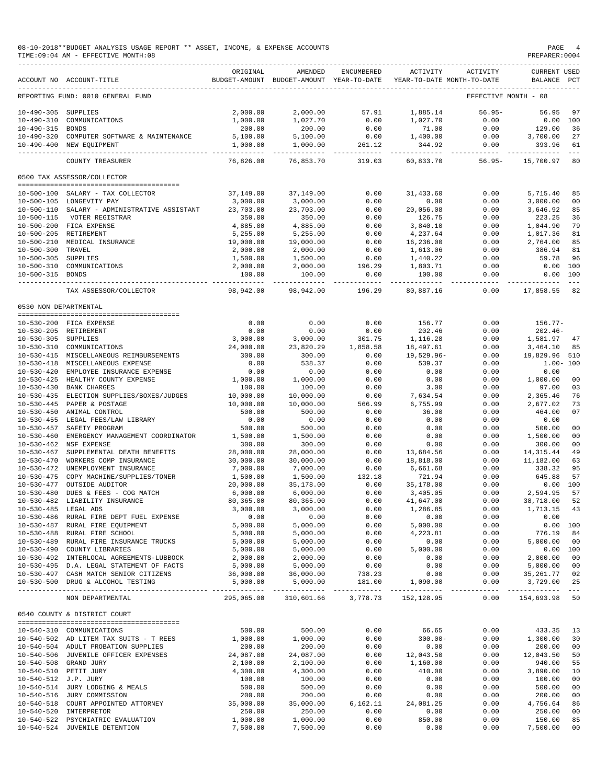| 08-10-2018**BUDGET ANALYSIS USAGE REPORT ** ASSET, INCOME, & EXPENSE ACCOUNTS | PAGE           |
|-------------------------------------------------------------------------------|----------------|
| TIME:09:04 AM - EFFECTIVE MONTH:08                                            | PREPARER: 0004 |

|                                      | ACCOUNT NO ACCOUNT-TITLE                                                    | ORIGINAL              | AMENDED<br>BUDGET-AMOUNT BUDGET-AMOUNT YEAR-TO-DATE | ENCUMBERED              | ACTIVITY               | ACTIVITY<br>YEAR-TO-DATE MONTH-TO-DATE | <b>CURRENT USED</b><br>BALANCE PCT         |                |
|--------------------------------------|-----------------------------------------------------------------------------|-----------------------|-----------------------------------------------------|-------------------------|------------------------|----------------------------------------|--------------------------------------------|----------------|
|                                      | REPORTING FUND: 0010 GENERAL FUND                                           |                       |                                                     |                         |                        |                                        | EFFECTIVE MONTH - 08                       |                |
| $10 - 490 - 305$                     | SUPPLIES                                                                    | 2,000.00              | 2,000.00                                            | 57.91                   | 1,885.14               | $56.95-$                               | 56.95                                      | 97             |
| $10 - 490 - 310$                     | COMMUNICATIONS                                                              | 1,000.00              | 1,027.70                                            | 0.00                    | 1,027.70               | 0.00                                   | 0.00                                       | 100            |
| $10 - 490 - 315$                     | BONDS                                                                       | 200.00                | 200.00                                              | 0.00                    | 71.00                  | 0.00                                   | 129.00                                     | 36             |
| $10 - 490 - 320$                     | COMPUTER SOFTWARE & MAINTENANCE                                             | 5,100.00              | 5,100.00                                            | 0.00                    | 1,400.00               | 0.00                                   | 3,700.00                                   | 27             |
|                                      | 10-490-400 NEW EQUIPMENT                                                    | 1,000.00              | 1,000.00                                            | 261.12                  | 344.92                 | 0.00                                   | 393.96                                     | 61             |
|                                      | COUNTY TREASURER                                                            | 76,826.00             | 76,853.70                                           | $- - - - - -$<br>319.03 | ---------<br>60,833.70 | . <u>.</u><br>$56.95-$                 | 15,700.97                                  | $- - -$<br>80  |
|                                      | 0500 TAX ASSESSOR/COLLECTOR                                                 |                       |                                                     |                         |                        |                                        |                                            |                |
|                                      |                                                                             |                       |                                                     |                         |                        |                                        |                                            |                |
| $10 - 500 - 100$                     | SALARY - TAX COLLECTOR                                                      | 37,149.00             | 37,149.00                                           | 0.00                    | 31,433.60              | 0.00                                   | 5,715.40                                   | 85             |
|                                      | 10-500-105 LONGEVITY PAY                                                    | 3,000.00              | 3,000.00                                            | 0.00                    | 0.00                   | 0.00                                   | 3,000.00                                   | 00             |
| $10 - 500 - 110$                     | SALARY - ADMINISTRATIVE ASSISTANT                                           | 23,703.00             | 23,703.00                                           | 0.00                    | 20,056.08              | 0.00                                   | 3,646.92                                   | 85             |
| $10 - 500 - 115$                     | VOTER REGISTRAR                                                             | 350.00                | 350.00                                              | 0.00                    | 126.75                 | 0.00                                   | 223.25                                     | 36             |
|                                      | 10-500-200 FICA EXPENSE                                                     | 4,885.00              | 4,885.00                                            | 0.00                    | 3,840.10               | 0.00                                   | 1,044.90                                   | 79             |
| $10 - 500 - 205$                     | RETIREMENT                                                                  | 5,255.00              | 5,255.00                                            | 0.00                    | 4,237.64               | 0.00                                   | 1,017.36                                   | 81             |
| $10 - 500 - 210$<br>$10 - 500 - 300$ | MEDICAL INSURANCE<br>TRAVEL                                                 | 19,000.00<br>2,000.00 | 19,000.00<br>2,000.00                               | 0.00<br>0.00            | 16,236.00<br>1,613.06  | 0.00<br>0.00                           | 2,764.00<br>386.94                         | 85<br>81       |
| $10 - 500 - 305$                     | <b>SUPPLIES</b>                                                             | 1,500.00              | 1,500.00                                            | 0.00                    | 1,440.22               | 0.00                                   | 59.78                                      | 96             |
| $10 - 500 - 310$                     | COMMUNICATIONS                                                              | 2,000.00              | 2,000.00                                            | 196.29                  | 1,803.71               | 0.00                                   | 0.00                                       | 100            |
| $10 - 500 - 315$                     | <b>BONDS</b>                                                                | 100.00                | 100.00                                              | 0.00                    | 100.00                 | 0.00                                   | 0.00                                       | 100            |
|                                      |                                                                             |                       |                                                     |                         |                        |                                        |                                            | $- - -$        |
|                                      | TAX ASSESSOR/COLLECTOR                                                      | 98,942.00             | 98,942.00                                           | 196.29                  | 80,887.16              | 0.00                                   | 17,858.55                                  | 82             |
| 0530 NON DEPARTMENTAL                |                                                                             |                       |                                                     |                         |                        |                                        |                                            |                |
|                                      | 10-530-200 FICA EXPENSE                                                     | 0.00                  | 0.00                                                | 0.00                    | 156.77                 | 0.00                                   | $156.77-$                                  |                |
|                                      | 10-530-205 RETIREMENT                                                       | 0.00                  | 0.00                                                | 0.00                    | 202.46                 | 0.00                                   | $202.46-$                                  |                |
| $10 - 530 - 305$                     | SUPPLIES                                                                    | 3,000.00              | 3,000.00                                            | 301.75                  | 1,116.28               | 0.00                                   | 1,581.97                                   | 47             |
| 10-530-310                           | COMMUNICATIONS                                                              | 24,000.00             | 23,820.29                                           | 1,858.58                | 18,497.61              | 0.00                                   | 3,464.10                                   | 85             |
| $10 - 530 - 415$                     | MISCELLANEOUS REIMBURSEMENTS                                                | 300.00                | 300.00                                              | 0.00                    | $19,529.96 -$          | 0.00                                   | 19,829.96                                  | 510            |
| $10 - 530 - 418$                     | MISCELLANEOUS EXPENSE                                                       | 0.00                  | 538.37                                              | 0.00                    | 539.37                 | 0.00                                   | $1.00 - 100$                               |                |
| $10 - 530 - 420$                     | EMPLOYEE INSURANCE EXPENSE                                                  | 0.00                  | 0.00                                                | 0.00                    | 0.00                   | 0.00                                   | 0.00                                       |                |
| $10 - 530 - 425$                     | HEALTHY COUNTY EXPENSE                                                      | 1,000.00              | 1,000.00                                            | 0.00                    | 0.00                   | 0.00                                   | 1,000.00                                   | 00             |
| $10 - 530 - 430$                     | <b>BANK CHARGES</b>                                                         | 100.00                | 100.00                                              | 0.00                    | 3.00                   | 0.00                                   | 97.00                                      | 03             |
| $10 - 530 - 435$                     | ELECTION SUPPLIES/BOXES/JUDGES                                              | 10,000.00             | 10,000.00                                           | 0.00                    | 7,634.54               | 0.00                                   | 2,365.46                                   | 76             |
| $10 - 530 - 445$<br>$10 - 530 - 450$ | PAPER & POSTAGE<br>ANIMAL CONTROL                                           | 10,000.00             | 10,000.00                                           | 566.99<br>0.00          | 6,755.99<br>36.00      | 0.00                                   | 2,677.02                                   | 73<br>07       |
| $10 - 530 - 455$                     | LEGAL FEES/LAW LIBRARY                                                      | 500.00<br>0.00        | 500.00<br>0.00                                      | 0.00                    | 0.00                   | 0.00<br>0.00                           | 464.00<br>0.00                             |                |
| $10 - 530 - 457$                     | SAFETY PROGRAM                                                              | 500.00                | 500.00                                              | 0.00                    | 0.00                   | 0.00                                   | 500.00                                     | 00             |
| $10 - 530 - 460$                     | EMERGENCY MANAGEMENT COORDINATOR                                            | 1,500.00              | 1,500.00                                            | 0.00                    | 0.00                   | 0.00                                   | 1,500.00                                   | 0 <sub>0</sub> |
| $10 - 530 - 462$                     | NSF EXPENSE                                                                 | 300.00                | 300.00                                              | 0.00                    | 0.00                   | 0.00                                   | 300.00                                     | 00             |
| $10 - 530 - 467$                     | SUPPLEMENTAL DEATH BENEFITS                                                 | 28,000.00             | 28,000.00                                           | 0.00                    | 13,684.56              | 0.00                                   | 14, 315.44                                 | 49             |
| $10 - 530 - 470$                     | WORKERS COMP INSURANCE                                                      | 30,000.00             | 30,000.00                                           | 0.00                    | 18,818.00              | 0.00                                   | 11,182.00                                  | 63             |
| $10 - 530 - 472$                     | UNEMPLOYMENT INSURANCE                                                      | 7,000.00              | 7,000.00                                            | 0.00                    | 6,661.68               | 0.00                                   | 338.32                                     | 95             |
| $10 - 530 - 475$                     | COPY MACHINE/SUPPLIES/TONER                                                 | 1,500.00              | 1,500.00                                            | 132.18                  | 721.94                 | 0.00                                   | 645.88                                     | 57             |
| $10 - 530 - 477$                     | OUTSIDE AUDITOR                                                             | 20,000.00             | 35,178.00                                           | 0.00                    | 35,178.00              | 0.00                                   | 0.00                                       | 100            |
| $10 - 530 - 480$                     | DUES & FEES - COG MATCH                                                     | 6,000.00              | 6,000.00                                            | 0.00                    | 3,405.05               | 0.00                                   | 2,594.95                                   | 57             |
| $10 - 530 - 482$                     | LIABILITY INSURANCE                                                         | 80,365.00             | 80,365.00                                           | 0.00                    | 41,647.00              | 0.00                                   | 38,718.00                                  | 52             |
| 10-530-485 LEGAL ADS                 |                                                                             | 3.000.00              | 3,000.00                                            | 0.00                    | 1,286.85               | 0.00                                   | 1,713.15 43                                |                |
|                                      | 10-530-486 RURAL FIRE DEPT FUEL EXPENSE                                     | 0.00                  | 0.00                                                | 0.00                    | 0.00                   | 0.00                                   | 0.00                                       |                |
|                                      | 10-530-487 RURAL FIRE EQUIPMENT                                             | 5,000.00              | 5,000.00                                            | 0.00                    | 5,000.00               | 0.00                                   | 0.00 100                                   |                |
|                                      | 10-530-488 RURAL FIRE SCHOOL                                                | 5,000.00              | 5,000.00                                            | 0.00                    | 4,223.81               | 0.00                                   | 776.19                                     | 84             |
|                                      | 10-530-489 RURAL FIRE INSURANCE TRUCKS<br>10-530-490 COUNTY LIBRARIES       | 5,000.00<br>5,000.00  | 5,000.00                                            | 0.00<br>0.00            | 0.00<br>5.000.00       | 0.00<br>0.00                           | 5,000.00 00<br>0.00 100                    |                |
|                                      | 10-530-492 INTERLOCAL AGREEMENTS-LUBBOCK                                    | 2,000.00              | 5,000.00<br>2,000.00                                | 0.00                    | 0.00                   | 0.00                                   |                                            |                |
|                                      | 10-530-495 D.A. LEGAL STATEMENT OF FACTS                                    | 5,000.00              | 5,000.00                                            |                         |                        | 0.00                                   |                                            |                |
|                                      | 10-530-497 CASH MATCH SENIOR CITIZENS                                       | 36,000.00             | 36,000.00                                           | $0.00$<br>738.23        | 0.00                   | 0.00                                   | 2,000.00 00<br>5,000.00 00<br>35,261.77 02 |                |
|                                      | 10-530-500 DRUG & ALCOHOL TESTING                                           | 5,000.00              | 5,000.00                                            | 181.00                  | 1,090.00               | 0.00                                   | 3,729.00 25                                |                |
|                                      | NON DEPARTMENTAL                                                            |                       | 295,065.00 310,601.66 3,778.73 152,128.95           |                         |                        |                                        | $0.00$ 154,693.98 50                       |                |
|                                      | 0540 COUNTY & DISTRICT COURT                                                |                       |                                                     |                         |                        |                                        |                                            |                |
|                                      |                                                                             |                       |                                                     |                         |                        |                                        |                                            |                |
|                                      | 10-540-310 COMMUNICATIONS                                                   | 500.00                | 500.00                                              | 0.00                    | 66.65                  | 0.00                                   | 433.35 13                                  |                |
|                                      | 10-540-502 AD LITEM TAX SUITS - T REES                                      | 1,000.00              | 1,000.00                                            | 0.00<br>0.00            | $300.00 -$<br>0.00     | 0.00                                   | 1,300.00 30                                |                |
|                                      | 10-540-504 ADULT PROBATION SUPPLIES<br>10-540-506 JUVENILE OFFICER EXPENSES | 200.00<br>24,087.00   | 200.00<br>24,087.00                                 | 0.00                    | 12,043.50              | 0.00<br>0.00                           | 200.00<br>12,043.50 50                     | 00             |
|                                      | 10-540-508 GRAND JURY                                                       | 2,100.00              | 2,100.00                                            | 0.00                    | 1,160.00               | 0.00                                   | 940.00                                     | 55             |
|                                      | 10-540-510 PETIT JURY                                                       | 4,300.00              | 4,300.00                                            | 0.00                    | 410.00                 | 0.00                                   | 3,890.00                                   | 10             |
| 10-540-512 J.P. JURY                 |                                                                             | 100.00                | 100.00                                              | 0.00                    | 0.00                   | 0.00                                   | 100.00                                     | 00             |
|                                      | 10-540-514 JURY LODGING & MEALS                                             | 500.00                | 500.00                                              | 0.00                    | 0.00                   | 0.00                                   | 500.00                                     | 00             |
|                                      | 10-540-516 JURY COMMISSION                                                  | 200.00                | 200.00                                              | 0.00                    | 0.00                   | 0.00                                   | 200.00                                     | 00             |
|                                      | 10-540-518 COURT APPOINTED ATTORNEY                                         | 35,000.00             | 35,000.00                                           | 6, 162.11               | 24,081.25              | 0.00                                   | 4,756.64                                   | 86             |
|                                      | 10-540-520 INTERPRETOR                                                      | 250.00                | 250.00                                              | 0.00                    | 0.00                   | 0.00                                   | 250.00                                     | 00             |
|                                      | 10-540-522 PSYCHIATRIC EVALUATION                                           | 1,000.00              | 1,000.00                                            | 0.00                    | 850.00                 | 0.00                                   | 150.00                                     | 85             |
|                                      | 10-540-524 JUVENILE DETENTION                                               | 7,500.00              | 7,500.00                                            | 0.00                    | 0.00                   | 0.00                                   | 7,500.00                                   | 0 <sub>0</sub> |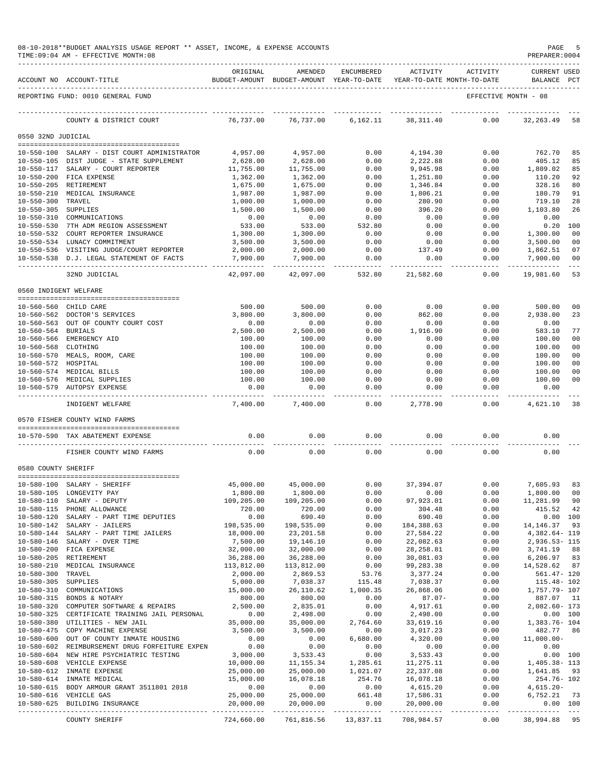|                       | TIME:09:04 AM - EFFECTIVE MONTH:08                                         |                          |                           |                       |                                                                                 |                         | PREPARER: 0004                     |                                  |
|-----------------------|----------------------------------------------------------------------------|--------------------------|---------------------------|-----------------------|---------------------------------------------------------------------------------|-------------------------|------------------------------------|----------------------------------|
|                       | ACCOUNT NO ACCOUNT-TITLE                                                   | ORIGINAL                 | AMENDED                   | ENCUMBERED            | ACTIVITY<br>BUDGET-AMOUNT BUDGET-AMOUNT YEAR-TO-DATE YEAR-TO-DATE MONTH-TO-DATE | ACTIVITY                | <b>CURRENT USED</b><br>BALANCE PCT |                                  |
|                       | REPORTING FUND: 0010 GENERAL FUND                                          |                          |                           |                       |                                                                                 |                         | EFFECTIVE MONTH - 08               |                                  |
|                       | COUNTY & DISTRICT COURT                                                    | 76,737.00                | 76,737.00                 | 6,162.11              | 38,311.40                                                                       | 0.00                    | 32, 263.49                         | 58                               |
| 0550 32ND JUDICIAL    |                                                                            |                          |                           |                       |                                                                                 |                         |                                    |                                  |
|                       | 10-550-100 SALARY - DIST COURT ADMINISTRATOR                               | 4,957.00                 | 4,957.00                  | 0.00                  | 4,194.30                                                                        | 0.00                    | 762.70                             | 85                               |
|                       | 10-550-105 DIST JUDGE - STATE SUPPLEMENT                                   | 2,628.00                 | 2,628.00                  | 0.00                  | 2,222.88                                                                        | 0.00                    | 405.12                             | 85                               |
|                       | 10-550-117 SALARY - COURT REPORTER                                         | 11,755.00                | 11,755.00                 | 0.00                  | 9,945.98                                                                        | 0.00                    | 1,809.02                           | 85                               |
|                       | 10-550-200 FICA EXPENSE<br>10-550-205 RETIREMENT                           | 1,362.00<br>1,675.00     | 1,362.00<br>1,675.00      | 0.00<br>0.00          | 1,251.80<br>1,346.84                                                            | 0.00<br>0.00            | 110.20<br>328.16                   | 92<br>80                         |
|                       | 10-550-210 MEDICAL INSURANCE                                               | 1,987.00                 | 1,987.00                  | 0.00                  | 1,806.21                                                                        | 0.00                    | 180.79                             | 91                               |
| 10-550-300 TRAVEL     |                                                                            | 1,000.00                 | 1,000.00                  | 0.00                  | 280.90                                                                          | 0.00                    | 719.10                             | 28                               |
| 10-550-305 SUPPLIES   |                                                                            | 1,500.00                 | 1,500.00                  | 0.00                  | 396.20                                                                          | 0.00                    | 1,103.80                           | 26                               |
|                       | 10-550-310 COMMUNICATIONS<br>10-550-530 7TH ADM REGION ASSESSMENT          | 0.00<br>533.00           | 0.00<br>533.00            | 0.00<br>532.80        | 0.00<br>0.00                                                                    | 0.00<br>0.00            | 0.00<br>$0.20$ 100                 |                                  |
|                       | 10-550-532 COURT REPORTER INSURANCE                                        | 1,300.00                 | 1,300.00                  | 0.00                  | 0.00                                                                            | 0.00                    | 1,300.00                           | 0 <sub>0</sub>                   |
|                       | 10-550-534 LUNACY COMMITMENT                                               | 3,500.00                 | 3,500.00                  | 0.00                  | 0.00                                                                            | 0.00                    | 3,500.00                           | 0 <sub>0</sub>                   |
|                       | 10-550-536 VISITING JUDGE/COURT REPORTER                                   | 2,000.00                 | 2,000.00                  | 0.00                  | 137.49                                                                          | 0.00                    | 1,862.51                           | 07                               |
|                       | 10-550-538 D.J. LEGAL STATEMENT OF FACTS                                   | 7,900.00<br>------------ | 7,900.00<br>------------- | 0.00<br>------------- | 0.00<br>---------                                                               | 0.00<br>-----------     | 7,900.00<br>-------------          | 0 <sub>0</sub><br>$\frac{1}{2}$  |
|                       | 32ND JUDICIAL                                                              | 42,097.00                | 42,097.00                 | 532.80                | 21,582.60                                                                       | 0.00                    | 19,981.60                          | 53                               |
| 0560 INDIGENT WELFARE |                                                                            |                          |                           |                       |                                                                                 |                         |                                    |                                  |
|                       | 10-560-560 CHILD CARE                                                      | 500.00                   | 500.00                    | 0.00                  | 0.00                                                                            | 0.00                    | 500.00                             | 00                               |
|                       | 10-560-562 DOCTOR'S SERVICES                                               | 3,800.00                 | 3,800.00                  | 0.00                  | 862.00                                                                          | 0.00                    | 2,938.00                           | 23                               |
|                       | 10-560-563 OUT OF COUNTY COURT COST                                        | 0.00                     | 0.00                      | 0.00                  | 0.00                                                                            | 0.00                    | 0.00                               |                                  |
| 10-560-564 BURIALS    |                                                                            | 2,500.00                 | 2,500.00                  | 0.00                  | 1,916.90                                                                        | 0.00                    | 583.10                             | 77                               |
|                       | 10-560-566 EMERGENCY AID                                                   | 100.00                   | 100.00                    | 0.00                  | 0.00                                                                            | 0.00                    | 100.00                             | 0 <sub>0</sub>                   |
| 10-560-568 CLOTHING   | 10-560-570 MEALS, ROOM, CARE                                               | 100.00<br>100.00         | 100.00<br>100.00          | 0.00<br>0.00          | 0.00<br>0.00                                                                    | 0.00<br>0.00            | 100.00<br>100.00                   | 0 <sub>0</sub><br>0 <sub>0</sub> |
| 10-560-572 HOSPITAL   |                                                                            | 100.00                   | 100.00                    | 0.00                  | 0.00                                                                            | 0.00                    | 100.00                             | 0 <sub>0</sub>                   |
|                       | 10-560-574 MEDICAL BILLS                                                   | 100.00                   | 100.00                    | 0.00                  | 0.00                                                                            | 0.00                    | 100.00                             | 0 <sub>0</sub>                   |
|                       | 10-560-576 MEDICAL SUPPLIES                                                | 100.00                   | 100.00                    | 0.00                  | 0.00                                                                            | 0.00                    | 100.00                             | 0 <sub>0</sub>                   |
|                       | 10-560-579 AUTOPSY EXPENSE                                                 | 0.00                     | 0.00<br>---------         | 0.00<br>$- - - -$     | 0.00<br>.                                                                       | 0.00<br>--------        | 0.00<br>-------                    |                                  |
|                       | INDIGENT WELFARE                                                           | 7,400.00                 | 7,400.00                  | 0.00                  | 2,778.90                                                                        | 0.00                    | 4,621.10                           | 38                               |
|                       | 0570 FISHER COUNTY WIND FARMS<br>--------------------------------------    |                          |                           |                       |                                                                                 |                         |                                    |                                  |
|                       | 10-570-590 TAX ABATEMENT EXPENSE                                           | 0.00<br>----------       | 0.00<br>$- - - - - -$     | 0.00<br>$\frac{1}{2}$ | 0.00<br>$- - - - - - -$                                                         | 0.00<br>- - - - - - - - | 0.00<br>--------                   |                                  |
|                       | FISHER COUNTY WIND FARMS                                                   | 0.00                     | 0.00                      | 0.00                  | 0.00                                                                            | 0.00                    | 0.00                               |                                  |
| 0580 COUNTY SHERIFF   | --------------------------------------                                     |                          |                           |                       |                                                                                 |                         |                                    |                                  |
|                       | 10-580-100 SALARY - SHERIFF                                                | 45,000.00                | 45,000.00                 | 0.00                  | 37,394.07                                                                       | 0.00                    | 7,605.93                           | 83                               |
|                       | 10-580-105 LONGEVITY PAY                                                   | 1,800.00                 | 1,800.00                  | 0.00                  | 0.00                                                                            | 0.00                    | 1,800.00                           | 0 <sub>0</sub>                   |
|                       | 10-580-110 SALARY - DEPUTY<br>10-580-115 PHONE ALLOWANCE                   | 109,205.00<br>720.00     | 109,205.00<br>720.00      | 0.00<br>0.00          | 97,923.01<br>304.48                                                             | 0.00<br>0.00            | 11,281.99<br>415.52 42             | -90                              |
|                       | 10-580-120 SALARY - PART TIME DEPUTIES                                     | 0.00                     | 690.40                    | 0.00                  | 690.40                                                                          | 0.00                    | 0.00 100                           |                                  |
|                       | 10-580-142 SALARY - JAILERS                                                | 198,535.00               | 198,535.00                | 0.00                  | 184,388.63                                                                      | 0.00                    | 14, 146. 37 93                     |                                  |
|                       | 10-580-144 SALARY - PART TIME JAILERS                                      | 18,000.00                | 23,201.58                 | 0.00                  | 27,584.22                                                                       | 0.00                    | 4,382.64- 119                      |                                  |
|                       | 10-580-146 SALARY - OVER TIME<br>10-580-200 FICA EXPENSE                   | 7,500.00<br>32,000.00    | 19,146.10<br>32,000.00    | 0.00<br>0.00          | 22,082.63<br>28, 258.81                                                         | 0.00<br>0.00            | 2,936.53-115<br>3,741.19           | 88                               |
|                       | 10-580-205 RETIREMENT                                                      | 36,288.00                | 36,288.00                 | 0.00                  | 30,081.03                                                                       | 0.00                    | 6,206.97                           | 83                               |
|                       | 10-580-210 MEDICAL INSURANCE                                               | 113,812.00               | 113,812.00                | 0.00                  | 99,283.38                                                                       | 0.00                    | 14,528.62                          | 87                               |
| 10-580-300 TRAVEL     |                                                                            | 2,000.00                 | 2,869.53                  | 53.76                 | 3,377.24                                                                        | 0.00                    | 561.47- 120                        |                                  |
| $10 - 580 - 305$      | SUPPLIES                                                                   | 5,000.00                 | 7,038.37                  | 115.48                | 7,038.37                                                                        | 0.00                    | 115.48- 102                        |                                  |
|                       | 10-580-310 COMMUNICATIONS<br>10-580-315 BONDS & NOTARY                     | 15,000.00<br>800.00      | 26, 110.62<br>800.00      | 1,000.35<br>0.00      | 26,868.06<br>$87.07 -$                                                          | 0.00<br>0.00            | 1,757.79- 107<br>887.07 11         |                                  |
|                       | 10-580-320 COMPUTER SOFTWARE & REPAIRS                                     | 2,500.00                 | 2,835.01                  | 0.00                  | 4,917.61                                                                        | 0.00                    | 2,082.60- 173                      |                                  |
|                       | 10-580-325 CERTIFICATE TRAINING JAIL PERSONAL                              | 0.00                     | 2,498.00                  | 0.00                  | 2,498.00                                                                        | 0.00                    | 0.00 100                           |                                  |
|                       | 10-580-380 UTILITIES - NEW JAIL                                            | 35,000.00                | 35,000.00                 | 2,764.60              | 33,619.16                                                                       | 0.00                    | 1,383.76- 104                      |                                  |
|                       | 10-580-475 COPY MACHINE EXPENSE<br>10-580-600 OUT OF COUNTY INMATE HOUSING | 3,500.00<br>0.00         | 3,500.00<br>0.00          | 0.00<br>6,680.00      | 3,017.23<br>4,320.00                                                            | 0.00<br>0.00            | 482.77 86<br>$11,000.00-$          |                                  |
|                       | 10-580-602 REIMBURSEMENT DRUG FORFEITURE EXPEN                             | 0.00                     | 0.00                      | 0.00                  | 0.00                                                                            | 0.00                    | 0.00                               |                                  |
|                       | 10-580-604 NEW HIRE PSYCHIATRIC TESTING                                    | 3,000.00                 | 3,533.43                  | 0.00                  | 3,533.43                                                                        | 0.00                    | 0.00 100                           |                                  |
|                       | 10-580-608 VEHICLE EXPENSE                                                 | 10,000.00                | 11,155.34                 | 1,285.61              | 11,275.11                                                                       | 0.00                    | 1,405.38- 113                      |                                  |
|                       | 10-580-612 INMATE EXPENSE<br>10-580-614 INMATE MEDICAL                     | 25,000.00<br>15,000.00   | 25,000.00<br>16,078.18    | 1,021.07<br>254.76    | 22,337.08<br>16,078.18                                                          | 0.00<br>0.00            | 1,641.85 93<br>254.76- 102         |                                  |
|                       | 10-580-615 BODY ARMOUR GRANT 3511801 2018                                  | 0.00                     | 0.00                      | 0.00                  | 4,615.20                                                                        | 0.00                    | 4,615.20-                          |                                  |
|                       | 10-580-616 VEHICLE GAS                                                     | 25,000.00                | 25,000.00                 | 661.48                | 17,586.31                                                                       | 0.00                    | 6,752.21 73                        |                                  |
|                       | 10-580-625 BUILDING INSURANCE                                              | 20,000.00                | 20,000.00                 | 0.00                  | 20,000.00                                                                       | 0.00                    | 0.00 100                           |                                  |
|                       | $724,660.00$ $761,816.56$ $13,837.11$ $708,984.57$<br>COUNTY SHERIFF       |                          |                           |                       |                                                                                 | 0.00                    | 38,994.88 95                       |                                  |

08-10-2018\*\*BUDGET ANALYSIS USAGE REPORT \*\* ASSET, INCOME, & EXPENSE ACCOUNTS PAGE 5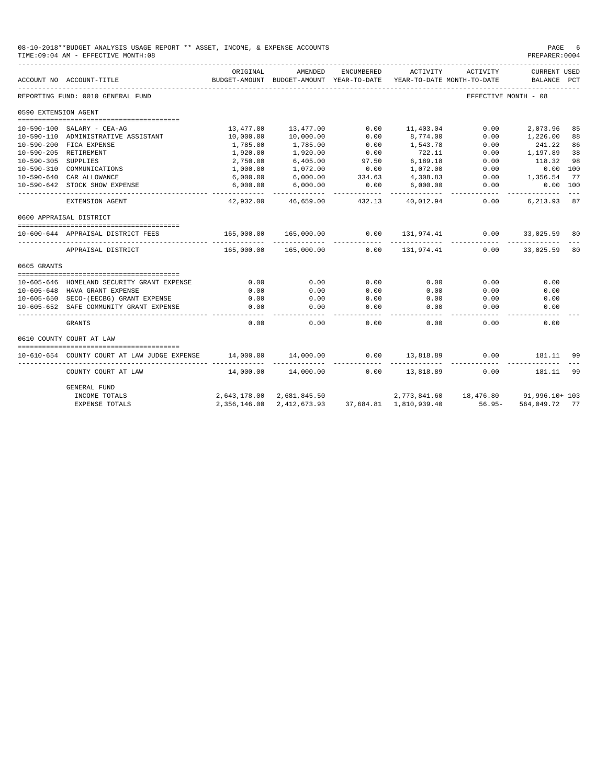|                      | 08-10-2018**BUDGET ANALYSIS USAGE REPORT ** ASSET, INCOME, & EXPENSE ACCOUNTS<br>TIME: 09:04 AM - EFFECTIVE MONTH: 08 |                           |                                       |                        |                                        |                      | PAGE<br>PREPARER: 0004             | -6            |
|----------------------|-----------------------------------------------------------------------------------------------------------------------|---------------------------|---------------------------------------|------------------------|----------------------------------------|----------------------|------------------------------------|---------------|
|                      | ACCOUNT NO ACCOUNT-TITLE                                                                                              | ORIGINAL<br>BUDGET-AMOUNT | AMENDED<br>BUDGET-AMOUNT YEAR-TO-DATE | ENCUMBERED             | ACTIVITY<br>YEAR-TO-DATE MONTH-TO-DATE | ACTIVITY             | <b>CURRENT USED</b><br>BALANCE PCT |               |
|                      | REPORTING FUND: 0010 GENERAL FUND                                                                                     |                           |                                       |                        |                                        | EFFECTIVE MONTH - 08 |                                    |               |
| 0590 EXTENSION AGENT |                                                                                                                       |                           |                                       |                        |                                        |                      |                                    |               |
|                      |                                                                                                                       |                           |                                       |                        |                                        |                      |                                    |               |
|                      | 10-590-100 SALARY - CEA-AG                                                                                            | 13,477.00                 | 13,477.00                             | 0.00                   | 11,403.04                              | 0.00                 | 2,073.96                           | 85            |
|                      | 10-590-110 ADMINISTRATIVE ASSISTANT                                                                                   | 10,000.00                 | 10,000.00                             | 0.00                   | 8,774.00                               | 0.00                 | 1,226.00                           | 88            |
|                      | 10-590-200 FICA EXPENSE                                                                                               | 1,785.00                  | 1,785.00                              | 0.00                   | 1,543.78<br>722.11                     | 0.00                 | 241.22                             | 86            |
|                      | 10-590-205 RETIREMENT                                                                                                 | 1,920.00                  | 1,920.00                              | 0.00                   |                                        | 0.00<br>0.00         | 1,197.89<br>118.32                 | 38<br>98      |
| 10-590-305 SUPPLIES  | 10-590-310 COMMUNICATIONS                                                                                             | 2,750.00                  | 6,405.00                              | 97.50<br>0.00          | 6,189.18<br>1,072.00                   | 0.00                 | 0.00 100                           |               |
|                      | 10-590-640 CAR ALLOWANCE                                                                                              | 1,000.00<br>6,000.00      | 1,072.00                              | 334.63                 | 4,308.83                               | 0.00                 | 1,356.54                           | 77            |
|                      | 10-590-642 STOCK SHOW EXPENSE                                                                                         | 6,000.00                  | 6,000.00<br>6,000.00                  | 0.00                   | 6,000.00                               | 0.00                 | 0.00 100                           |               |
|                      |                                                                                                                       | ----------                | _____________                         |                        | ----------                             | -----------          |                                    | $\frac{1}{2}$ |
|                      | EXTENSION AGENT                                                                                                       |                           | 42,932.00 46,659.00                   | 432.13                 | 40,012.94                              | 0.00                 | 6,213.93 87                        |               |
|                      | 0600 APPRAISAL DISTRICT                                                                                               |                           |                                       |                        |                                        |                      |                                    |               |
|                      | 10-600-644 APPRAISAL DISTRICT FEES                                                                                    | 165,000.00                | 165,000.00                            | 0.00                   | 131,974.41                             | 0.00                 | 33,025.59                          | 80            |
|                      | APPRAISAL DISTRICT                                                                                                    | 165,000.00                | 165,000.00                            | 0.00                   | 131,974.41                             | 0.00                 | 33,025.59                          | 80            |
| 0605 GRANTS          |                                                                                                                       |                           |                                       |                        |                                        |                      |                                    |               |
|                      |                                                                                                                       |                           |                                       |                        |                                        |                      |                                    |               |
|                      | 10-605-646 HOMELAND SECURITY GRANT EXPENSE                                                                            | 0.00                      | 0.00                                  | 0.00                   | 0.00                                   | 0.00                 | 0.00                               |               |
|                      | 10-605-648 HAVA GRANT EXPENSE                                                                                         | 0.00                      | 0.00                                  | 0.00                   | 0.00                                   | 0.00                 | 0.00                               |               |
|                      | 10-605-650 SECO-(EECBG) GRANT EXPENSE                                                                                 | 0.00                      | 0.00                                  | 0.00                   | 0.00                                   | 0.00                 | 0.00                               |               |
|                      | 10-605-652 SAFE COMMUNITY GRANT EXPENSE                                                                               | 0.00                      | 0.00                                  | 0.00<br>المامات ماليات | 0.00<br>--------                       | 0.00                 | 0.00<br>$- - - - -$                |               |
|                      | GRANTS                                                                                                                | 0.00                      | 0.00                                  | 0.00                   | 0.00                                   | 0.00                 | 0.00                               |               |
|                      | 0610 COUNTY COURT AT LAW                                                                                              |                           |                                       |                        |                                        |                      |                                    |               |
|                      |                                                                                                                       |                           |                                       |                        |                                        |                      |                                    |               |
|                      | 10-610-654 COUNTY COURT AT LAW JUDGE EXPENSE                                                                          | 14,000.00                 | 14,000.00                             | 0.00                   | 13,818.89                              | 0.00                 | 181.11                             | 99            |
|                      | COUNTY COURT AT LAW                                                                                                   | 14,000.00                 | 14,000.00                             | 0.00                   | 13,818.89                              | 0.00                 | 181.11                             | 99            |
|                      | GENERAL FUND                                                                                                          |                           |                                       |                        |                                        |                      |                                    |               |
|                      | INCOME TOTALS                                                                                                         | 2,643,178.00              | 2,681,845.50                          |                        | 2,773,841.60                           |                      | 18,476.80 91,996.10+ 103           |               |
|                      | <b>EXPENSE TOTALS</b>                                                                                                 | 2,356,146.00              | 2.412.673.93                          |                        | 37.684.81  1.810.939.40                | $56.95 -$            | 564,049.72                         | 77            |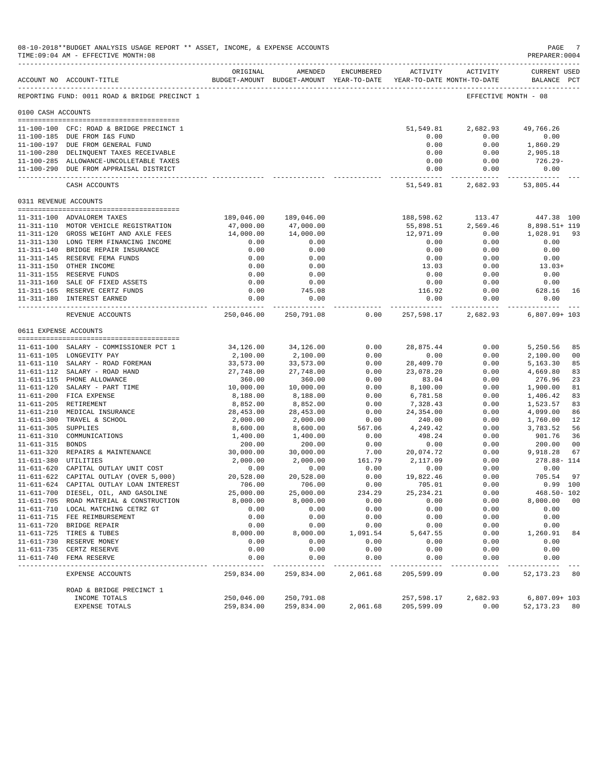|                     | 08-10-2018**BUDGET ANALYSIS USAGE REPORT ** ASSET, INCOME, & EXPENSE ACCOUNTS<br>TIME: 09:04 AM - EFFECTIVE MONTH: 08 |                        |                                                     |              |                            |                                        | PAGE<br>PREPARER: 0004       |          |
|---------------------|-----------------------------------------------------------------------------------------------------------------------|------------------------|-----------------------------------------------------|--------------|----------------------------|----------------------------------------|------------------------------|----------|
|                     | ACCOUNT NO ACCOUNT-TITLE                                                                                              | ORIGINAL               | AMENDED<br>BUDGET-AMOUNT BUDGET-AMOUNT YEAR-TO-DATE | ENCUMBERED   | <b>ACTIVITY</b>            | ACTIVITY<br>YEAR-TO-DATE MONTH-TO-DATE | CURRENT USED<br>BALANCE PCT  |          |
|                     | REPORTING FUND: 0011 ROAD & BRIDGE PRECINCT 1                                                                         |                        |                                                     |              |                            |                                        | EFFECTIVE MONTH - 08         |          |
| 0100 CASH ACCOUNTS  |                                                                                                                       |                        |                                                     |              |                            |                                        |                              |          |
|                     | 11-100-100 CFC: ROAD & BRIDGE PRECINCT 1                                                                              |                        |                                                     |              | 51,549.81                  | 2,682.93                               | 49,766.26                    |          |
|                     | 11-100-185 DUE FROM I&S FUND                                                                                          |                        |                                                     |              | 0.00                       | 0.00                                   | 0.00                         |          |
|                     | 11-100-197 DUE FROM GENERAL FUND                                                                                      |                        |                                                     |              | 0.00                       | 0.00                                   | 1,860.29                     |          |
|                     | 11-100-280 DELINQUENT TAXES RECEIVABLE<br>11-100-285 ALLOWANCE-UNCOLLETABLE TAXES                                     |                        |                                                     |              | 0.00<br>0.00               | 0.00<br>0.00                           | 2,905.18<br>726.29-          |          |
|                     | 11-100-290 DUE FROM APPRAISAL DISTRICT                                                                                |                        |                                                     |              | 0.00                       | 0.00                                   | 0.00                         |          |
|                     | CASH ACCOUNTS                                                                                                         |                        |                                                     |              | -------------<br>51,549.81 | 2,682.93                               | 53,805.44                    |          |
|                     | 0311 REVENUE ACCOUNTS                                                                                                 |                        |                                                     |              |                            |                                        |                              |          |
|                     |                                                                                                                       |                        |                                                     |              |                            |                                        |                              |          |
|                     | 11-311-100 ADVALOREM TAXES                                                                                            | 189,046.00             | 189,046.00                                          |              | 188,598.62                 | 113.47                                 | 447.38 100                   |          |
|                     | 11-311-110 MOTOR VEHICLE REGISTRATION<br>11-311-120 GROSS WEIGHT AND AXLE FEES                                        | 47,000.00<br>14,000.00 | 47,000.00<br>14,000.00                              |              | 55,898.51<br>12,971.09     | 2,569.46<br>0.00                       | 8,898.51+ 119<br>1,028.91    | 93       |
|                     | 11-311-130 LONG TERM FINANCING INCOME                                                                                 | 0.00                   | 0.00                                                |              | 0.00                       | 0.00                                   | 0.00                         |          |
|                     | 11-311-140 BRIDGE REPAIR INSURANCE                                                                                    | 0.00                   | 0.00                                                |              | 0.00                       | 0.00                                   | 0.00                         |          |
|                     | 11-311-145 RESERVE FEMA FUNDS                                                                                         | 0.00                   | 0.00                                                |              | 0.00                       | 0.00                                   | 0.00                         |          |
|                     | 11-311-150 OTHER INCOME                                                                                               | 0.00                   | 0.00                                                |              | 13.03                      | 0.00                                   | $13.03+$                     |          |
|                     | 11-311-155 RESERVE FUNDS                                                                                              | 0.00                   | 0.00                                                |              | 0.00                       | 0.00                                   | 0.00                         |          |
|                     | 11-311-160 SALE OF FIXED ASSETS                                                                                       | 0.00                   | 0.00                                                |              | 0.00                       | 0.00                                   | 0.00                         |          |
|                     | 11-311-165 RESERVE CERTZ FUNDS                                                                                        | 0.00                   | 745.08                                              |              | 116.92                     | 0.00                                   | 628.16                       | 16       |
|                     | 11-311-180 INTEREST EARNED                                                                                            | 0.00                   | 0.00<br>------------                                |              | 0.00                       | 0.00<br>------------ ------------      | 0.00<br><u>_____________</u> |          |
|                     | REVENUE ACCOUNTS                                                                                                      | 250,046.00             | 250,791.08                                          | 0.00         | 257,598.17                 | 2,682.93                               | $6.807.09 + 103$             |          |
|                     | 0611 EXPENSE ACCOUNTS                                                                                                 |                        |                                                     |              |                            |                                        |                              |          |
|                     | 11-611-100 SALARY - COMMISSIONER PCT 1                                                                                | 34,126.00              | 34,126.00                                           | 0.00         | 28,875.44                  | 0.00                                   | 5,250.56                     | 85       |
|                     | 11-611-105 LONGEVITY PAY                                                                                              | 2,100.00               | 2,100.00                                            | 0.00         | 0.00                       | 0.00                                   | 2,100.00                     | 00       |
|                     | 11-611-110 SALARY - ROAD FOREMAN                                                                                      | 33,573.00              | 33,573.00                                           | 0.00         | 28,409.70                  | 0.00                                   | 5,163.30                     | 85       |
|                     | 11-611-112 SALARY - ROAD HAND                                                                                         | 27,748.00              | 27,748.00                                           | 0.00         | 23,078.20                  | 0.00                                   | 4,669.80                     | 83       |
|                     | 11-611-115 PHONE ALLOWANCE                                                                                            | 360.00                 | 360.00                                              | 0.00         | 83.04                      | 0.00                                   | 276.96                       | 23       |
|                     | 11-611-120 SALARY - PART TIME                                                                                         | 10,000.00              | 10,000.00                                           | 0.00         | 8,100.00                   | 0.00                                   | 1,900.00                     | 81       |
|                     | 11-611-200 FICA EXPENSE                                                                                               | 8,188.00               | 8,188.00                                            | 0.00         | 6,781.58                   | 0.00                                   | 1,406.42                     | 83       |
|                     | 11-611-205 RETIREMENT                                                                                                 | 8,852.00               | 8,852.00                                            | 0.00         | 7,328.43                   | 0.00                                   | 1,523.57                     | 83       |
|                     | 11-611-210 MEDICAL INSURANCE<br>11-611-300 TRAVEL & SCHOOL                                                            | 28,453.00<br>2,000.00  | 28,453.00                                           | 0.00<br>0.00 | 24,354.00                  | 0.00<br>0.00                           | 4,099.00<br>1,760.00         | 86<br>12 |
| 11-611-305 SUPPLIES |                                                                                                                       | 8,600.00               | 2,000.00<br>8,600.00                                | 567.06       | 240.00<br>4,249.42         | 0.00                                   | 3,783.52                     | 56       |
|                     | 11-611-310 COMMUNICATIONS                                                                                             | 1,400.00               | 1,400.00                                            | 0.00         | 498.24                     | 0.00                                   | 901.76                       | 36       |
| 11-611-315 BONDS    |                                                                                                                       | 200.00                 | 200.00                                              | 0.00         | 0.00                       | 0.00                                   | 200.00                       | 00       |
|                     | 11-611-320 REPAIRS & MAINTENANCE                                                                                      | 30,000.00              | 30,000.00                                           | 7.00         | 20,074.72                  | 0.00                                   | 9,918.28                     | 67       |
|                     | 11-611-380 UTILITIES                                                                                                  | 2,000.00               | 2,000.00                                            | 161.79       | 2,117.09                   | 0.00                                   | 278.88-114                   |          |
|                     | 11-611-620 CAPITAL OUTLAY UNIT COST                                                                                   | 0.00                   | 0.00                                                | 0.00         | 0.00                       | 0.00                                   | 0.00                         |          |
|                     | 11-611-622 CAPITAL OUTLAY (OVER 5,000)                                                                                | 20,528.00              | 20,528.00                                           | 0.00         | 19,822.46                  | 0.00                                   | 705.54                       | 97       |
|                     | 11-611-624 CAPITAL OUTLAY LOAN INTEREST                                                                               | 706.00                 | 706.00                                              | 0.00         | 705.01                     | 0.00                                   | $0.99$ 100                   |          |
|                     | 11-611-700 DIESEL, OIL, AND GASOLINE                                                                                  | 25,000.00              | 25,000.00                                           | 234.29       | 25, 234. 21                | 0.00                                   | $468.50 - 102$               |          |
|                     | 11-611-705 ROAD MATERIAL & CONSTRUCTION<br>11-611-710 LOCAL MATCHING CETRZ GT                                         | 8,000.00<br>0.00       | 8,000.00<br>0.00                                    | 0.00<br>0.00 | 0.00<br>0.00               | 0.00<br>0.00                           | 8,000.00<br>0.00             | 00       |
|                     | 11-611-715 FEE REIMBURSEMENT                                                                                          | 0.00                   | 0.00                                                | 0.00         | 0.00                       | 0.00                                   | 0.00                         |          |
|                     | 11-611-720 BRIDGE REPAIR                                                                                              | 0.00                   | 0.00                                                | 0.00         | 0.00                       | 0.00                                   | 0.00                         |          |
|                     | 11-611-725 TIRES & TUBES                                                                                              | 8,000.00               | 8,000.00                                            | 1,091.54     | 5,647.55                   | 0.00                                   | 1,260.91                     | 84       |
|                     | 11-611-730 RESERVE MONEY                                                                                              | 0.00                   | 0.00                                                | 0.00         | 0.00                       | 0.00                                   | 0.00                         |          |
|                     | 11-611-735 CERTZ RESERVE                                                                                              | 0.00                   | 0.00                                                | 0.00         | 0.00                       | 0.00                                   | 0.00                         |          |
|                     | 11-611-740 FEMA RESERVE                                                                                               | 0.00                   | 0.00                                                | 0.00         | 0.00                       | 0.00                                   | 0.00                         |          |
|                     | EXPENSE ACCOUNTS                                                                                                      | 259,834.00             | 259,834.00                                          | 2,061.68     | 205,599.09                 | 0.00                                   | 52, 173. 23                  | 80       |
|                     | ROAD & BRIDGE PRECINCT 1                                                                                              |                        |                                                     |              |                            |                                        |                              |          |
|                     | INCOME TOTALS                                                                                                         | 250,046.00             | 250,791.08                                          |              | 257,598.17                 | 2,682.93                               | $6,807.09 + 103$             |          |
|                     | <b>EXPENSE TOTALS</b>                                                                                                 | 259,834.00             | 259,834.00                                          | 2,061.68     | 205,599.09                 | 0.00                                   | 52, 173. 23 80               |          |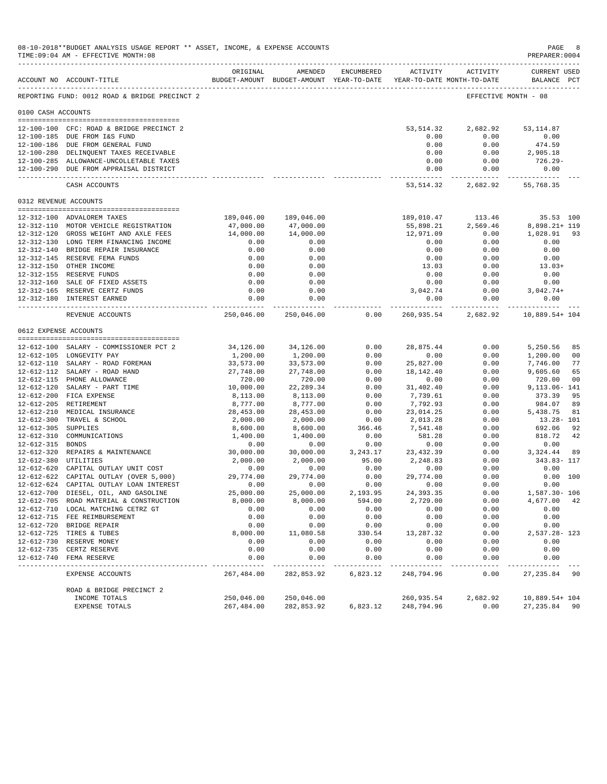|                       | 08-10-2018**BUDGET ANALYSIS USAGE REPORT ** ASSET, INCOME, & EXPENSE ACCOUNTS<br>TIME: 09:04 AM - EFFECTIVE MONTH: 08 |                           |                                                     |                |                             |                                        | PAGE<br>PREPARER: 0004      | 8              |
|-----------------------|-----------------------------------------------------------------------------------------------------------------------|---------------------------|-----------------------------------------------------|----------------|-----------------------------|----------------------------------------|-----------------------------|----------------|
|                       | ACCOUNT NO ACCOUNT-TITLE                                                                                              | ORIGINAL                  | AMENDED<br>BUDGET-AMOUNT BUDGET-AMOUNT YEAR-TO-DATE | ENCUMBERED     | <b>ACTIVITY</b>             | ACTIVITY<br>YEAR-TO-DATE MONTH-TO-DATE | CURRENT USED<br>BALANCE PCT |                |
|                       | REPORTING FUND: 0012 ROAD & BRIDGE PRECINCT 2                                                                         |                           |                                                     |                |                             |                                        | EFFECTIVE MONTH - 08        |                |
| 0100 CASH ACCOUNTS    |                                                                                                                       |                           |                                                     |                |                             |                                        |                             |                |
|                       | 12-100-100 CFC: ROAD & BRIDGE PRECINCT 2                                                                              |                           |                                                     |                | 53, 514.32                  | 2,682.92                               | 53, 114.87                  |                |
|                       | 12-100-185 DUE FROM I&S FUND                                                                                          |                           |                                                     |                | 0.00                        | 0.00                                   | 0.00                        |                |
|                       | 12-100-186 DUE FROM GENERAL FUND                                                                                      |                           |                                                     |                | 0.00                        | 0.00                                   | 474.59                      |                |
|                       | 12-100-280 DELINQUENT TAXES RECEIVABLE                                                                                |                           |                                                     |                | 0.00                        | 0.00                                   | 2,905.18                    |                |
|                       | 12-100-285 ALLOWANCE-UNCOLLETABLE TAXES<br>12-100-290 DUE FROM APPRAISAL DISTRICT                                     |                           |                                                     |                | 0.00<br>0.00                | 0.00<br>0.00                           | 726.29-<br>0.00             |                |
|                       | CASH ACCOUNTS                                                                                                         |                           |                                                     |                | -------------<br>53, 514.32 | 2,682.92                               | 55,768.35                   |                |
| 0312 REVENUE ACCOUNTS |                                                                                                                       |                           |                                                     |                |                             |                                        |                             |                |
|                       |                                                                                                                       |                           |                                                     |                |                             |                                        |                             |                |
|                       | 12-312-100 ADVALOREM TAXES                                                                                            | 189,046.00                | 189,046.00                                          |                | 189,010.47                  | 113.46                                 | 35.53 100                   |                |
|                       | 12-312-110 MOTOR VEHICLE REGISTRATION<br>12-312-120 GROSS WEIGHT AND AXLE FEES                                        | 47,000.00<br>14,000.00    | 47,000.00<br>14,000.00                              |                | 55,898.21<br>12,971.09      | 2,569.46<br>0.00                       | 8,898.21+ 119<br>1,028.91   | 93             |
|                       | 12-312-130 LONG TERM FINANCING INCOME                                                                                 | 0.00                      | 0.00                                                |                | 0.00                        | 0.00                                   | 0.00                        |                |
|                       | 12-312-140 BRIDGE REPAIR INSURANCE                                                                                    | 0.00                      | 0.00                                                |                | 0.00                        | 0.00                                   | 0.00                        |                |
|                       | 12-312-145 RESERVE FEMA FUNDS                                                                                         | 0.00                      | 0.00                                                |                | 0.00                        | 0.00                                   | 0.00                        |                |
|                       | 12-312-150 OTHER INCOME                                                                                               | 0.00                      | 0.00                                                |                | 13.03                       | 0.00                                   | $13.03+$                    |                |
|                       | 12-312-155 RESERVE FUNDS                                                                                              | 0.00                      | 0.00                                                |                | 0.00                        | 0.00                                   | 0.00                        |                |
|                       | 12-312-160 SALE OF FIXED ASSETS                                                                                       | 0.00                      | 0.00                                                |                | 0.00                        | 0.00                                   | 0.00                        |                |
|                       | 12-312-165 RESERVE CERTZ FUNDS                                                                                        | 0.00                      | 0.00                                                |                | 3,042.74                    | 0.00                                   | $3,042.74+$                 |                |
|                       | 12-312-180 INTEREST EARNED                                                                                            | 0.00<br>------------      | 0.00<br>-------------                               |                | 0.00                        | 0.00                                   | 0.00<br>______________      |                |
|                       | REVENUE ACCOUNTS                                                                                                      | 250,046.00                | 250,046.00                                          | 0.00           | 260,935.54                  | 2,682.92                               | 10,889.54+ 104              |                |
| 0612 EXPENSE ACCOUNTS |                                                                                                                       |                           |                                                     |                |                             |                                        |                             |                |
|                       | 12-612-100 SALARY - COMMISSIONER PCT 2                                                                                | 34,126.00                 | 34,126.00                                           | 0.00           | 28,875.44                   | 0.00                                   | 5,250.56                    | 85             |
|                       | 12-612-105 LONGEVITY PAY                                                                                              | 1,200.00                  | 1,200.00                                            | 0.00           | 0.00                        | 0.00                                   | 1,200.00                    | 00             |
|                       | 12-612-110 SALARY - ROAD FOREMAN                                                                                      | 33,573.00                 | 33,573.00                                           | 0.00           | 25,827.00                   | 0.00                                   | 7,746.00                    | 77             |
|                       | 12-612-112 SALARY - ROAD HAND                                                                                         | 27,748.00                 | 27,748.00                                           | 0.00           | 18, 142. 40                 | 0.00                                   | 9,605.60                    | 65             |
|                       | 12-612-115 PHONE ALLOWANCE                                                                                            | 720.00                    | 720.00                                              | 0.00           | 0.00                        | 0.00                                   | 720.00                      | 0 <sub>0</sub> |
|                       | 12-612-120 SALARY - PART TIME                                                                                         | 10,000.00                 | 22, 289.34                                          | 0.00           | 31,402.40                   | 0.00                                   | 9,113.06-141                |                |
|                       | 12-612-200 FICA EXPENSE                                                                                               | 8,113.00                  | 8,113.00                                            | 0.00           | 7,739.61                    | 0.00                                   | 373.39                      | 95             |
|                       | 12-612-205 RETIREMENT                                                                                                 | 8,777.00                  | 8,777.00                                            | 0.00           | 7,792.93                    | 0.00                                   | 984.07                      | 89             |
|                       | 12-612-210 MEDICAL INSURANCE                                                                                          | 28,453.00                 | 28,453.00                                           | 0.00           | 23,014.25                   | 0.00                                   | 5,438.75                    | 81             |
| $12 - 612 - 305$      | 12-612-300 TRAVEL & SCHOOL<br><b>SUPPLIES</b>                                                                         | 2,000.00                  | 2,000.00<br>8,600.00                                | 0.00<br>366.46 | 2,013.28<br>7,541.48        | 0.00<br>0.00                           | $13.28 - 101$<br>692.06     | 92             |
| 12-612-310            | COMMUNICATIONS                                                                                                        | 8,600.00<br>1,400.00      | 1,400.00                                            | 0.00           | 581.28                      | 0.00                                   | 818.72                      | 42             |
| 12-612-315 BONDS      |                                                                                                                       | 0.00                      | 0.00                                                | 0.00           | 0.00                        | 0.00                                   | 0.00                        |                |
|                       | 12-612-320 REPAIRS & MAINTENANCE                                                                                      | 30,000.00                 | 30,000.00                                           | 3, 243.17      | 23, 432.39                  | 0.00                                   | 3,324.44                    | 89             |
| 12-612-380 UTILITIES  |                                                                                                                       | 2,000.00                  | 2,000.00                                            | 95.00          | 2,248.83                    | 0.00                                   | 343.83- 117                 |                |
|                       | 12-612-620 CAPITAL OUTLAY UNIT COST                                                                                   | 0.00                      | 0.00                                                | 0.00           | 0.00                        | 0.00                                   | 0.00                        |                |
|                       | 12-612-622 CAPITAL OUTLAY (OVER 5,000)                                                                                | 29,774.00                 | 29,774.00                                           | 0.00           | 29,774.00                   | 0.00                                   |                             | 0.00 100       |
|                       | 12-612-624 CAPITAL OUTLAY LOAN INTEREST                                                                               | 0.00                      | 0.00                                                | 0.00           | 0.00                        | 0.00                                   | 0.00                        |                |
|                       | 12-612-700 DIESEL, OIL, AND GASOLINE                                                                                  | 25,000.00                 | 25,000.00                                           | 2,193.95       | 24, 393.35                  | 0.00                                   | 1,587.30- 106               |                |
|                       | 12-612-705 ROAD MATERIAL & CONSTRUCTION                                                                               | 8,000.00                  | 8,000.00                                            | 594.00         | 2,729.00                    | 0.00                                   | 4,677.00 42                 |                |
|                       | 12-612-710 LOCAL MATCHING CETRZ GT                                                                                    | 0.00                      | 0.00                                                | 0.00           | 0.00<br>0.00                | 0.00                                   | 0.00                        |                |
|                       | 12-612-715 FEE REIMBURSEMENT<br>12-612-720 BRIDGE REPAIR                                                              | 0.00<br>0.00              | 0.00<br>0.00                                        | 0.00<br>0.00   | 0.00                        | 0.00<br>0.00                           | 0.00<br>0.00                |                |
|                       | 12-612-725 TIRES & TUBES                                                                                              | 8,000.00                  | 11,080.58                                           | 330.54         | 13,287.32                   | 0.00                                   | 2,537.28-123                |                |
|                       | 12-612-730 RESERVE MONEY                                                                                              | 0.00                      | 0.00                                                | 0.00           | 0.00                        | 0.00                                   | 0.00                        |                |
|                       | 12-612-735 CERTZ RESERVE                                                                                              | 0.00                      | 0.00                                                | 0.00           | 0.00                        | 0.00                                   | 0.00                        |                |
|                       | 12-612-740 FEMA RESERVE                                                                                               | 0.00                      | 0.00                                                | 0.00           | 0.00                        | 0.00                                   | 0.00                        |                |
|                       | EXPENSE ACCOUNTS                                                                                                      | $- - - - -$<br>267,484.00 | 282,853.92                                          | 6,823.12       | 248,794.96                  | 0.00                                   | 27, 235.84                  | 90             |
|                       | ROAD & BRIDGE PRECINCT 2                                                                                              |                           |                                                     |                |                             |                                        |                             |                |
|                       | INCOME TOTALS                                                                                                         | 250,046.00                | 250,046.00                                          |                | 260,935.54                  | 2,682.92                               | 10,889.54+ 104              |                |
|                       | EXPENSE TOTALS                                                                                                        | 267,484.00                | 282,853.92                                          | 6,823.12       | 248,794.96                  | 0.00                                   | 27, 235.84 90               |                |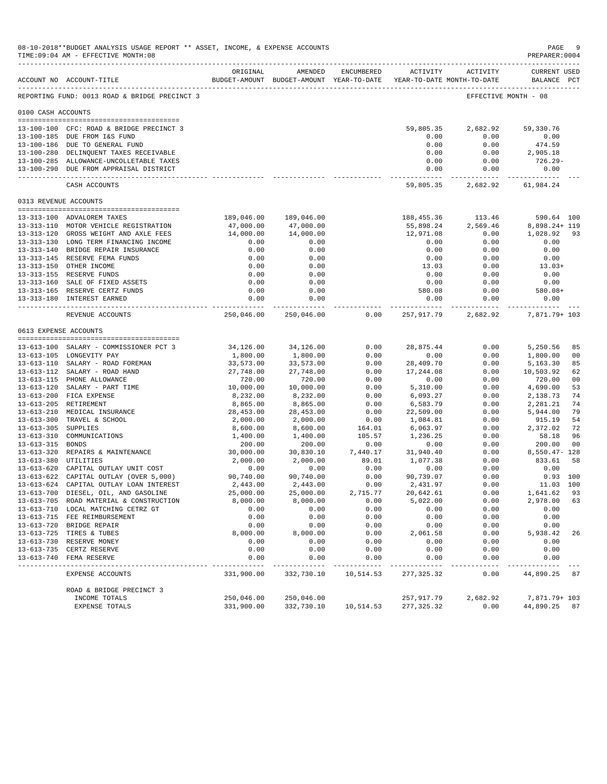|                     | 08-10-2018**BUDGET ANALYSIS USAGE REPORT ** ASSET, INCOME, & EXPENSE ACCOUNTS<br>TIME: 09:04 AM - EFFECTIVE MONTH: 08 |                         |                                                     |                  |                         |                                        | PAGE<br>PREPARER: 0004      | 9              |
|---------------------|-----------------------------------------------------------------------------------------------------------------------|-------------------------|-----------------------------------------------------|------------------|-------------------------|----------------------------------------|-----------------------------|----------------|
|                     | ACCOUNT NO ACCOUNT-TITLE                                                                                              | ORIGINAL                | AMENDED<br>BUDGET-AMOUNT BUDGET-AMOUNT YEAR-TO-DATE | ENCUMBERED       | <b>ACTIVITY</b>         | ACTIVITY<br>YEAR-TO-DATE MONTH-TO-DATE | CURRENT USED<br>BALANCE PCT |                |
|                     | REPORTING FUND: 0013 ROAD & BRIDGE PRECINCT 3                                                                         |                         |                                                     |                  |                         |                                        | EFFECTIVE MONTH - 08        |                |
| 0100 CASH ACCOUNTS  |                                                                                                                       |                         |                                                     |                  |                         |                                        |                             |                |
|                     | 13-100-100 CFC: ROAD & BRIDGE PRECINCT 3                                                                              |                         |                                                     |                  | 59,805.35               | 2,682.92                               | 59,330.76                   |                |
|                     | 13-100-185 DUE FROM I&S FUND                                                                                          |                         |                                                     |                  | 0.00                    | 0.00                                   | 0.00                        |                |
|                     | 13-100-186 DUE TO GENERAL FUND<br>13-100-280 DELINQUENT TAXES RECEIVABLE                                              |                         |                                                     |                  | 0.00<br>0.00            | 0.00<br>0.00                           | 474.59<br>2,905.18          |                |
|                     | 13-100-285 ALLOWANCE-UNCOLLETABLE TAXES                                                                               |                         |                                                     |                  | 0.00                    | 0.00                                   | 726.29-                     |                |
|                     | 13-100-290 DUE FROM APPRAISAL DISTRICT                                                                                |                         |                                                     |                  | 0.00                    | 0.00                                   | 0.00                        |                |
|                     | CASH ACCOUNTS                                                                                                         |                         |                                                     |                  | .<br>59,805.35          | 2,682.92                               | 61,984.24                   |                |
|                     | 0313 REVENUE ACCOUNTS                                                                                                 |                         |                                                     |                  |                         |                                        |                             |                |
|                     |                                                                                                                       |                         |                                                     |                  |                         |                                        |                             |                |
|                     | 13-313-100 ADVALOREM TAXES<br>13-313-110 MOTOR VEHICLE REGISTRATION                                                   | 189,046.00<br>47,000.00 | 189,046.00<br>47,000.00                             |                  | 188,455.36<br>55,898.24 | 113.46<br>2,569.46                     | 590.64 100<br>8,898.24+ 119 |                |
|                     | 13-313-120 GROSS WEIGHT AND AXLE FEES                                                                                 | 14,000.00               | 14,000.00                                           |                  | 12,971.08               | 0.00                                   | 1,028.92                    | 93             |
|                     | 13-313-130 LONG TERM FINANCING INCOME                                                                                 | 0.00                    | 0.00                                                |                  | 0.00                    | 0.00                                   | 0.00                        |                |
|                     | 13-313-140 BRIDGE REPAIR INSURANCE                                                                                    | 0.00                    | 0.00                                                |                  | 0.00                    | 0.00                                   | 0.00                        |                |
|                     | 13-313-145 RESERVE FEMA FUNDS                                                                                         | 0.00                    | 0.00                                                |                  | 0.00                    | 0.00                                   | 0.00                        |                |
|                     | 13-313-150 OTHER INCOME                                                                                               | 0.00                    | 0.00                                                |                  | 13.03                   | 0.00                                   | $13.03+$                    |                |
|                     | 13-313-155 RESERVE FUNDS                                                                                              | 0.00                    | 0.00                                                |                  | 0.00                    | 0.00                                   | 0.00                        |                |
|                     | 13-313-160 SALE OF FIXED ASSETS                                                                                       | 0.00                    | 0.00                                                |                  | 0.00                    | 0.00                                   | 0.00                        |                |
|                     | 13-313-165 RESERVE CERTZ FUNDS                                                                                        | 0.00                    | 0.00                                                |                  | 580.08                  | 0.00                                   | 580.08+                     |                |
|                     | 13-313-180 INTEREST EARNED                                                                                            | 0.00                    | 0.00<br>------------                                |                  | 0.00                    | 0.00<br>------------ ------------      | 0.00<br>--------------      |                |
|                     | REVENUE ACCOUNTS                                                                                                      | 250,046.00              | 250,046.00                                          | 0.00             | 257,917.79              | 2,682.92                               | 7,871.79+ 103               |                |
|                     | 0613 EXPENSE ACCOUNTS                                                                                                 |                         |                                                     |                  |                         |                                        |                             |                |
|                     | 13-613-100 SALARY - COMMISSIONER PCT 3                                                                                | 34,126.00               | 34,126.00                                           | 0.00             | 28,875.44               | 0.00                                   | 5,250.56                    | 85             |
|                     | 13-613-105 LONGEVITY PAY                                                                                              | 1,800.00                | 1,800.00                                            | 0.00             | 0.00                    | 0.00                                   | 1,800.00                    | 00             |
|                     | 13-613-110 SALARY - ROAD FOREMAN                                                                                      | 33,573.00               | 33,573.00                                           | 0.00             | 28,409.70               | 0.00                                   | 5,163.30                    | 85             |
|                     | 13-613-112 SALARY - ROAD HAND                                                                                         | 27,748.00               | 27,748.00                                           | 0.00             | 17,244.08               | 0.00                                   | 10,503.92                   | 62             |
|                     | 13-613-115 PHONE ALLOWANCE                                                                                            | 720.00                  | 720.00                                              | 0.00             | 0.00                    | 0.00                                   | 720.00                      | 0 <sub>0</sub> |
|                     | 13-613-120 SALARY - PART TIME                                                                                         | 10,000.00               | 10,000.00                                           | 0.00             | 5,310.00                | 0.00                                   | 4,690.00                    | 53             |
|                     | 13-613-200 FICA EXPENSE                                                                                               | 8,232.00                | 8,232.00                                            | 0.00             | 6,093.27                | 0.00                                   | 2,138.73                    | 74             |
|                     | 13-613-205 RETIREMENT<br>13-613-210 MEDICAL INSURANCE                                                                 | 8,865.00<br>28,453.00   | 8,865.00<br>28,453.00                               | 0.00<br>0.00     | 6,583.79<br>22,509.00   | 0.00<br>0.00                           | 2,281.21<br>5,944.00        | 74<br>79       |
|                     | 13-613-300 TRAVEL & SCHOOL                                                                                            | 2,000.00                | 2,000.00                                            | 0.00             | 1,084.81                | 0.00                                   | 915.19                      | 54             |
| 13-613-305 SUPPLIES |                                                                                                                       | 8,600.00                | 8,600.00                                            | 164.01           | 6,063.97                | 0.00                                   | 2,372.02                    | 72             |
|                     | 13-613-310 COMMUNICATIONS                                                                                             | 1,400.00                | 1,400.00                                            | 105.57           | 1,236.25                | 0.00                                   | 58.18                       | 96             |
| 13-613-315 BONDS    |                                                                                                                       | 200.00                  | 200.00                                              | 0.00             | 0.00                    | 0.00                                   | 200.00                      | 0 <sub>0</sub> |
|                     | 13-613-320 REPAIRS & MAINTENANCE                                                                                      | 30,000.00               | 30,830.10                                           | 7,440.17         | 31,940.40               | 0.00                                   | 8,550.47- 128               |                |
|                     | 13-613-380 UTILITIES                                                                                                  | 2,000.00                | 2,000.00                                            | 89.01            | 1,077.38                | 0.00                                   | 833.61                      | 58             |
|                     | 13-613-620 CAPITAL OUTLAY UNIT COST                                                                                   | 0.00                    | 0.00                                                | 0.00             | 0.00                    | 0.00                                   | 0.00                        |                |
|                     | 13-613-622 CAPITAL OUTLAY (OVER 5,000)                                                                                | 90,740.00               | 90,740.00                                           | 0.00             | 90,739.07               | 0.00                                   |                             | 0.93 100       |
|                     | 13-613-624 CAPITAL OUTLAY LOAN INTEREST<br>13-613-700 DIESEL, OIL, AND GASOLINE                                       | 2,443.00                | 2,443.00                                            | 0.00             | 2,431.97                | 0.00                                   | 11.03 100                   |                |
|                     | 13-613-705 ROAD MATERIAL & CONSTRUCTION                                                                               | 25,000.00<br>8,000.00   | 25,000.00<br>8,000.00                               | 2,715.77<br>0.00 | 20,642.61<br>5,022.00   | 0.00<br>0.00                           | 1,641.62<br>2,978.00        | 93<br>63       |
|                     | 13-613-710 LOCAL MATCHING CETRZ GT                                                                                    | 0.00                    | 0.00                                                | 0.00             | 0.00                    | 0.00                                   | 0.00                        |                |
|                     | 13-613-715 FEE REIMBURSEMENT                                                                                          | 0.00                    | 0.00                                                | 0.00             | 0.00                    | 0.00                                   | 0.00                        |                |
|                     | 13-613-720 BRIDGE REPAIR                                                                                              | 0.00                    | 0.00                                                | 0.00             | 0.00                    | 0.00                                   | 0.00                        |                |
|                     | 13-613-725 TIRES & TUBES                                                                                              | 8,000.00                | 8,000.00                                            | 0.00             | 2,061.58                | 0.00                                   | 5,938.42                    | 26             |
|                     | 13-613-730 RESERVE MONEY                                                                                              | 0.00                    | 0.00                                                | 0.00             | 0.00                    | 0.00                                   | 0.00                        |                |
|                     | 13-613-735 CERTZ RESERVE                                                                                              | 0.00                    | 0.00                                                | 0.00             | 0.00                    | 0.00                                   | 0.00                        |                |
|                     | 13-613-740 FEMA RESERVE                                                                                               | 0.00<br>$---$           | 0.00                                                | 0.00             | 0.00                    | 0.00                                   | 0.00                        |                |
|                     | EXPENSE ACCOUNTS                                                                                                      | 331,900.00              | 332,730.10                                          | 10,514.53        | 277,325.32              | 0.00                                   | 44,890.25                   | 87             |
|                     | ROAD & BRIDGE PRECINCT 3                                                                                              |                         |                                                     |                  |                         |                                        |                             |                |
|                     | INCOME TOTALS                                                                                                         | 250,046.00              | 250,046.00                                          |                  | 257,917.79              | 2,682.92                               | 7,871.79+ 103               |                |
|                     | EXPENSE TOTALS                                                                                                        | 331,900.00              | 332,730.10                                          | 10,514.53        | 277,325.32              | 0.00                                   | 44,890.25 87                |                |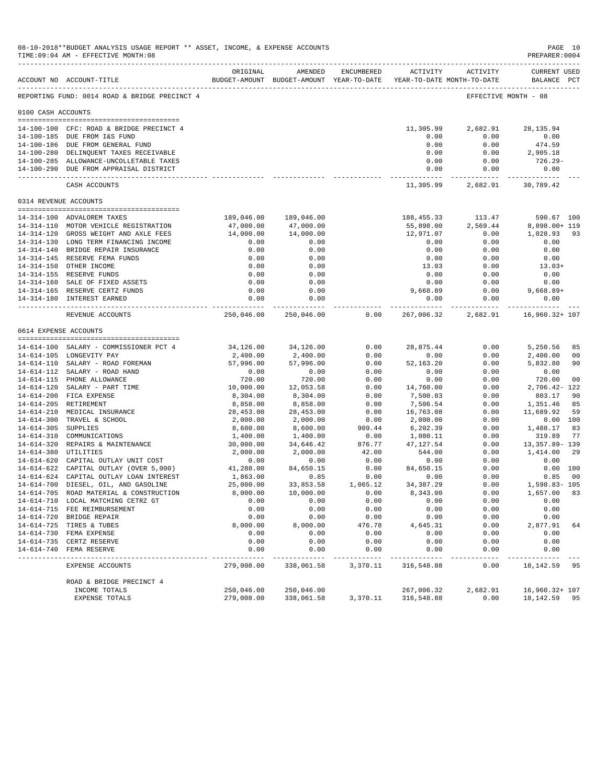|                     | 08-10-2018**BUDGET ANALYSIS USAGE REPORT ** ASSET, INCOME, & EXPENSE ACCOUNTS<br>TIME: 09:04 AM - EFFECTIVE MONTH: 08 |                       |                                                                                |              |                                    |                                     | PAGE 10<br>PREPARER: 0004          |                      |
|---------------------|-----------------------------------------------------------------------------------------------------------------------|-----------------------|--------------------------------------------------------------------------------|--------------|------------------------------------|-------------------------------------|------------------------------------|----------------------|
|                     | ACCOUNT NO ACCOUNT-TITLE                                                                                              | ORIGINAL              | AMENDED<br>BUDGET-AMOUNT BUDGET-AMOUNT YEAR-TO-DATE YEAR-TO-DATE MONTH-TO-DATE |              | ---------------------------------- | ENCUMBERED ACTIVITY ACTIVITY        | <b>CURRENT USED</b><br>BALANCE PCT |                      |
|                     | REPORTING FUND: 0014 ROAD & BRIDGE PRECINCT 4                                                                         |                       |                                                                                |              |                                    | EFFECTIVE MONTH - 08                |                                    |                      |
|                     |                                                                                                                       |                       |                                                                                |              |                                    |                                     |                                    |                      |
| 0100 CASH ACCOUNTS  |                                                                                                                       |                       |                                                                                |              |                                    |                                     |                                    |                      |
|                     | 14-100-100 CFC: ROAD & BRIDGE PRECINCT 4                                                                              |                       |                                                                                |              | 11,305.99                          | 2,682.91                            | 28, 135.94                         |                      |
|                     | 14-100-185 DUE FROM I&S FUND                                                                                          |                       |                                                                                |              | 0.00                               | 0.00                                | 0.00                               |                      |
|                     | 14-100-186 DUE FROM GENERAL FUND                                                                                      |                       |                                                                                |              | 0.00                               | 0.00                                | 474.59                             |                      |
|                     | 14-100-280 DELINQUENT TAXES RECEIVABLE                                                                                |                       |                                                                                |              | 0.00                               | 0.00                                | 2,905.18                           |                      |
|                     | 14-100-285 ALLOWANCE-UNCOLLETABLE TAXES                                                                               |                       |                                                                                |              | 0.00                               | 0.00                                | 726.29-                            |                      |
|                     | 14-100-290 DUE FROM APPRAISAL DISTRICT                                                                                |                       |                                                                                |              | 0.00                               | 0.00<br>.                           | 0.00                               |                      |
|                     | CASH ACCOUNTS                                                                                                         |                       |                                                                                |              | 11,305.99                          | 2,682.91                            | 30,789.42                          |                      |
|                     | 0314 REVENUE ACCOUNTS                                                                                                 |                       |                                                                                |              |                                    |                                     |                                    |                      |
|                     |                                                                                                                       |                       |                                                                                |              |                                    |                                     |                                    |                      |
|                     | 14-314-100 ADVALOREM TAXES<br>14-314-110 MOTOR VEHICLE REGISTRATION                                                   | 47,000.00             | 189,046.00 189,046.00<br>47,000.00                                             |              | 188,455.33<br>55,898.00            | 113.47<br>2,569.44                  | 590.67 100<br>8,898.00+ 119        |                      |
|                     | 14-314-120 GROSS WEIGHT AND AXLE FEES                                                                                 | 14,000.00             | 14,000.00                                                                      |              | 12,971.07                          | 0.00                                | 1,028.93                           | 93                   |
|                     | 14-314-130 LONG TERM FINANCING INCOME                                                                                 | 0.00                  | 0.00                                                                           |              | 0.00                               | 0.00                                | 0.00                               |                      |
|                     | 14-314-140 BRIDGE REPAIR INSURANCE                                                                                    | 0.00                  | 0.00                                                                           |              | 0.00                               | 0.00                                | 0.00                               |                      |
|                     | 14-314-145 RESERVE FEMA FUNDS                                                                                         | 0.00                  | 0.00                                                                           |              | 0.00                               | 0.00                                | 0.00                               |                      |
|                     | 14-314-150 OTHER INCOME                                                                                               | 0.00                  | 0.00                                                                           |              | 13.03                              | 0.00                                | $13.03+$                           |                      |
|                     | 14-314-155 RESERVE FUNDS                                                                                              | 0.00                  | 0.00                                                                           |              | 0.00                               | 0.00                                | 0.00                               |                      |
|                     | 14-314-160 SALE OF FIXED ASSETS                                                                                       | 0.00                  | 0.00                                                                           |              | 0.00                               | 0.00                                | 0.00                               |                      |
|                     | 14-314-165 RESERVE CERTZ FUNDS                                                                                        | 0.00                  | 0.00                                                                           |              | 9,668.89                           | 0.00                                | $9,668.89+$                        |                      |
|                     | 14-314-180 INTEREST EARNED                                                                                            | 0.00<br>.             | 0.00<br>-------------                                                          |              | 0.00                               | 0.00<br>-------------- ------------ | 0.00<br>______________             |                      |
|                     | REVENUE ACCOUNTS                                                                                                      | 250,046.00            | 250,046.00                                                                     | 0.00         | 267,006.32                         | 2,682.91                            | 16,960.32+ 107                     |                      |
|                     | 0614 EXPENSE ACCOUNTS                                                                                                 |                       |                                                                                |              |                                    |                                     |                                    |                      |
|                     |                                                                                                                       |                       |                                                                                |              |                                    |                                     |                                    |                      |
|                     | 14-614-100 SALARY - COMMISSIONER PCT 4<br>14-614-105 LONGEVITY PAY                                                    | 34,126.00             | 34,126.00                                                                      | 0.00<br>0.00 | 28,875.44                          | 0.00<br>0.00                        | 5,250.56                           | 85<br>0 <sup>0</sup> |
|                     | 14-614-110 SALARY - ROAD FOREMAN                                                                                      | 2,400.00<br>57,996.00 | 2,400.00<br>57,996.00                                                          | 0.00         | 0.00<br>52, 163. 20                | 0.00                                | 2,400.00<br>5,832.80               | 90                   |
|                     | 14-614-112 SALARY - ROAD HAND                                                                                         | 0.00                  | 0.00                                                                           | 0.00         | 0.00                               | 0.00                                | 0.00                               |                      |
|                     | 14-614-115 PHONE ALLOWANCE                                                                                            | 720.00                | 720.00                                                                         | 0.00         | 0.00                               | 0.00                                | 720.00                             | 0 <sub>0</sub>       |
|                     | 14-614-120 SALARY - PART TIME                                                                                         | 10,000.00             | 12,053.58                                                                      | 0.00         | 14,760.00                          | 0.00                                | 2,706.42-122                       |                      |
|                     | 14-614-200 FICA EXPENSE                                                                                               | 8,304.00              | 8,304.00                                                                       | 0.00         | 7,500.83                           | 0.00                                | 803.17                             | 90                   |
|                     | 14-614-205 RETIREMENT                                                                                                 | 8,858.00              | 8,858.00                                                                       | 0.00         | 7,506.54                           | 0.00                                | 1,351.46                           | 85                   |
|                     | 14-614-210 MEDICAL INSURANCE                                                                                          | 28,453.00             | 28,453.00                                                                      | 0.00         | 16,763.08                          | 0.00                                | 11,689.92                          | 59                   |
|                     | 14-614-300 TRAVEL & SCHOOL                                                                                            | 2,000.00              | 2,000.00                                                                       | 0.00         | 2,000.00                           | 0.00                                | 0.00 100                           |                      |
| 14-614-305 SUPPLIES |                                                                                                                       | 8,600.00              | 8,600.00                                                                       | 909.44       | 6,202.39                           | 0.00                                | 1,488.17                           | 83                   |
|                     | 14-614-310 COMMUNICATIONS                                                                                             | 1,400.00              | 1,400.00                                                                       | 0.00         | 1,080.11                           | 0.00                                | 319.89                             | 77                   |
|                     | 14-614-320 REPAIRS & MAINTENANCE                                                                                      | 30,000.00             | 34,646.42                                                                      | 876.77       | 47, 127.54                         | 0.00                                | 13,357.89- 139                     |                      |
|                     | 14-614-380 UTILITIES                                                                                                  | 2,000.00              | 2,000.00                                                                       | 42.00        | 544.00                             | 0.00                                | 1,414.00                           | 29                   |
|                     | 14-614-620 CAPITAL OUTLAY UNIT COST<br>14-614-622 CAPITAL OUTLAY (OVER 5,000)                                         | 0.00<br>41,288.00     | 0.00<br>84,650.15                                                              | 0.00<br>0.00 | 0.00<br>84,650.15                  | 0.00<br>0.00                        | 0.00<br>0.00 100                   |                      |
|                     | 14-614-624 CAPITAL OUTLAY LOAN INTEREST                                                                               | 1,863.00              | 0.85                                                                           | 0.00         | 0.00                               | 0.00                                | 0.85                               | 00                   |
|                     | 14-614-700 DIESEL, OIL, AND GASOLINE                                                                                  | 25,000.00             | 33,853.58                                                                      | 1,065.12     | 34, 387.29                         | 0.00                                | 1,598.83-105                       |                      |
|                     | 14-614-705 ROAD MATERIAL & CONSTRUCTION                                                                               | 8,000.00              | 10,000.00                                                                      | 0.00         | 8,343.00                           | 0.00                                | 1,657.00                           | 83                   |
|                     | 14-614-710 LOCAL MATCHING CETRZ GT                                                                                    | 0.00                  | 0.00                                                                           | 0.00         | 0.00                               | 0.00                                | 0.00                               |                      |
|                     | 14-614-715 FEE REIMBURSEMENT                                                                                          | 0.00                  | 0.00                                                                           | 0.00         | 0.00                               | 0.00                                | 0.00                               |                      |
|                     | 14-614-720 BRIDGE REPAIR                                                                                              | 0.00                  | 0.00                                                                           | 0.00         | 0.00                               | 0.00                                | 0.00                               |                      |
|                     | 14-614-725 TIRES & TUBES                                                                                              | 8,000.00              | 8,000.00                                                                       | 476.78       | 4,645.31                           | 0.00                                | 2,877.91                           | 64                   |
|                     | 14-614-730 FEMA EXPENSE                                                                                               | 0.00                  | 0.00                                                                           | 0.00         | 0.00                               | 0.00                                | 0.00                               |                      |
|                     | 14-614-735 CERTZ RESERVE                                                                                              | 0.00                  | 0.00                                                                           | 0.00         | 0.00                               | 0.00                                | 0.00                               |                      |
| $14 - 614 - 740$    | FEMA RESERVE                                                                                                          | 0.00                  | 0.00                                                                           | 0.00         | 0.00                               | 0.00                                | 0.00                               |                      |
|                     | EXPENSE ACCOUNTS                                                                                                      | 279,008.00            | 338,061.58                                                                     | 3,370.11     | 316,548.88                         | 0.00                                | 18,142.59                          | 95                   |
|                     | ROAD & BRIDGE PRECINCT 4                                                                                              |                       |                                                                                |              |                                    |                                     |                                    |                      |
|                     | INCOME TOTALS                                                                                                         | 250,046.00            | 250,046.00                                                                     |              | 267,006.32                         | 2,682.91                            | 16,960.32+ 107                     |                      |
|                     | EXPENSE TOTALS                                                                                                        | 279,008.00            | 338,061.58                                                                     | 3,370.11     | 316,548.88                         | 0.00                                | 18, 142. 59 95                     |                      |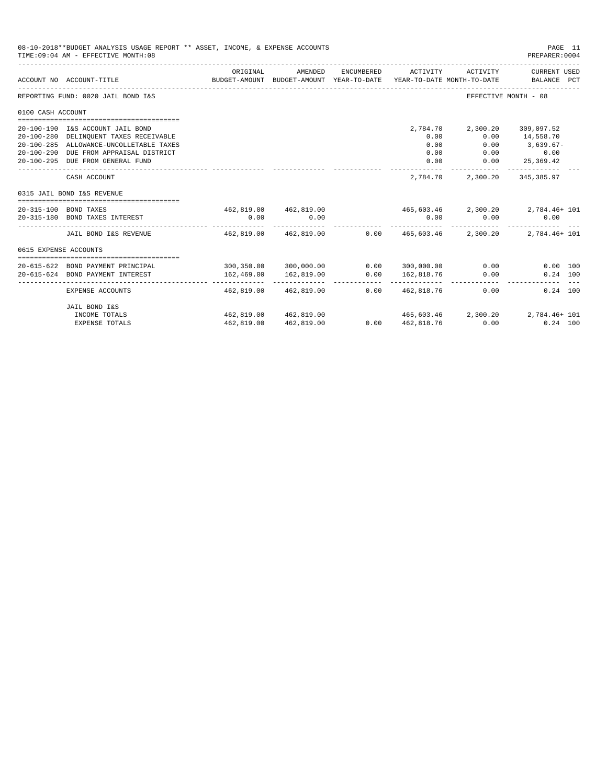|                       | 08-10-2018**BUDGET ANALYSIS USAGE REPORT ** ASSET, INCOME, & EXPENSE ACCOUNTS<br>TIME: 09:04 AM - EFFECTIVE MONTH: 08<br>PREPARER: 0004 |                                               |                                                                                |            |            |                                        |                                      |  |  |
|-----------------------|-----------------------------------------------------------------------------------------------------------------------------------------|-----------------------------------------------|--------------------------------------------------------------------------------|------------|------------|----------------------------------------|--------------------------------------|--|--|
|                       | ACCOUNT NO ACCOUNT-TITLE                                                                                                                | ORIGINAL                                      | AMENDED<br>BUDGET-AMOUNT BUDGET-AMOUNT YEAR-TO-DATE YEAR-TO-DATE MONTH-TO-DATE | ENCUMBERED | ACTIVITY   |                                        | ACTIVITY CURRENT USED<br>BALANCE PCT |  |  |
|                       | REPORTING FUND: 0020 JAIL BOND I&S                                                                                                      |                                               |                                                                                |            |            | EFFECTIVE MONTH - 08                   |                                      |  |  |
| 0100 CASH ACCOUNT     |                                                                                                                                         |                                               |                                                                                |            |            |                                        |                                      |  |  |
|                       |                                                                                                                                         |                                               |                                                                                |            |            |                                        |                                      |  |  |
|                       | 20-100-190 I&S ACCOUNT JAIL BOND                                                                                                        |                                               |                                                                                |            | 2,784.70   | 2,300.20                               | 309,097.52                           |  |  |
|                       | 20-100-280 DELINQUENT TAXES RECEIVABLE                                                                                                  |                                               |                                                                                |            | 0.00       |                                        | $0.00$ 14,558.70                     |  |  |
|                       | 20-100-285 ALLOWANCE-UNCOLLETABLE TAXES                                                                                                 |                                               |                                                                                |            | 0.00       | 0.00                                   | $3,639.67-$                          |  |  |
|                       | 20-100-290 DUE FROM APPRAISAL DISTRICT                                                                                                  |                                               |                                                                                |            | 0.00       |                                        | $0.00$ $0.00$                        |  |  |
|                       | 20-100-295 DUE FROM GENERAL FUND                                                                                                        |                                               |                                                                                |            | 0.00       | 0.00                                   | 25,369.42                            |  |  |
|                       | CASH ACCOUNT                                                                                                                            |                                               |                                                                                |            | 2,784.70   |                                        | 2,300.20 345,385.97                  |  |  |
|                       | 0315 JAIL BOND I&S REVENUE                                                                                                              |                                               |                                                                                |            |            |                                        |                                      |  |  |
|                       |                                                                                                                                         |                                               |                                                                                |            |            |                                        |                                      |  |  |
|                       | 20-315-100 BOND TAXES                                                                                                                   |                                               | 462,819.00 462,819.00                                                          |            |            | $465,603.46$ $2,300.20$ $2,784.46+101$ |                                      |  |  |
|                       | 20-315-180 BOND TAXES INTEREST                                                                                                          | 0.00                                          | 0.00                                                                           |            | 0.00       | 0.00                                   | 0.00                                 |  |  |
|                       | JAIL BOND I&S REVENUE                                                                                                                   | $462,819.00$ $462,819.00$ $0.00$ $465,603.46$ |                                                                                |            |            |                                        | 2,300.20 2,784.46+ 101               |  |  |
| 0615 EXPENSE ACCOUNTS |                                                                                                                                         |                                               |                                                                                |            |            |                                        |                                      |  |  |
|                       | 20-615-622 BOND PAYMENT PRINCIPAL                                                                                                       |                                               | $300, 350.00$ $300, 000.00$ $0.00$ $300, 000.00$                               |            |            | $0.00$ and $0.00$                      | $0.00$ 100                           |  |  |
|                       | 20-615-624 BOND PAYMENT INTEREST                                                                                                        | 162,469.00                                    | 162,819.00                                                                     | 0.00       | 162,818.76 | 0.00                                   | $0.24$ 100                           |  |  |
|                       | EXPENSE ACCOUNTS                                                                                                                        | ---------- -                                  | 462,819.00 462,819.00                                                          | 0.00       | 462,818.76 | 0.00                                   | $0.24$ 100                           |  |  |
|                       | JAIL BOND I&S                                                                                                                           |                                               |                                                                                |            |            |                                        |                                      |  |  |
|                       | INCOME TOTALS                                                                                                                           |                                               | 462,819.00 462,819.00                                                          |            |            | $465,603.46$ $2,300.20$ $2,784.46+101$ |                                      |  |  |
|                       | <b>EXPENSE TOTALS</b>                                                                                                                   | 462,819.00                                    | 462,819.00                                                                     | 0.00       | 462,818.76 | 0.00                                   | $0.24$ 100                           |  |  |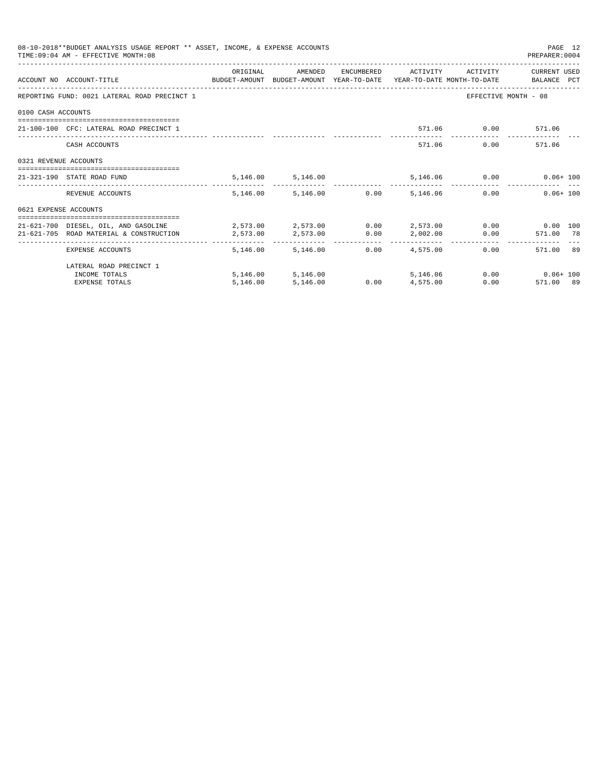|                       | 08-10-2018**BUDGET ANALYSIS USAGE REPORT ** ASSET, INCOME, & EXPENSE ACCOUNTS<br>TIME: 09:04 AM - EFFECTIVE MONTH: 08 |           |                                        |              |                     |                    | PAGE 12<br>PREPARER: 0004  |  |
|-----------------------|-----------------------------------------------------------------------------------------------------------------------|-----------|----------------------------------------|--------------|---------------------|--------------------|----------------------------|--|
|                       |                                                                                                                       | ORIGINAL  | AMENDED                                |              | ENCUMBERED ACTIVITY | ACTIVITY           | CURRENT USED               |  |
|                       | ACCOUNT NO ACCOUNT-TITLE CONTROL SUDGET-AMOUNT BUDGET-AMOUNT YEAR-TO-DATE YEAR-TO-DATE MONTH-TO-DATE BALANCE PCT      |           |                                        |              |                     |                    |                            |  |
|                       | REPORTING FUND: 0021 LATERAL ROAD PRECINCT 1                                                                          |           |                                        |              |                     |                    | EFFECTIVE MONTH - 08       |  |
| 0100 CASH ACCOUNTS    |                                                                                                                       |           |                                        |              |                     |                    |                            |  |
|                       | 21-100-100 CFC: LATERAL ROAD PRECINCT 1                                                                               |           |                                        |              |                     | 571.06 0.00 571.06 |                            |  |
|                       | CASH ACCOUNTS                                                                                                         |           |                                        |              |                     | 571.06             | 0.00<br>571.06             |  |
| 0321 REVENUE ACCOUNTS | ------------------------------------                                                                                  |           |                                        |              |                     |                    |                            |  |
|                       | 21-321-190 STATE ROAD FUND                                                                                            |           | 5,146.00 5,146.00                      |              |                     |                    | 5,146.06   0.00   0.06+100 |  |
|                       | REVENUE ACCOUNTS                                                                                                      |           | 5,146.00 5,146.00 0.00                 |              | 5,146,06            |                    | 0.00<br>$0.06 + 100$       |  |
| 0621 EXPENSE ACCOUNTS |                                                                                                                       |           |                                        |              |                     |                    |                            |  |
|                       | 21-621-700 DIESEL, OIL, AND GASOLINE $2,573.00$ $2,573.00$ $0.00$ $2,573.00$ $0.00$ $0.00$ $0.00$ $0.00$              |           |                                        |              |                     |                    |                            |  |
|                       | 21-621-705 ROAD MATERIAL & CONSTRUCTION                                                                               | 2,573.00  | 2,573.00                               | 0.00         |                     | $2,002.00$ 0.00    | 571.00 78                  |  |
|                       | EXPENSE ACCOUNTS                                                                                                      | --------- | ------------- -<br>5, 146.00 5, 146.00 | ------------ | $0.00$ $4.575.00$   |                    | 571.00 89<br>0.00          |  |
|                       | LATERAL ROAD PRECINCT 1                                                                                               |           |                                        |              |                     |                    |                            |  |
|                       | INCOME TOTALS                                                                                                         |           | 5,146.00 5,146.00                      |              |                     | 5, 146, 06         | $0.00$ $0.06 + 100$        |  |
|                       | <b>EXPENSE TOTALS</b>                                                                                                 | 5.146.00  | 5,146.00                               | 0.00         | 4,575.00            |                    | 0.00<br>571.00 89          |  |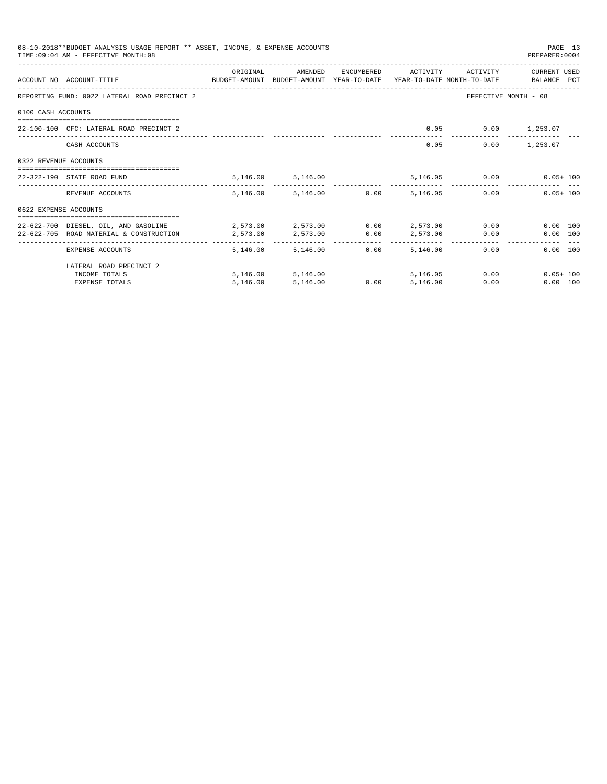|                       | 08-10-2018**BUDGET ANALYSIS USAGE REPORT ** ASSET, INCOME, & EXPENSE ACCOUNTS<br>TIME: 09:04 AM - EFFECTIVE MONTH: 08 |                                         |                        |      |                     |                          | PAGE 13<br>PREPARER: 0004                                                       |
|-----------------------|-----------------------------------------------------------------------------------------------------------------------|-----------------------------------------|------------------------|------|---------------------|--------------------------|---------------------------------------------------------------------------------|
|                       |                                                                                                                       | ORIGINAL                                | AMENDED                |      | ENCUMBERED ACTIVITY | ACTIVITY                 | CURRENT USED                                                                    |
|                       | ACCOUNT NO ACCOUNT-TITLE                                                                                              |                                         |                        |      |                     |                          | BUDGET-AMOUNT BUDGET-AMOUNT YEAR-TO-DATE YEAR-TO-DATE MONTH-TO-DATE BALANCE PCT |
|                       | REPORTING FUND: 0022 LATERAL ROAD PRECINCT 2                                                                          |                                         |                        |      |                     |                          | EFFECTIVE MONTH - 08                                                            |
| 0100 CASH ACCOUNTS    |                                                                                                                       |                                         |                        |      |                     |                          |                                                                                 |
|                       | 22-100-100 CFC: LATERAL ROAD PRECINCT 2                                                                               |                                         |                        |      |                     | $0.05$ $0.00$ $1,253.07$ |                                                                                 |
|                       | CASH ACCOUNTS                                                                                                         |                                         |                        |      | 0.05                |                          | $0.00$ 1,253.07                                                                 |
| 0322 REVENUE ACCOUNTS |                                                                                                                       |                                         |                        |      |                     |                          |                                                                                 |
|                       | 22-322-190 STATE ROAD FUND                                                                                            |                                         | 5, 146.00 5, 146.00    |      |                     |                          | 5,146.05   0.00   0.05+100                                                      |
|                       | REVENUE ACCOUNTS                                                                                                      |                                         | 5,146.00 5,146.00 0.00 |      | 5,146.05            |                          | $0.05 + 100$<br>$0.00$ and $0.00$                                               |
| 0622 EXPENSE ACCOUNTS |                                                                                                                       |                                         |                        |      |                     |                          |                                                                                 |
|                       | 22-622-700 DIESEL, OIL, AND GASOLINE                                                                                  | $2.573.00$ $2.573.00$ $0.00$ $2.573.00$ |                        |      |                     |                          | $0.00$ and $0.00$<br>$0.00$ 100                                                 |
|                       | 22-622-705 ROAD MATERIAL & CONSTRUCTION                                                                               | 2,573.00                                | 2,573.00               | 0.00 |                     | 2,573.00                 | 0.00<br>0.00 100                                                                |
|                       | EXPENSE ACCOUNTS                                                                                                      | ---------                               | 5, 146.00 5, 146.00    | 0.00 | 5,146,00            | 0.00                     | $0.00$ 100                                                                      |
|                       | LATERAL ROAD PRECINCT 2                                                                                               |                                         |                        |      |                     |                          |                                                                                 |
|                       | INCOME TOTALS                                                                                                         |                                         | 5,146.00 5,146.00      |      | 5, 146, 05          |                          | 0.00<br>$0.05 + 100$                                                            |
|                       | <b>EXPENSE TOTALS</b>                                                                                                 | 5,146.00                                | 5,146.00               | 0.00 | 5.146.00            | 0.00                     | 0.00 100                                                                        |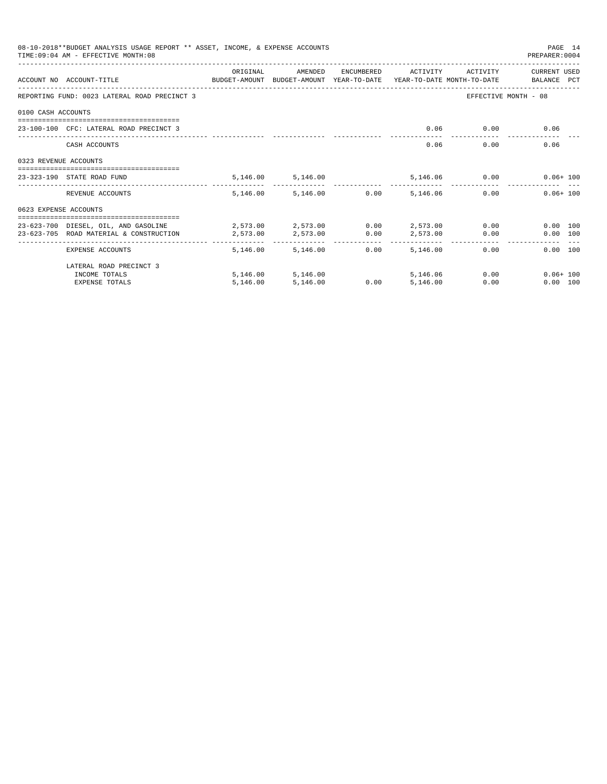|                       | 08-10-2018**BUDGET ANALYSIS USAGE REPORT ** ASSET, INCOME, & EXPENSE ACCOUNTS<br>TIME: 09:04 AM - EFFECTIVE MONTH: 08 |                                                     |                                                                |      |                     |               | PAGE 14<br>PREPARER: 0004                 |  |
|-----------------------|-----------------------------------------------------------------------------------------------------------------------|-----------------------------------------------------|----------------------------------------------------------------|------|---------------------|---------------|-------------------------------------------|--|
|                       | ACCOUNT NO ACCOUNT-TITLE CONTROL SUDGET-AMOUNT BUDGET-AMOUNT YEAR-TO-DATE YEAR-TO-DATE MONTH-TO-DATE BALANCE PCT      | ORIGINAL                                            | AMENDED                                                        |      | ENCUMBERED ACTIVITY | ACTIVITY      | CURRENT USED                              |  |
|                       | REPORTING FUND: 0023 LATERAL ROAD PRECINCT 3                                                                          |                                                     |                                                                |      |                     |               | EFFECTIVE MONTH - 08                      |  |
| 0100 CASH ACCOUNTS    |                                                                                                                       |                                                     |                                                                |      |                     |               |                                           |  |
|                       | 23-100-100 CFC: LATERAL ROAD PRECINCT 3                                                                               |                                                     |                                                                |      | 0.06                | 0.00          | 0.06                                      |  |
|                       | CASH ACCOUNTS                                                                                                         |                                                     |                                                                |      | 0.06                | 0.00          | 0.06                                      |  |
| 0323 REVENUE ACCOUNTS |                                                                                                                       |                                                     |                                                                |      |                     |               |                                           |  |
|                       | ---------------------------------<br>23-323-190 STATE ROAD FUND                                                       |                                                     | 5, 146.00 5, 146.00                                            |      |                     | 5,146.06 0.00 | $0.06 + 100$                              |  |
|                       | REVENUE ACCOUNTS                                                                                                      |                                                     | 5,146.00 5,146.00 0.00                                         |      | 5,146,06            |               | $0.06 + 100$<br>0.00                      |  |
| 0623 EXPENSE ACCOUNTS |                                                                                                                       |                                                     |                                                                |      |                     |               |                                           |  |
|                       | 23-623-700 DIESEL, OIL, AND GASOLINE<br>23-623-705 ROAD MATERIAL & CONSTRUCTION                                       | $2,573.00$ $2,573.00$ $0.00$ $2,573.00$<br>2,573.00 | 2,573.00                                                       | 0.00 | 2,573.00            | 0.00          | $0.00$ and $0.00$<br>0.00 100<br>0.00 100 |  |
|                       | EXPENSE ACCOUNTS                                                                                                      |                                                     | -------- ------------- ---------- ---<br>5, 146, 00 5, 146, 00 | 0.00 | 5,146,00            | 0.00          | 0.00 100                                  |  |
|                       | LATERAL ROAD PRECINCT 3                                                                                               |                                                     |                                                                |      |                     |               |                                           |  |
|                       | INCOME TOTALS                                                                                                         |                                                     | 5,146.00 5,146.00                                              |      | 5,146.06            |               | 0.00<br>$0.06 + 100$                      |  |
|                       | <b>EXPENSE TOTALS</b>                                                                                                 | 5,146.00                                            | 5,146.00                                                       | 0.00 | 5,146.00            | 0.00          | 0.00 100                                  |  |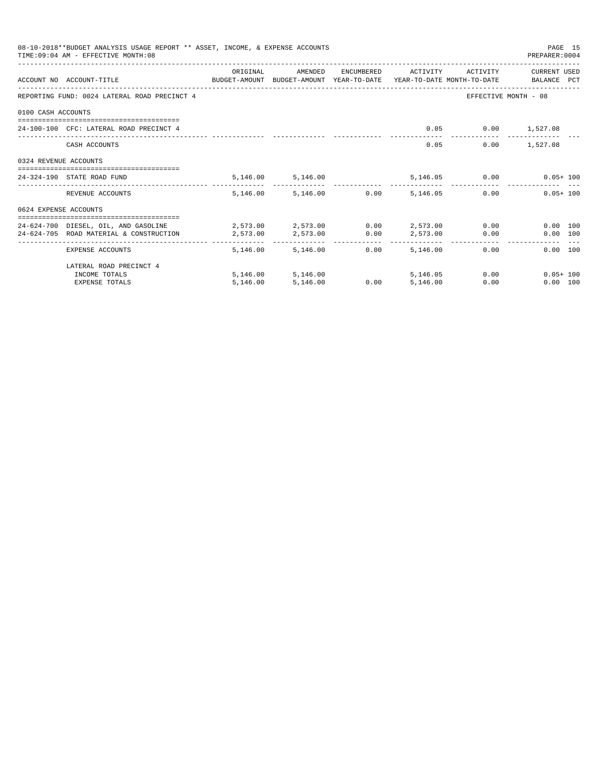| 08-10-2018**BUDGET ANALYSIS USAGE REPORT ** ASSET, INCOME, & EXPENSE ACCOUNTS<br>TIME: 09:04 AM - EFFECTIVE MONTH: 08<br>PREPARER: 0004 |                                                                                                                  |                                             |                        |            |                        |               |                      |  |  |  |
|-----------------------------------------------------------------------------------------------------------------------------------------|------------------------------------------------------------------------------------------------------------------|---------------------------------------------|------------------------|------------|------------------------|---------------|----------------------|--|--|--|
|                                                                                                                                         | ACCOUNT NO ACCOUNT-TITLE CONTROL SUDGET-AMOUNT BUDGET-AMOUNT YEAR-TO-DATE YEAR-TO-DATE MONTH-TO-DATE BALANCE PCT | ORIGINAL                                    | AMENDED                | ENCUMBERED | ACTIVITY               | ACTIVITY      | CURRENT USED         |  |  |  |
|                                                                                                                                         | REPORTING FUND: 0024 LATERAL ROAD PRECINCT 4                                                                     |                                             |                        |            |                        |               | EFFECTIVE MONTH - 08 |  |  |  |
| 0100 CASH ACCOUNTS                                                                                                                      |                                                                                                                  |                                             |                        |            |                        |               |                      |  |  |  |
|                                                                                                                                         | 24-100-100 CFC: LATERAL ROAD PRECINCT 4                                                                          |                                             |                        |            | 0.05                   |               | $0.00$ 1,527.08      |  |  |  |
|                                                                                                                                         | CASH ACCOUNTS                                                                                                    |                                             |                        |            | 0.05                   |               | $0.00$ 1,527.08      |  |  |  |
| 0324 REVENUE ACCOUNTS                                                                                                                   |                                                                                                                  |                                             |                        |            |                        |               |                      |  |  |  |
|                                                                                                                                         | ------------------------------------<br>24-324-190 STATE ROAD FUND                                               |                                             | 5, 146.00 5, 146.00    |            |                        | 5,146.05 0.00 | $0.05 + 100$         |  |  |  |
|                                                                                                                                         | REVENUE ACCOUNTS                                                                                                 |                                             | 5,146.00 5,146.00 0.00 |            | 5,146,05               |               | $0.05 + 100$<br>0.00 |  |  |  |
| 0624 EXPENSE ACCOUNTS                                                                                                                   |                                                                                                                  |                                             |                        |            |                        |               |                      |  |  |  |
|                                                                                                                                         | 24-624-700 DIESEL, OIL, AND GASOLINE                                                                             | $2,573.00$ $2,573.00$ $2,573.00$ $2,573.00$ |                        |            |                        |               | 0.00<br>0.00 100     |  |  |  |
|                                                                                                                                         | 24-624-705 ROAD MATERIAL & CONSTRUCTION                                                                          | 2,573.00                                    | 2,573.00               | 0.00       | 2,573.00               | 0.00          | 0.00 100             |  |  |  |
|                                                                                                                                         | EXPENSE ACCOUNTS                                                                                                 | ---------                                   | 5, 146, 00 5, 146, 00  | 0.00       | . <u>.</u><br>5,146,00 | 0.00          | 0.00 100             |  |  |  |
|                                                                                                                                         | LATERAL ROAD PRECINCT 4                                                                                          |                                             |                        |            |                        |               |                      |  |  |  |
|                                                                                                                                         | INCOME TOTALS                                                                                                    |                                             | 5,146.00 5,146.00      |            | 5,146.05               |               | 0.00<br>$0.05 + 100$ |  |  |  |
|                                                                                                                                         | <b>EXPENSE TOTALS</b>                                                                                            | 5.146.00                                    | 5,146.00               | 0.00       | 5,146.00               | 0.00          | 0.00 100             |  |  |  |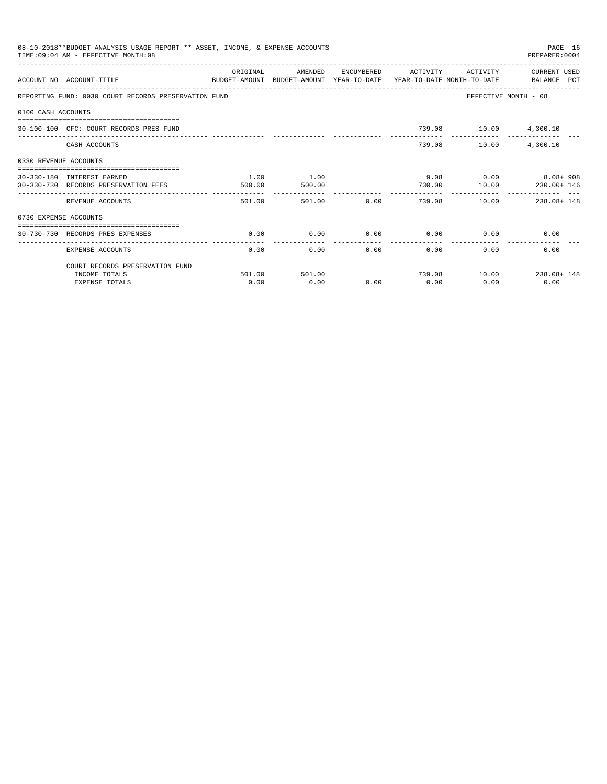|                       | 08-10-2018**BUDGET ANALYSIS USAGE REPORT ** ASSET, INCOME, & EXPENSE ACCOUNTS<br>TIME: 09:04 AM - EFFECTIVE MONTH: 08 |          |         |                |                                 |                       | PAGE 16<br>PREPARER: 0004 |
|-----------------------|-----------------------------------------------------------------------------------------------------------------------|----------|---------|----------------|---------------------------------|-----------------------|---------------------------|
|                       | ACCOUNT NO ACCOUNT-TITLE<br>BUDGET-AMOUNT BUDGET-AMOUNT YEAR-TO-DATE YEAR-TO-DATE MONTH-TO-DATE BALANCE PCT           | ORIGINAL | AMENDED |                | ENCUMBERED ACTIVITY             | ACTIVITY              | CURRENT USED              |
|                       | REPORTING FUND: 0030 COURT RECORDS PRESERVATION FUND                                                                  |          |         |                |                                 | EFFECTIVE MONTH - 08  |                           |
| 0100 CASH ACCOUNTS    |                                                                                                                       |          |         |                |                                 |                       |                           |
|                       | 30-100-100 CFC: COURT RECORDS PRES FUND                                                                               |          |         |                |                                 | 739.08 10.00 4,300.10 |                           |
|                       | CASH ACCOUNTS                                                                                                         |          |         |                |                                 | 739.08 10.00          | 4,300.10                  |
| 0330 REVENUE ACCOUNTS |                                                                                                                       |          |         |                |                                 |                       |                           |
|                       | 30-330-180 INTEREST EARNED                                                                                            | 1.00     | 1.00    |                |                                 |                       | $9.08$ 0.00 8.08+908      |
|                       | 30-330-730 RECORDS PRESERVATION FEES                                                                                  | 500.00   | 500.00  |                | 730.00                          | 10.00                 | 230.00+ 146               |
|                       | REVENUE ACCOUNTS                                                                                                      | 501.00   | 501.00  |                | . <u>.</u><br>$0.00$ and $0.00$ |                       | 739.08 10.00 238.08+148   |
| 0730 EXPENSE ACCOUNTS |                                                                                                                       |          |         |                |                                 |                       |                           |
|                       | ===============================<br>30-730-730 RECORDS PRES EXPENSES                                                   | 0.00     | 0.00    | 0.00           |                                 | $0.00$ 0.00           | 0.00                      |
|                       | EXPENSE ACCOUNTS                                                                                                      | 0.00     | 0.00    | -------------- | -------------<br>0.00           | 0.00<br>0.00          | 0.00                      |
|                       | COURT RECORDS PRESERVATION FUND                                                                                       |          |         |                |                                 |                       |                           |
|                       | INCOME TOTALS                                                                                                         | 501.00   | 501.00  |                |                                 |                       | 739.08 10.00 238.08+148   |
|                       | <b>EXPENSE TOTALS</b>                                                                                                 | 0.00     | 0.00    | 0.00           | 0.00                            | 0.00                  | 0.00                      |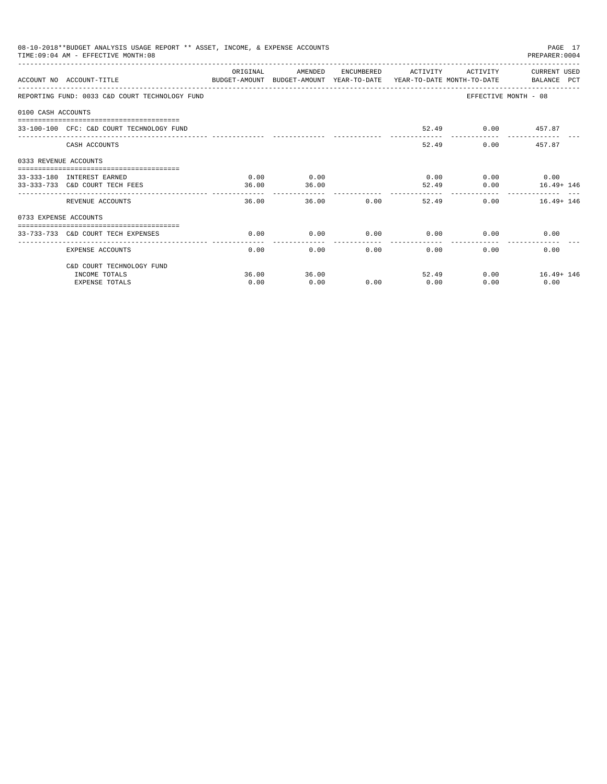|                       | 08-10-2018**BUDGET ANALYSIS USAGE REPORT ** ASSET, INCOME, & EXPENSE ACCOUNTS<br>TIME: 09:04 AM - EFFECTIVE MONTH: 08 |          |         |              |                     |                             | PAGE 17<br>PREPARER: 0004 |
|-----------------------|-----------------------------------------------------------------------------------------------------------------------|----------|---------|--------------|---------------------|-----------------------------|---------------------------|
|                       |                                                                                                                       | ORIGINAL | AMENDED |              | ENCUMBERED ACTIVITY |                             | ACTIVITY CURRENT USED     |
|                       | ACCOUNT NO ACCOUNT-TITLE<br>BUDGET-AMOUNT BUDGET-AMOUNT YEAR-TO-DATE YEAR-TO-DATE MONTH-TO-DATE BALANCE PCT           |          |         |              |                     |                             |                           |
|                       | REPORTING FUND: 0033 C&D COURT TECHNOLOGY FUND                                                                        |          |         |              |                     |                             | EFFECTIVE MONTH - 08      |
| 0100 CASH ACCOUNTS    |                                                                                                                       |          |         |              |                     |                             |                           |
|                       | 33-100-100 CFC: C&D COURT TECHNOLOGY FUND                                                                             |          |         |              |                     | 52.49 0.00 457.87           |                           |
|                       | CASH ACCOUNTS                                                                                                         |          |         |              | 52.49               |                             | $0.00$ 457.87             |
| 0333 REVENUE ACCOUNTS |                                                                                                                       |          |         |              |                     |                             |                           |
|                       | 33-333-180 INTEREST EARNED                                                                                            | 0.00     | 0.00    |              |                     | $0.00$ $0.00$ $0.00$ $0.00$ |                           |
|                       | 33-333-733 C&D COURT TECH FEES                                                                                        | 36.00    | 36.00   |              |                     | 52.49                       | $0.00$ $16.49 + 146$      |
|                       | REVENUE ACCOUNTS                                                                                                      | 36.00    | 36.00   | 0.00         |                     | 52.49                       | 0.00<br>$16.49 + 146$     |
| 0733 EXPENSE ACCOUNTS |                                                                                                                       |          |         |              |                     |                             |                           |
|                       | 33-733-733 C&D COURT TECH EXPENSES                                                                                    | 0.00     | 0.00    | $0.00$ 0.00  |                     |                             | 0.00<br>0.00              |
|                       |                                                                                                                       |          |         | ------------ | -------------       |                             |                           |
|                       | EXPENSE ACCOUNTS                                                                                                      | 0.00     | 0.00    |              | 0.00                | 0.00<br>0.00                | 0.00                      |
|                       | C&D COURT TECHNOLOGY FUND                                                                                             |          |         |              |                     |                             |                           |
|                       | INCOME TOTALS                                                                                                         | 36.00    | 36.00   |              |                     | 52.49                       | $0.00$ 16.49+ 146         |
|                       | <b>EXPENSE TOTALS</b>                                                                                                 | 0.00     | 0.00    | 0.00         | 0.00                | 0.00                        | 0.00                      |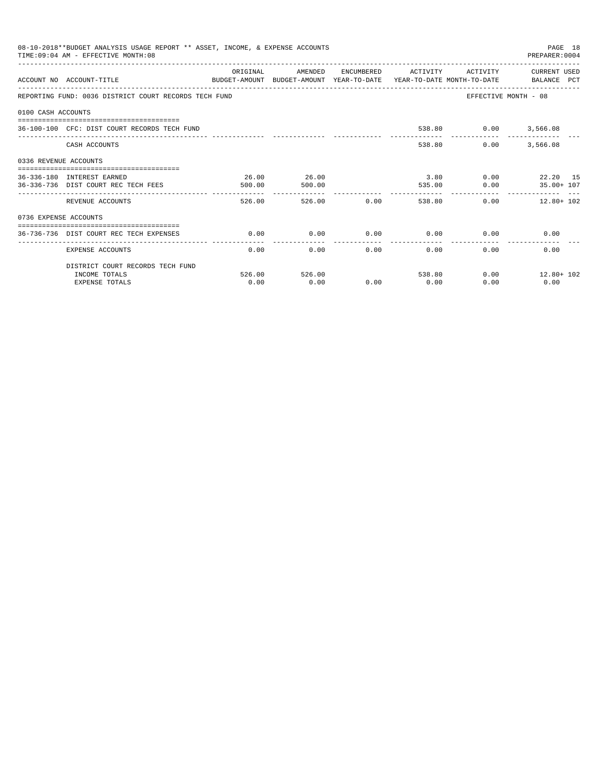|                       | 08-10-2018**BUDGET ANALYSIS USAGE REPORT ** ASSET, INCOME, & EXPENSE ACCOUNTS<br>TIME: 09:04 AM - EFFECTIVE MONTH: 08 |          |               |        |               |                             | PAGE 18<br>PREPARER: 0004                 |
|-----------------------|-----------------------------------------------------------------------------------------------------------------------|----------|---------------|--------|---------------|-----------------------------|-------------------------------------------|
|                       | ACCOUNT NO ACCOUNT-TITLE<br>BUDGET-AMOUNT BUDGET-AMOUNT YEAR-TO-DATE YEAR-TO-DATE MONTH-TO-DATE BALANCE PCT           | ORIGINAL | AMENDED       |        |               |                             | ENCUMBERED ACTIVITY ACTIVITY CURRENT USED |
|                       | REPORTING FUND: 0036 DISTRICT COURT RECORDS TECH FUND                                                                 |          |               |        |               |                             | EFFECTIVE MONTH - 08                      |
| 0100 CASH ACCOUNTS    |                                                                                                                       |          |               |        |               |                             |                                           |
|                       | 36-100-100 CFC: DIST COURT RECORDS TECH FUND                                                                          |          |               |        |               | 538.80 0.00 3,566.08        |                                           |
|                       | CASH ACCOUNTS                                                                                                         |          |               |        |               | 538.80<br>0.00              | 3,566.08                                  |
| 0336 REVENUE ACCOUNTS |                                                                                                                       |          |               |        |               |                             |                                           |
|                       | 36-336-180 INTEREST EARNED                                                                                            | 26.00    | 26.00         |        |               |                             | $3.80$ 0.00 22.20 15                      |
|                       | 36-336-736 DIST COURT REC TECH FEES                                                                                   | 500.00   | 500.00        |        |               |                             | 535.00   0.00   35.00+ 107                |
|                       | REVENUE ACCOUNTS                                                                                                      | 526.00   |               | 526.00 | $0.00$ 538.80 |                             | $0.00$ 12.80+ 102                         |
| 0736 EXPENSE ACCOUNTS |                                                                                                                       |          |               |        |               |                             |                                           |
|                       |                                                                                                                       |          |               |        |               |                             |                                           |
|                       | 36-736-736 DIST COURT REC TECH EXPENSES                                                                               | 0.00     | 0.00          |        |               | $0.00$ $0.00$ $0.00$ $0.00$ | 0.00                                      |
|                       | EXPENSE ACCOUNTS                                                                                                      | 0.00     | 0.00          |        | 0.00          | 0.00                        | 0.00<br>$0.00$ and $0.00$                 |
|                       | DISTRICT COURT RECORDS TECH FUND                                                                                      |          |               |        |               |                             |                                           |
|                       | INCOME TOTALS                                                                                                         |          | 526.00 526.00 |        |               | 538.80                      | $0.00$ $12.80 + 102$                      |
|                       | <b>EXPENSE TOTALS</b>                                                                                                 | 0.00     | 0.00          | 0.00   | 0.00          | 0.00                        | 0.00                                      |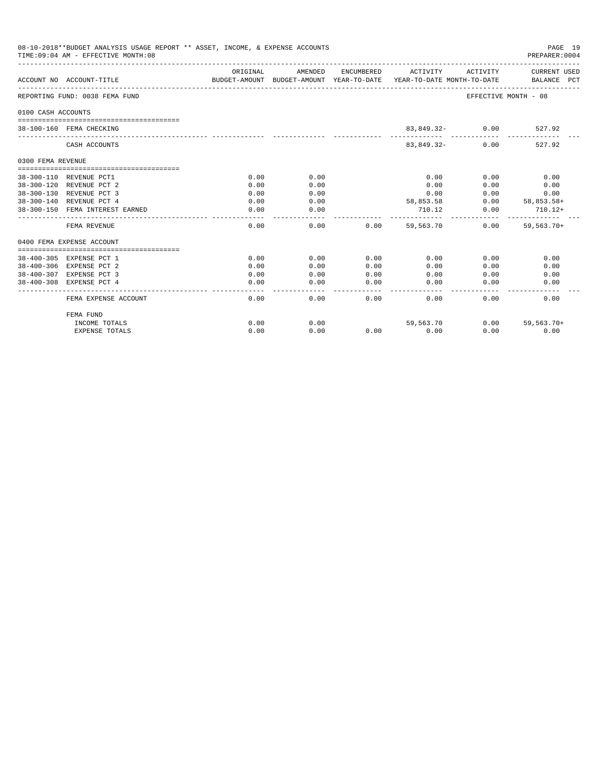| 08-10-2018**BUDGET ANALYSIS USAGE REPORT ** ASSET, INCOME, & EXPENSE ACCOUNTS<br>TIME: 09:04 AM - EFFECTIVE MONTH: 08<br>PREPARER:0004 |                                                                                                             |                    |                    |                  |                                                   |                      |                                 |  |
|----------------------------------------------------------------------------------------------------------------------------------------|-------------------------------------------------------------------------------------------------------------|--------------------|--------------------|------------------|---------------------------------------------------|----------------------|---------------------------------|--|
|                                                                                                                                        | ACCOUNT NO ACCOUNT-TITLE<br>BUDGET-AMOUNT BUDGET-AMOUNT YEAR-TO-DATE YEAR-TO-DATE MONTH-TO-DATE BALANCE PCT | ORIGINAL           |                    |                  | AMENDED ENCUMBERED ACTIVITY ACTIVITY CURRENT USED |                      |                                 |  |
|                                                                                                                                        | REPORTING FUND: 0038 FEMA FUND                                                                              |                    |                    |                  |                                                   | EFFECTIVE MONTH - 08 |                                 |  |
| 0100 CASH ACCOUNTS                                                                                                                     |                                                                                                             |                    |                    |                  |                                                   |                      |                                 |  |
|                                                                                                                                        | 38-100-160 FEMA CHECKING                                                                                    |                    |                    |                  | 83,849.32- 0.00                                   |                      | 527.92                          |  |
|                                                                                                                                        | CASH ACCOUNTS                                                                                               |                    |                    |                  | 83,849.32-                                        | 0.00                 | 527.92                          |  |
| 0300 FEMA REVENUE                                                                                                                      |                                                                                                             |                    |                    |                  |                                                   |                      |                                 |  |
|                                                                                                                                        | 38-300-110 REVENUE PCT1                                                                                     | 0.00               | 0.00               |                  | 0.00                                              | 0.00                 | 0.00                            |  |
|                                                                                                                                        | 38-300-120 REVENUE PCT 2                                                                                    | 0.00               | 0.00               |                  | 0.00                                              | 0.00                 | 0.00                            |  |
|                                                                                                                                        | 38-300-130 REVENUE PCT 3                                                                                    | 0.00               | 0.00               |                  | 0.00                                              | 0.00                 | 0.00                            |  |
|                                                                                                                                        | 38-300-140 REVENUE PCT 4                                                                                    | 0.00               | 0.00               |                  | 58,853.58                                         |                      | $0.00$ 58,853.58+               |  |
|                                                                                                                                        | 38-300-150 FEMA INTEREST EARNED                                                                             | 0.00               | 0.00               |                  | 710.12                                            | 0.00                 | $710.12+$                       |  |
|                                                                                                                                        | FEMA REVENUE                                                                                                | 0.00               | 0.00               | 0.00             | 59,563,70                                         | 0.00                 | --------------<br>$59, 563.70+$ |  |
|                                                                                                                                        | 0400 FEMA EXPENSE ACCOUNT                                                                                   |                    |                    |                  |                                                   |                      |                                 |  |
|                                                                                                                                        | 38-400-305 EXPENSE PCT 1                                                                                    | 0.00               | 0.00               | 0.00             | 0.00                                              | 0.00                 | 0.00                            |  |
|                                                                                                                                        | 38-400-306 EXPENSE PCT 2                                                                                    | 0.00               | 0.00               | 0.00             | 0.00                                              | 0.00                 | 0.00                            |  |
|                                                                                                                                        | 38-400-307 EXPENSE PCT 3                                                                                    | 0.00               | 0.00               | 0.00             | 0.00                                              | 0.00                 | 0.00                            |  |
|                                                                                                                                        | 38-400-308 EXPENSE PCT 4                                                                                    | 0.00               | 0.00               | 0.00             | 0.00                                              | 0.00                 | 0.00                            |  |
|                                                                                                                                        | FEMA EXPENSE ACCOUNT                                                                                        | ----------<br>0.00 | ----------<br>0.00 | المحاجات<br>0.00 | -------<br>0.00                                   | 0.00                 | 0.00                            |  |
|                                                                                                                                        | FEMA FUND                                                                                                   |                    |                    |                  |                                                   |                      |                                 |  |
|                                                                                                                                        | INCOME TOTALS                                                                                               | 0.00               | 0.00               |                  | 59,563.70                                         |                      | $0.00$ 59,563.70+               |  |
|                                                                                                                                        | <b>EXPENSE TOTALS</b>                                                                                       | 0.00               | 0.00               | 0.00             | 0.00                                              | 0.00                 | 0.00                            |  |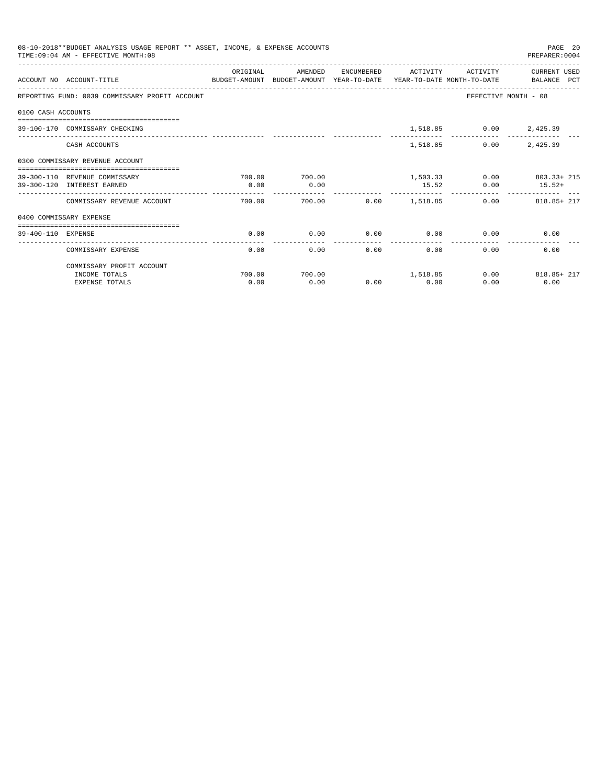|                    | 08-10-2018**BUDGET ANALYSIS USAGE REPORT ** ASSET, INCOME, & EXPENSE ACCOUNTS<br>TIME: 09:04 AM - EFFECTIVE MONTH: 08 |          |         |              |                      |                        | PAGE 20<br>PREPARER: 0004  |
|--------------------|-----------------------------------------------------------------------------------------------------------------------|----------|---------|--------------|----------------------|------------------------|----------------------------|
|                    |                                                                                                                       | ORIGINAL | AMENDED |              | ENCUMBERED ACTIVITY  | ACTIVITY               | CURRENT USED               |
|                    | ACCOUNT NO ACCOUNT-TITLE<br>BUDGET-AMOUNT BUDGET-AMOUNT YEAR-TO-DATE YEAR-TO-DATE MONTH-TO-DATE BALANCE PCT           |          |         |              |                      |                        |                            |
|                    | REPORTING FUND: 0039 COMMISSARY PROFIT ACCOUNT                                                                        |          |         |              |                      |                        | EFFECTIVE MONTH - 08       |
| 0100 CASH ACCOUNTS |                                                                                                                       |          |         |              |                      |                        |                            |
|                    | 39-100-170 COMMISSARY CHECKING                                                                                        |          |         |              |                      | 1,518.85 0.00 2,425.39 |                            |
|                    | CASH ACCOUNTS                                                                                                         |          |         |              | 1,518.85             | 0.00                   | 2,425.39                   |
|                    | 0300 COMMISSARY REVENUE ACCOUNT                                                                                       |          |         |              |                      |                        |                            |
|                    | 39-300-110 REVENUE COMMISSARY                                                                                         | 700.00   | 700.00  |              |                      |                        | $1.503.33$ 0.00 803.33+215 |
|                    | 39-300-120 INTEREST EARNED                                                                                            | 0.00     | 0.00    |              | 15.52                |                        | $0.00$ $15.52+$            |
|                    | COMMISSARY REVENUE ACCOUNT                                                                                            | 700.00   |         |              |                      |                        | $0.00$ $818.85+217$        |
|                    | 0400 COMMISSARY EXPENSE                                                                                               |          |         |              |                      |                        |                            |
| 39-400-110 EXPENSE | -------------------------------------                                                                                 | 0.00     | 0.00    | 0.00         | 0.00                 |                        | 0.00<br>0.00               |
|                    | COMMISSARY EXPENSE                                                                                                    | 0.00     | 0.00    | ------------ | ------------<br>0.00 | 0.00<br>0.00           | 0.00                       |
|                    | COMMISSARY PROFIT ACCOUNT                                                                                             |          |         |              |                      |                        |                            |
|                    | INCOME TOTALS                                                                                                         | 700.00   | 700.00  |              | 1.518.85             |                        | $0.00$ 818.85+ 217         |
|                    | <b>EXPENSE TOTALS</b>                                                                                                 | 0.00     | 0.00    | 0.00         | 0.00                 | 0.00                   | 0.00                       |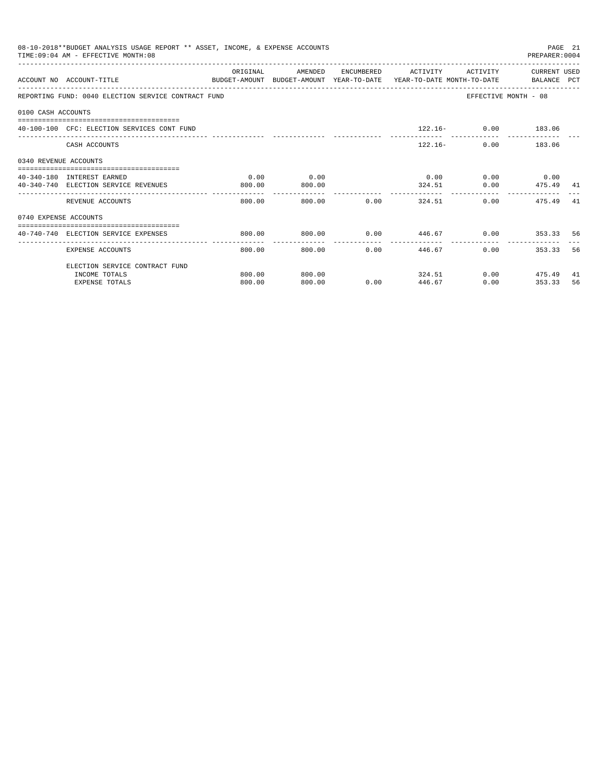|                       | 08-10-2018**BUDGET ANALYSIS USAGE REPORT ** ASSET, INCOME, & EXPENSE ACCOUNTS<br>TIME: 09:04 AM - EFFECTIVE MONTH: 08 |          |                         |                                    |                                   |                             | PREPARER: 0004       | PAGE 21 |
|-----------------------|-----------------------------------------------------------------------------------------------------------------------|----------|-------------------------|------------------------------------|-----------------------------------|-----------------------------|----------------------|---------|
|                       | ACCOUNT NO ACCOUNT-TITLE<br>BUDGET-AMOUNT BUDGET-AMOUNT YEAR-TO-DATE YEAR-TO-DATE MONTH-TO-DATE BALANCE PCT           | ORIGINAL | AMENDED                 |                                    | ENCUMBERED ACTIVITY               | ACTIVITY                    | CURRENT USED         |         |
|                       | REPORTING FUND: 0040 ELECTION SERVICE CONTRACT FUND                                                                   |          |                         |                                    |                                   |                             | EFFECTIVE MONTH - 08 |         |
| 0100 CASH ACCOUNTS    |                                                                                                                       |          |                         |                                    |                                   |                             |                      |         |
|                       | 40-100-100 CFC: ELECTION SERVICES CONT FUND                                                                           |          |                         |                                    |                                   | $122.16 - 0.00$ 183.06      |                      |         |
|                       | CASH ACCOUNTS                                                                                                         |          |                         |                                    |                                   | $122.16-$                   | $0.00$ 183.06        |         |
| 0340 REVENUE ACCOUNTS |                                                                                                                       |          |                         |                                    |                                   |                             |                      |         |
|                       | 40-340-180 INTEREST EARNED                                                                                            | 0.00     | 0.00                    |                                    |                                   | $0.00$ $0.00$ $0.00$ $0.00$ |                      |         |
|                       | 40-340-740 ELECTION SERVICE REVENUES                                                                                  | 800.00   | 800.00                  |                                    |                                   | 324.51 0.00 475.49 41       |                      |         |
|                       | REVENUE ACCOUNTS                                                                                                      | 800.00   | 800.00                  |                                    | $0.00$ 324.51                     |                             | 0.00<br>475.49       | -41     |
| 0740 EXPENSE ACCOUNTS |                                                                                                                       |          |                         |                                    |                                   |                             |                      |         |
|                       | ==================================<br>40-740-740 ELECTION SERVICE EXPENSES                                            | 800.00   | 800.00                  | $0.00$ $446.67$ $0.00$ $353.33$ 56 |                                   |                             |                      |         |
|                       | <b>EXPENSE ACCOUNTS</b>                                                                                               | 800.00   | -------------<br>800.00 |                                    | ------------<br>$0.00$ and $0.00$ | ------------<br>446.67      | 0.00<br>353.33       | 56      |
|                       | ELECTION SERVICE CONTRACT FUND                                                                                        |          |                         |                                    |                                   |                             |                      |         |
|                       | INCOME TOTALS                                                                                                         | 800.00   | 800.00                  |                                    |                                   | 324.51                      | $0.00$ 475.49        | 41      |
|                       | <b>EXPENSE TOTALS</b>                                                                                                 | 800.00   | 800.00                  |                                    | $0.00$ and $0.00$<br>446.67       | 0.00                        | 353.33               | 56      |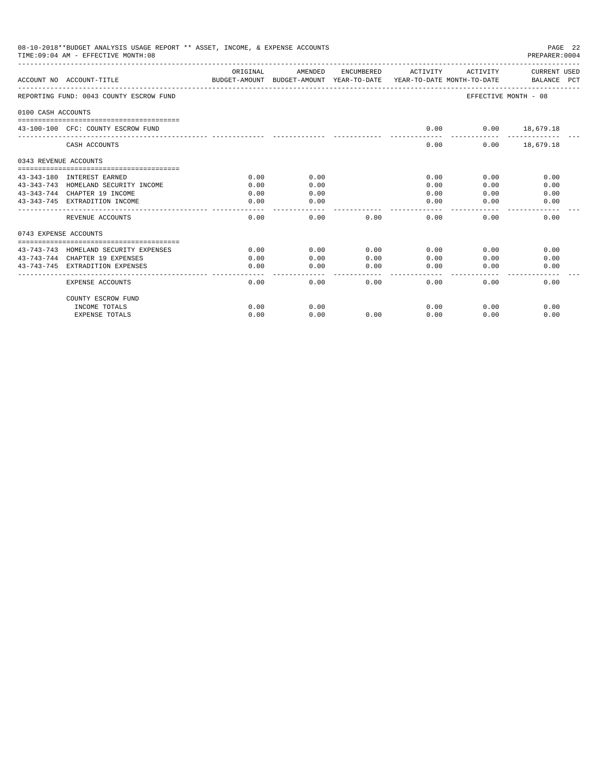| 08-10-2018**BUDGET ANALYSIS USAGE REPORT ** ASSET, INCOME, & EXPENSE ACCOUNTS<br>TIME: 09:04 AM - EFFECTIVE MONTH: 08<br>PREPARER: 0004 |                                                                                                 |          |           |                    |                       |                      |                             |  |
|-----------------------------------------------------------------------------------------------------------------------------------------|-------------------------------------------------------------------------------------------------|----------|-----------|--------------------|-----------------------|----------------------|-----------------------------|--|
|                                                                                                                                         | ACCOUNT NO ACCOUNT-TITLE<br>BUDGET-AMOUNT BUDGET-AMOUNT YEAR-TO-DATE YEAR-TO-DATE MONTH-TO-DATE | ORIGINAL | AMENDED   | ENCUMBERED         | ACTIVITY              | ACTIVITY             | CURRENT USED<br>BALANCE PCT |  |
|                                                                                                                                         | REPORTING FUND: 0043 COUNTY ESCROW FUND                                                         |          |           |                    |                       | EFFECTIVE MONTH - 08 |                             |  |
| 0100 CASH ACCOUNTS                                                                                                                      |                                                                                                 |          |           |                    |                       |                      |                             |  |
|                                                                                                                                         | 43-100-100 CFC: COUNTY ESCROW FUND                                                              |          |           |                    | 0.00                  | $0.00$ 18,679.18     |                             |  |
|                                                                                                                                         | CASH ACCOUNTS                                                                                   |          |           |                    | 0.00                  |                      | $0.00$ 18,679.18            |  |
| 0343 REVENUE ACCOUNTS                                                                                                                   |                                                                                                 |          |           |                    |                       |                      |                             |  |
|                                                                                                                                         | 43-343-180 INTEREST EARNED                                                                      | 0.00     | 0.00      |                    | 0.00                  | 0.00                 | 0.00                        |  |
|                                                                                                                                         | 43-343-743 HOMELAND SECURITY INCOME                                                             | 0.00     | 0.00      |                    | 0.00                  | 0.00                 | 0.00                        |  |
|                                                                                                                                         | 43-343-744 CHAPTER 19 INCOME                                                                    | 0.00     | 0.00      |                    | 0.00                  | 0.00                 | 0.00                        |  |
|                                                                                                                                         | 43-343-745 EXTRADITION INCOME                                                                   | 0.00     | 0.00      |                    | 0.00                  | 0.00                 | 0.00                        |  |
|                                                                                                                                         | REVENUE ACCOUNTS                                                                                | 0.00     | 0.00      | 0.00               | 0.00                  | 0.00                 | 0.00                        |  |
| 0743 EXPENSE ACCOUNTS                                                                                                                   |                                                                                                 |          |           |                    |                       |                      |                             |  |
|                                                                                                                                         | 43-743-743 HOMELAND SECURITY EXPENSES                                                           | 0.00     | 0.00      | 0.00               | 0.00                  | 0.00                 | 0.00                        |  |
|                                                                                                                                         | 43-743-744 CHAPTER 19 EXPENSES                                                                  | 0.00     | 0.00      | 0.00               | 0.00                  | 0.00                 | 0.00                        |  |
|                                                                                                                                         | 43-743-745 EXTRADITION EXPENSES                                                                 | 0.00     | 0.00<br>. | 0.00<br>المستسلسات | 0.00<br>$\frac{1}{2}$ | 0.00                 | 0.00                        |  |
|                                                                                                                                         | EXPENSE ACCOUNTS                                                                                | 0.00     | 0.00      | 0.00               | 0.00                  | 0.00                 | 0.00                        |  |
|                                                                                                                                         | COUNTY ESCROW FUND                                                                              |          |           |                    |                       |                      |                             |  |
|                                                                                                                                         | INCOME TOTALS                                                                                   | 0.00     | 0.00      |                    | 0.00                  | 0.00                 | 0.00                        |  |
|                                                                                                                                         | <b>EXPENSE TOTALS</b>                                                                           | 0.00     | 0.00      | 0.00               | 0.00                  | 0.00                 | 0.00                        |  |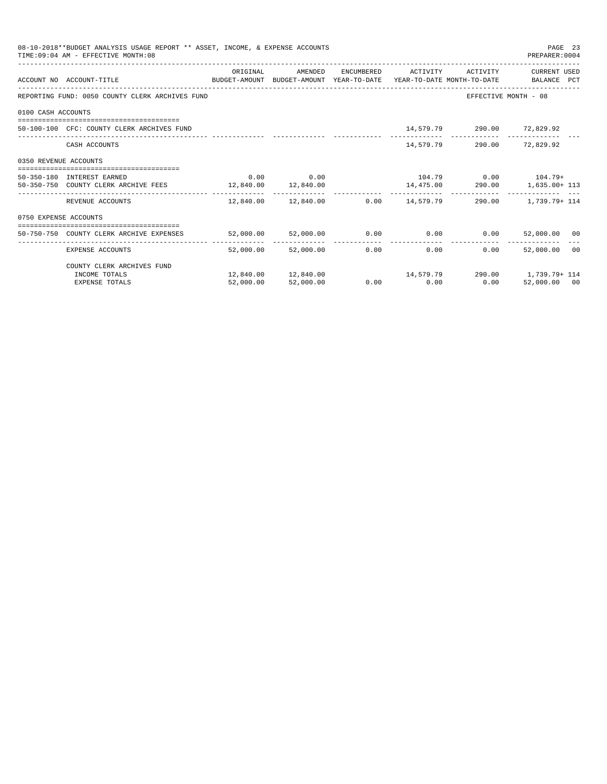|                       | 08-10-2018**BUDGET ANALYSIS USAGE REPORT ** ASSET, INCOME, & EXPENSE ACCOUNTS<br>TIME: 09:04 AM - EFFECTIVE MONTH: 08 |           |                                                     |              |                                    |                            | PAGE 23<br>PREPARER: 0004                                                                                     |  |
|-----------------------|-----------------------------------------------------------------------------------------------------------------------|-----------|-----------------------------------------------------|--------------|------------------------------------|----------------------------|---------------------------------------------------------------------------------------------------------------|--|
|                       |                                                                                                                       | ORIGINAL  | AMENDED                                             |              | ENCUMBERED ACTIVITY                | ACTIVITY                   | CURRENT USED                                                                                                  |  |
|                       | ACCOUNT NO ACCOUNT-TITLE<br>BUDGET-AMOUNT BUDGET-AMOUNT YEAR-TO-DATE YEAR-TO-DATE MONTH-TO-DATE BALANCE PCT           |           |                                                     |              |                                    |                            |                                                                                                               |  |
|                       | REPORTING FUND: 0050 COUNTY CLERK ARCHIVES FUND                                                                       |           |                                                     |              |                                    |                            | EFFECTIVE MONTH - 08                                                                                          |  |
| 0100 CASH ACCOUNTS    |                                                                                                                       |           |                                                     |              |                                    |                            |                                                                                                               |  |
|                       | 50-100-100 CFC: COUNTY CLERK ARCHIVES FUND                                                                            |           |                                                     |              |                                    | 14,579.79 290.00 72,829.92 |                                                                                                               |  |
|                       | CASH ACCOUNTS                                                                                                         |           |                                                     |              |                                    | 14,579.79 290.00 72,829.92 |                                                                                                               |  |
| 0350 REVENUE ACCOUNTS |                                                                                                                       |           |                                                     |              |                                    |                            |                                                                                                               |  |
|                       | 50-350-180 INTEREST EARNED                                                                                            |           | $0.00$ 0.00                                         |              |                                    |                            | $104.79$ 0.00 $104.79+$                                                                                       |  |
|                       | 50-350-750 COUNTY CLERK ARCHIVE FEES 12,840.00 12,840.00                                                              |           |                                                     |              |                                    |                            | $14,475.00$ 290.00 $1,635.00+113$                                                                             |  |
|                       | REVENUE ACCOUNTS                                                                                                      |           |                                                     |              |                                    |                            | $12.840.00$ $12.840.00$ $0.00$ $14.579.79$ $290.00$ $1.739.79 + 114$                                          |  |
| 0750 EXPENSE ACCOUNTS |                                                                                                                       |           |                                                     |              |                                    |                            |                                                                                                               |  |
|                       | ====================================<br>50-750-750 COUNTY CLERK ARCHIVE EXPENSES                                      |           | $52,000.00$ $52,000.00$ $0.00$ $0.00$ $0.00$ $0.00$ |              |                                    |                            | 52,000.00 00                                                                                                  |  |
|                       | EXPENSE ACCOUNTS                                                                                                      | 52,000.00 | 52,000,00                                           | ------------ | -------------<br>$0.00$ and $0.00$ | 0.00<br>0.00               | -----------------------------<br>52,000.00 00                                                                 |  |
|                       | COUNTY CLERK ARCHIVES FUND                                                                                            |           |                                                     |              |                                    |                            |                                                                                                               |  |
|                       | INCOME TOTALS                                                                                                         |           |                                                     |              |                                    |                            | $12,840.00 \qquad \qquad 12,840.00 \qquad \qquad 14,579.79 \qquad \qquad 290.00 \qquad \qquad 1,739.79 + 114$ |  |
|                       | <b>EXPENSE TOTALS</b>                                                                                                 | 52,000.00 | 52,000.00                                           |              | $0.00$ 0.00                        | 0.00                       | 52,000.00 00                                                                                                  |  |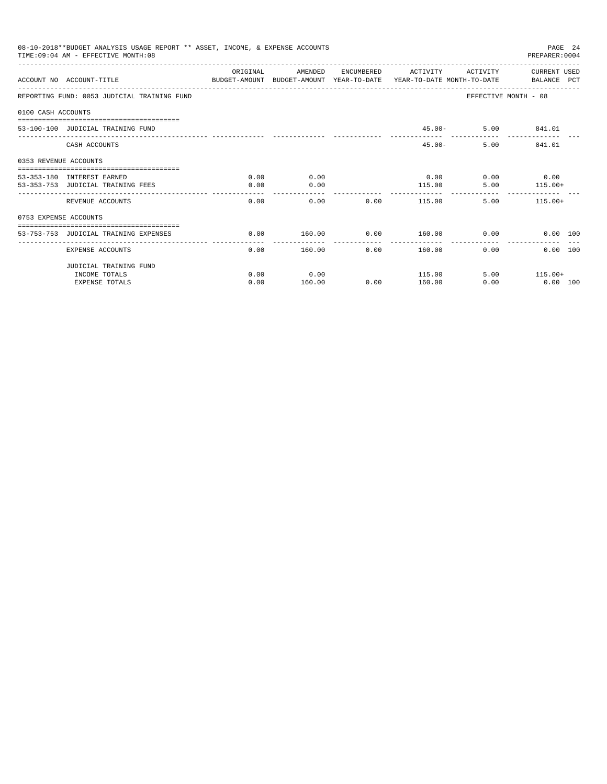|                       | 08-10-2018**BUDGET ANALYSIS USAGE REPORT ** ASSET, INCOME, & EXPENSE ACCOUNTS<br>TIME: 09:04 AM - EFFECTIVE MONTH: 08 |          |         |      |                     |          | PAGE 24<br>PREPARER: 0004 |  |
|-----------------------|-----------------------------------------------------------------------------------------------------------------------|----------|---------|------|---------------------|----------|---------------------------|--|
|                       | ACCOUNT NO ACCOUNT-TITLE CONTROL POLICET-AMOUNT BUDGET-AMOUNT YEAR-TO-DATE YEAR-TO-DATE MONTH-TO-DATE BALANCE PCT     | ORIGINAL | AMENDED |      | ENCUMBERED ACTIVITY | ACTIVITY | CURRENT USED              |  |
|                       | REPORTING FUND: 0053 JUDICIAL TRAINING FUND                                                                           |          |         |      |                     |          | EFFECTIVE MONTH - 08      |  |
| 0100 CASH ACCOUNTS    |                                                                                                                       |          |         |      |                     |          |                           |  |
|                       | 53-100-100 JUDICIAL TRAINING FUND                                                                                     |          |         |      |                     |          | 45.00 - 5.00 841.01       |  |
|                       | CASH ACCOUNTS                                                                                                         |          |         |      | $45.00 -$           |          | 5.00 841.01               |  |
| 0353 REVENUE ACCOUNTS | ==================================                                                                                    |          |         |      |                     |          |                           |  |
|                       | 53-353-180 INTEREST EARNED                                                                                            | 0.00     | 0.00    |      | 0.00                |          | $0.00$ 0.00               |  |
|                       | 53-353-753 JUDICIAL TRAINING FEES                                                                                     | 0.00     | 0.00    |      | 115.00              | 5.00     | $115.00+$                 |  |
|                       | REVENUE ACCOUNTS                                                                                                      | 0.00     | 0.00    | 0.00 | 115.00              |          | 5.00<br>$115.00+$         |  |
| 0753 EXPENSE ACCOUNTS |                                                                                                                       |          |         |      |                     |          |                           |  |
|                       | 53-753-753 JUDICIAL TRAINING EXPENSES                                                                                 | 0.00     | 160.00  | 0.00 | $160.00$ 0.00       |          | 0.00 100                  |  |
|                       |                                                                                                                       |          |         |      | --------------      |          |                           |  |
|                       | <b>EXPENSE ACCOUNTS</b>                                                                                               | 0.00     | 160.00  | 0.00 | 160.00              | $0.00 -$ | 0.00 100                  |  |
|                       | JUDICIAL TRAINING FUND                                                                                                |          |         |      |                     |          |                           |  |
|                       | INCOME TOTALS                                                                                                         | 0.00     | 0.00    |      | 115.00              |          | $5.00$ 115.00+            |  |
|                       | <b>EXPENSE TOTALS</b>                                                                                                 | 0.00     | 160.00  | 0.00 | 160.00              | 0.00     | $0.00$ 100                |  |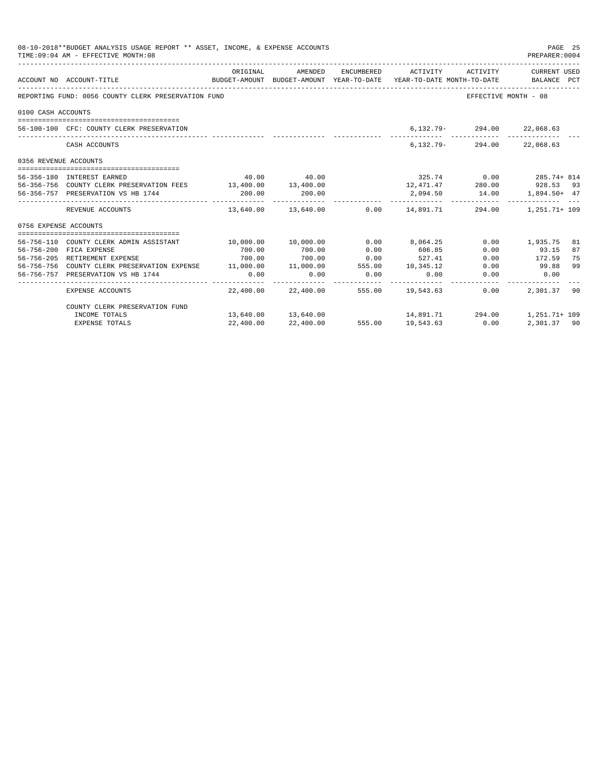|                       | 08-10-2018**BUDGET ANALYSIS USAGE REPORT ** ASSET, INCOME, & EXPENSE ACCOUNTS<br>TIME: 09:04 AM - EFFECTIVE MONTH: 08 |                         |                     |                       |                                                                                            |                                  | PAGE 25<br>PREPARER: 0004   |
|-----------------------|-----------------------------------------------------------------------------------------------------------------------|-------------------------|---------------------|-----------------------|--------------------------------------------------------------------------------------------|----------------------------------|-----------------------------|
|                       | ACCOUNT NO ACCOUNT-TITLE                                                                                              | ORIGINAL                | AMENDED             |                       | ENCUMBERED ACTIVITY<br>BUDGET-AMOUNT BUDGET-AMOUNT YEAR-TO-DATE YEAR-TO-DATE MONTH-TO-DATE | ACTIVITY                         | CURRENT USED<br>BALANCE PCT |
|                       | REPORTING FUND: 0056 COUNTY CLERK PRESERVATION FUND                                                                   |                         |                     |                       |                                                                                            | EFFECTIVE MONTH - 08             |                             |
| 0100 CASH ACCOUNTS    |                                                                                                                       |                         |                     |                       |                                                                                            |                                  |                             |
|                       |                                                                                                                       |                         |                     |                       |                                                                                            |                                  |                             |
|                       | 56-100-100 CFC: COUNTY CLERK PRESERVATION                                                                             |                         |                     |                       |                                                                                            | 6, 132. 79 - 294. 00 22, 068. 63 |                             |
|                       | CASH ACCOUNTS                                                                                                         |                         |                     |                       |                                                                                            | 6, 132. 79 - 294. 00 22, 068. 63 |                             |
| 0356 REVENUE ACCOUNTS |                                                                                                                       |                         |                     |                       |                                                                                            |                                  |                             |
|                       | 56-356-180 INTEREST EARNED                                                                                            |                         | 40.00 40.00         |                       |                                                                                            |                                  | $325.74$ 0.00 285.74 + 814  |
|                       | 56-356-756 COUNTY CLERK PRESERVATION FEES 13,400.00 13,400.00                                                         |                         |                     |                       |                                                                                            |                                  | 12,471.47 280.00 928.53 93  |
|                       | 56-356-757 PRESERVATION VS HB 1744                                                                                    | 200.00                  | 200.00              |                       |                                                                                            | 2,094.50 14.00                   | $1,894.50+47$               |
|                       | REVENUE ACCOUNTS                                                                                                      |                         |                     |                       | $13,640.00$ $13,640.00$ $0.00$ $14,891.71$                                                 |                                  | 294.00 1.251.71+ 109        |
| 0756 EXPENSE ACCOUNTS |                                                                                                                       |                         |                     |                       |                                                                                            |                                  |                             |
|                       |                                                                                                                       |                         |                     |                       |                                                                                            |                                  |                             |
|                       | 56-756-110 COUNTY CLERK ADMIN ASSISTANT                                                                               | $10,000.00$ $10,000.00$ |                     | 0.00                  | 8,064.25                                                                                   |                                  | $0.00$ 1,935.75<br>81       |
|                       | 56-756-200 FICA EXPENSE                                                                                               | 700.00                  | 700.00              | 0.00                  | 606.85                                                                                     | 0.00                             | 93.15<br>87                 |
|                       | 56-756-205 RETIREMENT EXPENSE                                                                                         | 700.00                  | 700.00              | 0.00                  | 527.41                                                                                     | 0.00                             | 172.59<br>75                |
|                       | 56-756-756 COUNTY CLERK PRESERVATION EXPENSE 11,000.00 11,000.00 555.00 10,345.12                                     |                         |                     |                       |                                                                                            | 0.00                             | 99.88<br>99                 |
|                       | 56-756-757 PRESERVATION VS HB 1744                                                                                    | 0.00                    | 0.00                | 0.00<br>------------- | 0.00                                                                                       | 0.00                             | 0.00                        |
|                       | EXPENSE ACCOUNTS                                                                                                      |                         | 22,400.00 22,400.00 |                       | 555.00 19,543.63                                                                           | 0.00                             | 2,301.37 90                 |
|                       | COUNTY CLERK PRESERVATION FUND                                                                                        |                         |                     |                       |                                                                                            |                                  |                             |
|                       | INCOME TOTALS                                                                                                         |                         |                     |                       | $13,640.00$ $13,640.00$ $14,891.71$ $294.00$                                               |                                  | 1,251.71+ 109               |
|                       | EXPENSE TOTALS                                                                                                        | 22,400.00               | 22,400.00           |                       | 555.00 19,543.63 0.00                                                                      |                                  | 2,301.37 90                 |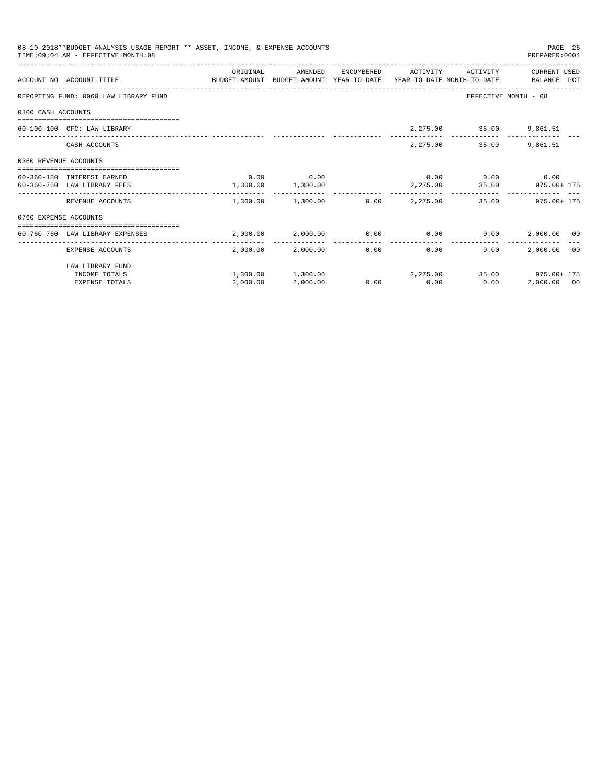|                       | 08-10-2018**BUDGET ANALYSIS USAGE REPORT ** ASSET, INCOME, & EXPENSE ACCOUNTS<br>TIME: 09:04 AM - EFFECTIVE MONTH: 08 |                   |                   |                 |                          |                             | PAGE 26<br>PREPARER: 0004                                         |  |
|-----------------------|-----------------------------------------------------------------------------------------------------------------------|-------------------|-------------------|-----------------|--------------------------|-----------------------------|-------------------------------------------------------------------|--|
|                       | ACCOUNT NO ACCOUNT-TITLE COMPUTE BUDGET-AMOUNT BUDGET-AMOUNT YEAR-TO-DATE YEAR-TO-DATE MONTH-TO-DATE BALANCE PCT      | ORIGINAL          | AMENDED           |                 | ENCUMBERED ACTIVITY      | ACTIVITY                    | CURRENT USED                                                      |  |
|                       | REPORTING FUND: 0060 LAW LIBRARY FUND                                                                                 |                   |                   |                 |                          |                             | EFFECTIVE MONTH - 08                                              |  |
| 0100 CASH ACCOUNTS    |                                                                                                                       |                   |                   |                 |                          |                             |                                                                   |  |
|                       | 60-100-100 CFC: LAW LIBRARY                                                                                           |                   |                   |                 |                          | 2,275.00 35.00 9,861.51     |                                                                   |  |
|                       | CASH ACCOUNTS                                                                                                         |                   |                   |                 |                          | 2,275.00 35.00              | 9,861.51                                                          |  |
| 0360 REVENUE ACCOUNTS |                                                                                                                       |                   |                   |                 |                          |                             |                                                                   |  |
|                       | 60-360-180 INTEREST EARNED                                                                                            |                   | $0.00$ 0.00       |                 |                          | $0.00$ $0.00$ $0.00$ $0.00$ |                                                                   |  |
|                       | 60-360-760 LAW LIBRARY FEES                                                                                           | 1,300.00 1,300.00 |                   |                 |                          |                             | 2,275.00 35.00 975.00 + 175                                       |  |
|                       | REVENUE ACCOUNTS                                                                                                      |                   |                   |                 |                          |                             | $1.300.00$ $1.300.00$ $0.00$ $2.275.00$ $35.00$ $975.00+175$      |  |
| 0760 EXPENSE ACCOUNTS |                                                                                                                       |                   |                   |                 |                          |                             |                                                                   |  |
|                       | ------------------------------------<br>60-760-760 LAW LIBRARY EXPENSES                                               |                   |                   |                 |                          |                             | $2,000.00$ $2,000.00$ $0.00$ $0.00$ $0.00$ $0.00$ $2,000.00$ $00$ |  |
|                       | EXPENSE ACCOUNTS                                                                                                      |                   | 2,000.00 2,000.00 | --------------- | ----------------<br>0.00 | 0.00<br>0.00                | 2,000,00 00                                                       |  |
|                       | LAW LIBRARY FUND                                                                                                      |                   |                   |                 |                          |                             |                                                                   |  |
|                       | INCOME TOTALS                                                                                                         |                   |                   |                 |                          |                             | $1,300.00$ $1,300.00$ $2,275.00$ $35.00$ $975.00+175$             |  |
|                       | <b>EXPENSE TOTALS</b>                                                                                                 | 2,000.00          | 2,000.00          |                 | $0.00$ 0.00              | 0.00                        | 2,000.00 00                                                       |  |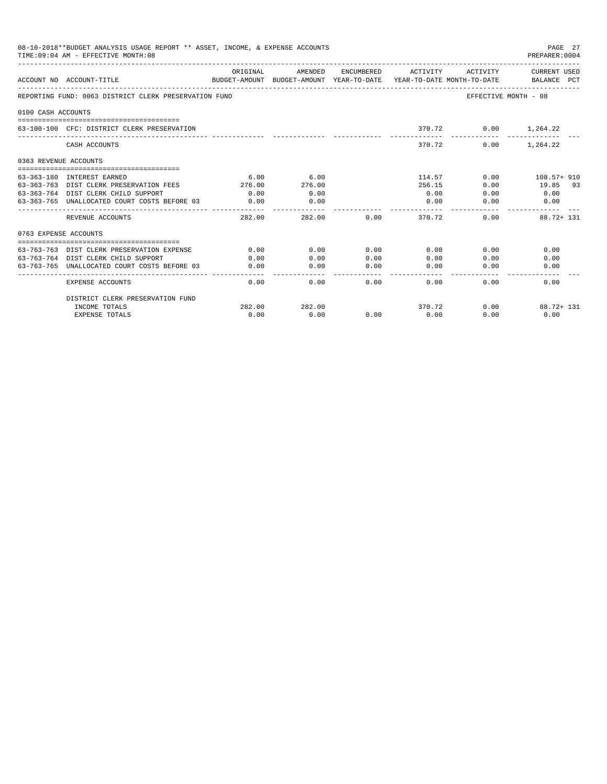|                    | 08-10-2018**BUDGET ANALYSIS USAGE REPORT ** ASSET, INCOME, & EXPENSE ACCOUNTS<br>TIME: 09:04 AM - EFFECTIVE MONTH: 08 |                          |                     |          |                             |                      | PAGE 27<br>PREPARER: 0004 |
|--------------------|-----------------------------------------------------------------------------------------------------------------------|--------------------------|---------------------|----------|-----------------------------|----------------------|---------------------------|
|                    | BUDGET-AMOUNT BUDGET-AMOUNT YEAR-TO-DATE YEAR-TO-DATE MONTH-TO-DATE BALANCE PCT<br>ACCOUNT NO ACCOUNT-TITLE           | ORIGINAL                 | AMENDED             |          | ENCUMBERED ACTIVITY         | ACTIVITY             | CURRENT USED              |
|                    | REPORTING FUND: 0063 DISTRICT CLERK PRESERVATION FUND                                                                 |                          |                     |          |                             | EFFECTIVE MONTH - 08 |                           |
| 0100 CASH ACCOUNTS |                                                                                                                       |                          |                     |          |                             |                      |                           |
|                    |                                                                                                                       |                          |                     |          |                             |                      |                           |
|                    | 63-100-100 CFC: DISTRICT CLERK PRESERVATION                                                                           |                          |                     |          |                             | 370.72 0.00 1,264.22 |                           |
|                    | CASH ACCOUNTS                                                                                                         |                          |                     |          | 370.72                      | 0.00                 | 1,264.22                  |
|                    | 0363 REVENUE ACCOUNTS                                                                                                 |                          |                     |          |                             |                      |                           |
|                    | -----------------------------------<br>63-363-180 INTEREST EARNED                                                     | 6.00                     | 6.00                |          | 114.57                      |                      | $0.00$ 108.57+910         |
|                    | 63-363-763 DIST CLERK PRESERVATION FEES                                                                               | 276.00                   | 276.00              |          | 256.15                      | 0.00                 | 19.85 93                  |
|                    | 63-363-764 DIST CLERK CHILD SUPPORT                                                                                   | 0.00                     | 0.00                |          | 0.00                        | 0.00                 | 0.00                      |
|                    | 63-363-765 UNALLOCATED COURT COSTS BEFORE 03                                                                          | 0.00                     | 0.00                |          | 0.00                        | 0.00                 | 0.00                      |
|                    | ________________________________<br>REVENUE ACCOUNTS                                                                  | --------------<br>282.00 | ---------<br>282.00 |          | $0.00$ and $0.00$<br>370.72 | 0.00                 | $88.72 + 131$             |
|                    | 0763 EXPENSE ACCOUNTS                                                                                                 |                          |                     |          |                             |                      |                           |
|                    |                                                                                                                       |                          |                     |          |                             |                      |                           |
|                    | 63-763-763 DIST CLERK PRESERVATION EXPENSE                                                                            | 0.00                     | 0.00                | 0.00     | 0.00                        | 0.00                 | 0.00                      |
|                    | 63-763-764 DIST CLERK CHILD SUPPORT                                                                                   | 0.00                     | 0.00                | 0.00     | 0.00                        | 0.00                 | 0.00                      |
|                    | 63-763-765 UNALLOCATED COURT COSTS BEFORE 03                                                                          | 0.00                     | 0.00                | 0.00     | 0.00                        | 0.00                 | 0.00                      |
|                    | <b>EXPENSE ACCOUNTS</b>                                                                                               | 0.00                     | 0.00                | $0.00 -$ | 0.00                        | 0.00                 | 0.00                      |
|                    | DISTRICT CLERK PRESERVATION FUND                                                                                      |                          |                     |          |                             |                      |                           |
|                    | INCOME TOTALS                                                                                                         | 282.00                   | 282.00              |          | 370.72                      | 0.00                 | 88.72+ 131                |
|                    | <b>EXPENSE TOTALS</b>                                                                                                 | 0.00                     | 0.00                | 0.00     | 0.00                        | 0.00                 | 0.00                      |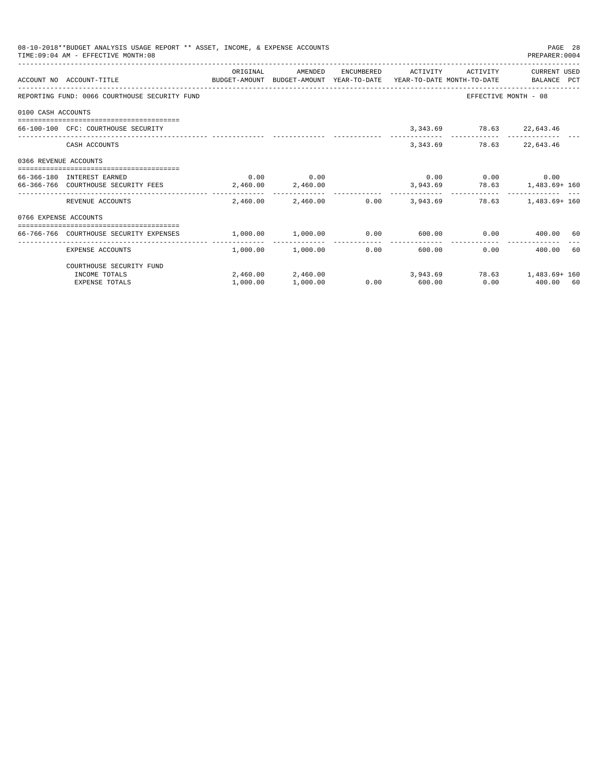|                       | 08-10-2018**BUDGET ANALYSIS USAGE REPORT ** ASSET, INCOME, & EXPENSE ACCOUNTS<br>TIME: 09:04 AM - EFFECTIVE MONTH: 08 |                   |                       |                       |                     |                             | PAGE 28<br>PREPARER: 0004                                    |  |
|-----------------------|-----------------------------------------------------------------------------------------------------------------------|-------------------|-----------------------|-----------------------|---------------------|-----------------------------|--------------------------------------------------------------|--|
|                       | ACCOUNT NO ACCOUNT-TITLE<br>BUDGET-AMOUNT BUDGET-AMOUNT YEAR-TO-DATE YEAR-TO-DATE MONTH-TO-DATE BALANCE PCT           | ORIGINAL          | AMENDED               |                       | ENCUMBERED ACTIVITY | ACTIVITY                    | CURRENT USED                                                 |  |
|                       | REPORTING FUND: 0066 COURTHOUSE SECURITY FUND                                                                         |                   |                       |                       |                     |                             | EFFECTIVE MONTH - 08                                         |  |
| 0100 CASH ACCOUNTS    |                                                                                                                       |                   |                       |                       |                     |                             |                                                              |  |
|                       | 66-100-100 CFC: COURTHOUSE SECURITY                                                                                   |                   |                       |                       |                     | 3,343.69 78.63 22,643.46    |                                                              |  |
|                       | CASH ACCOUNTS                                                                                                         |                   |                       |                       | 3, 343.69           |                             | 78.63 22,643.46                                              |  |
| 0366 REVENUE ACCOUNTS |                                                                                                                       |                   |                       |                       |                     |                             |                                                              |  |
|                       | 66-366-180 INTEREST EARNED                                                                                            |                   | $0.00$ 0.00           |                       |                     | $0.00$ $0.00$ $0.00$ $0.00$ |                                                              |  |
|                       | 66-366-766 COURTHOUSE SECURITY FEES                                                                                   | 2,460.00 2,460.00 |                       |                       |                     |                             | 3,943.69 78.63 1,483.69+160                                  |  |
|                       | REVENUE ACCOUNTS                                                                                                      |                   |                       |                       |                     |                             | 2,460.00 2,460.00 0.00 3,943.69 78.63 1,483.69 160           |  |
| 0766 EXPENSE ACCOUNTS |                                                                                                                       |                   |                       |                       |                     |                             |                                                              |  |
|                       | 66-766-766 COURTHOUSE SECURITY EXPENSES                                                                               |                   |                       |                       |                     |                             | $1,000.00$ $1,000.00$ $0.00$ $600.00$ $0.00$ $1,000.00$ $60$ |  |
|                       | EXPENSE ACCOUNTS                                                                                                      |                   | $1.000.00$ $1.000.00$ | -------------<br>0.00 |                     | 600.00                      | $0.00$ 400.00 60                                             |  |
|                       | COURTHOUSE SECURITY FUND                                                                                              |                   |                       |                       |                     |                             |                                                              |  |
|                       | INCOME TOTALS                                                                                                         |                   |                       |                       |                     |                             | 2,460.00 2,460.00 3,943.69 78.63 1,483.69 160                |  |
|                       | <b>EXPENSE TOTALS</b>                                                                                                 | 1,000.00          | 1,000.00              |                       | $0.00$ 600.00       |                             | $0.00$ 400.00 60                                             |  |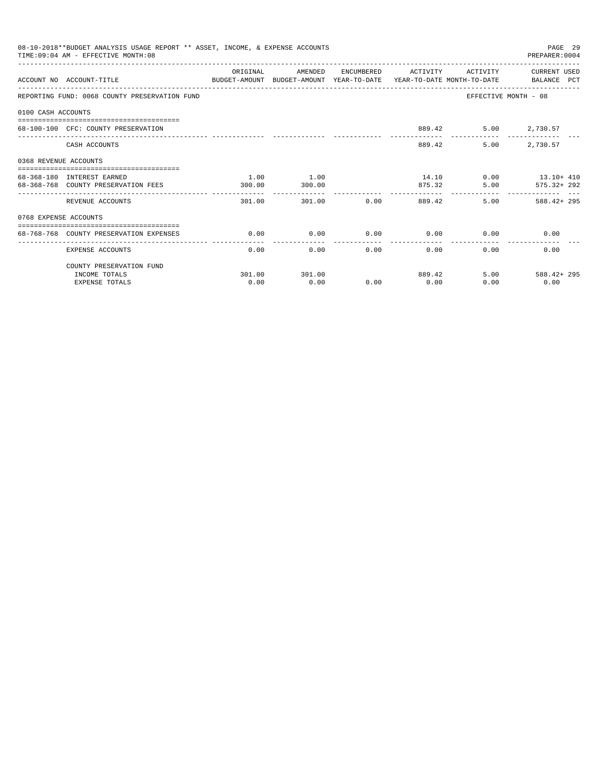|                       | 08-10-2018**BUDGET ANALYSIS USAGE REPORT ** ASSET, INCOME, & EXPENSE ACCOUNTS<br>TIME: 09:04 AM - EFFECTIVE MONTH: 08 |                       |         |                         |                         |                | PAGE 29<br>PREPARER: 0004 |
|-----------------------|-----------------------------------------------------------------------------------------------------------------------|-----------------------|---------|-------------------------|-------------------------|----------------|---------------------------|
|                       |                                                                                                                       | ORIGINAL              | AMENDED |                         | ENCUMBERED ACTIVITY     |                | ACTIVITY CURRENT USED     |
|                       | ACCOUNT NO ACCOUNT-TITLE<br>BUDGET-AMOUNT BUDGET-AMOUNT YEAR-TO-DATE YEAR-TO-DATE MONTH-TO-DATE BALANCE PCT           |                       |         |                         |                         |                |                           |
|                       | REPORTING FUND: 0068 COUNTY PRESERVATION FUND                                                                         |                       |         |                         |                         |                | EFFECTIVE MONTH - 08      |
| 0100 CASH ACCOUNTS    |                                                                                                                       |                       |         |                         |                         |                |                           |
|                       | 68-100-100 CFC: COUNTY PRESERVATION                                                                                   |                       |         |                         |                         | 889.42         | 5.00 2,730.57             |
|                       | CASH ACCOUNTS                                                                                                         |                       |         |                         |                         | 5.00<br>889.42 | 2,730.57                  |
| 0368 REVENUE ACCOUNTS |                                                                                                                       |                       |         |                         |                         |                |                           |
|                       | 68-368-180 INTEREST EARNED                                                                                            | 1.00                  | 1.00    |                         |                         |                | $14.10$ 0.00 $13.10+410$  |
|                       | 68-368-768 COUNTY PRESERVATION FEES                                                                                   | 300.00                | 300.00  |                         |                         | 875.32         | 5.00 575.32+292           |
|                       | REVENUE ACCOUNTS                                                                                                      | 301.00                |         | 301.00                  | $0.00$ 889.42           |                | $5.00$ $588.42 + 295$     |
| 0768 EXPENSE ACCOUNTS |                                                                                                                       |                       |         |                         |                         |                |                           |
|                       | 68-768-768 COUNTY PRESERVATION EXPENSES                                                                               | 0.00                  | 0.00    | 0.00                    |                         | $0.00$ 0.00    | 0.00                      |
|                       | EXPENSE ACCOUNTS                                                                                                      | -------------<br>0.00 |         | ---------------<br>0.00 | ---------------<br>0.00 | 0.00           | 0.00<br>0.00              |
|                       | COUNTY PRESERVATION FUND                                                                                              |                       |         |                         |                         |                |                           |
|                       | INCOME TOTALS                                                                                                         | 301.00                | 301.00  |                         |                         | 889.42         | 5.00<br>$588.42 + 295$    |
|                       | <b>EXPENSE TOTALS</b>                                                                                                 | 0.00                  | 0.00    | 0.00                    | 0.00                    | 0.00           | 0.00                      |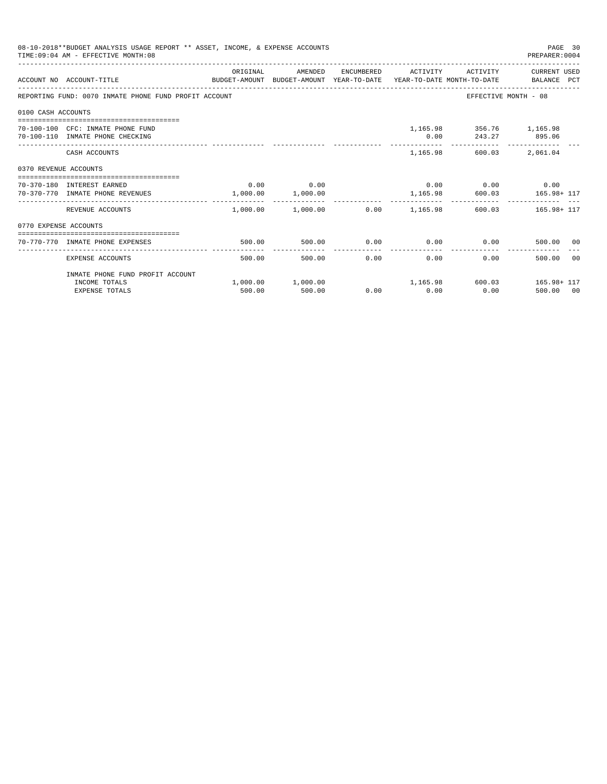|                       | 08-10-2018**BUDGET ANALYSIS USAGE REPORT ** ASSET, INCOME, & EXPENSE ACCOUNTS<br>TIME: 09:04 AM - EFFECTIVE MONTH: 08 |          |                                  |        |              |                                           | PAGE 30<br>PREPARER: 0004                                             |
|-----------------------|-----------------------------------------------------------------------------------------------------------------------|----------|----------------------------------|--------|--------------|-------------------------------------------|-----------------------------------------------------------------------|
|                       | BUDGET-AMOUNT BUDGET-AMOUNT YEAR-TO-DATE YEAR-TO-DATE MONTH-TO-DATE BALANCE PCT<br>ACCOUNT NO ACCOUNT-TITLE           | ORIGINAL | AMENDED                          |        |              |                                           | ENCUMBERED ACTIVITY ACTIVITY CURRENT USED                             |
|                       | REPORTING FUND: 0070 INMATE PHONE FUND PROFIT ACCOUNT                                                                 |          |                                  |        |              |                                           | EFFECTIVE MONTH - 08                                                  |
| 0100 CASH ACCOUNTS    |                                                                                                                       |          |                                  |        |              |                                           |                                                                       |
|                       | 70-100-100 CFC: INMATE PHONE FUND<br>70-100-110 INMATE PHONE CHECKING                                                 |          |                                  |        | 0.00         | 1,165.98 356.76 1,165.98<br>243.27 895.06 |                                                                       |
|                       | CASH ACCOUNTS                                                                                                         |          |                                  |        |              | 1,165.98 600.03                           | 2,061.04                                                              |
| 0370 REVENUE ACCOUNTS |                                                                                                                       |          |                                  |        |              |                                           |                                                                       |
|                       | 70-370-180 INTEREST EARNED<br>70-370-770 INMATE PHONE REVENUES                                                        |          | $0.00$ 0.00<br>1,000.00 1,000.00 |        |              | $0.00$ $0.00$ $0.00$ $0.00$               | 1,165.98 600.03 165.98+ 117                                           |
|                       | REVENUE ACCOUNTS                                                                                                      | -------  | .                                |        | ----------   | --------------                            | $1,000.00$ $1,000.00$ $0.00$ $1,165.98$ $600.03$ $165.98 + 117$       |
| 0770 EXPENSE ACCOUNTS |                                                                                                                       |          |                                  |        |              |                                           |                                                                       |
|                       | 70-770-770 INMATE PHONE EXPENSES                                                                                      | 500.00   | 500.00                           | 0.00   |              |                                           | $0.00$ $0.00$ $0.00$ $500.00$ $00$                                    |
|                       | EXPENSE ACCOUNTS                                                                                                      | 500.00   |                                  | 500.00 | 0.00<br>0.00 |                                           | 0.00<br>500.00 00                                                     |
|                       | INMATE PHONE FUND PROFIT ACCOUNT                                                                                      |          |                                  |        |              |                                           |                                                                       |
|                       | INCOME TOTALS<br><b>EXPENSE TOTALS</b>                                                                                | 500.00   | 500.00                           |        | $0.00$ 0.00  | 0.00                                      | $1,000.00$ $1,000.00$ $1,165.98$ $600.03$ $165.98 + 117$<br>500.00 00 |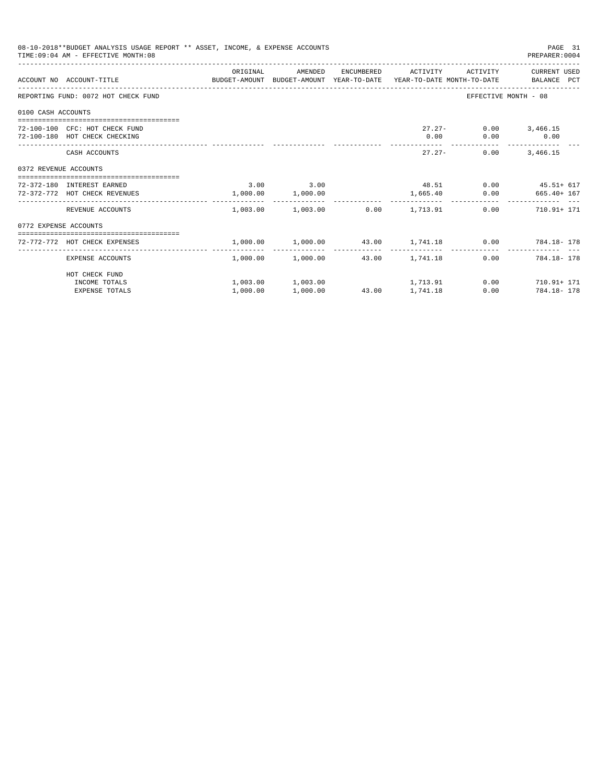|                       | 08-10-2018**BUDGET ANALYSIS USAGE REPORT ** ASSET, INCOME, & EXPENSE ACCOUNTS<br>TIME: 09:04 AM - EFFECTIVE MONTH: 08 |               |                   |                                         | PAGE 31<br>PREPARER: 0004                                      |
|-----------------------|-----------------------------------------------------------------------------------------------------------------------|---------------|-------------------|-----------------------------------------|----------------------------------------------------------------|
|                       | ACCOUNT NO ACCOUNT-TITLE CONTROL SUDGET-AMOUNT BUDGET-AMOUNT YEAR-TO-DATE YEAR-TO-DATE MONTH-TO-DATE BALANCE PCT      | ORIGINAL      | AMENDED           |                                         | ENCUMBERED ACTIVITY ACTIVITY CURRENT USED                      |
|                       | REPORTING FUND: 0072 HOT CHECK FUND                                                                                   |               |                   |                                         | EFFECTIVE MONTH - 08                                           |
| 0100 CASH ACCOUNTS    |                                                                                                                       |               |                   |                                         |                                                                |
|                       | 72-100-100 CFC: HOT CHECK FUND<br>72-100-180 HOT CHECK CHECKING                                                       |               |                   | 0.00                                    | $27.27 - 0.00$ 3,466.15<br>$0.00$ 0.00                         |
|                       | CASH ACCOUNTS                                                                                                         |               |                   |                                         | $27.27 - 0.00$ 3,466.15                                        |
| 0372 REVENUE ACCOUNTS |                                                                                                                       |               |                   |                                         |                                                                |
|                       | 72-372-180 INTEREST EARNED<br>72-372-772 HOT CHECK REVENUES                                                           | $3.00$ $3.00$ | 1,000.00 1,000.00 |                                         | $48.51$ 0.00 $45.51 + 617$<br>1,665.40 0.00 665.40+167         |
|                       | REVENUE ACCOUNTS                                                                                                      |               |                   | $1.003.00$ $1.003.00$ $0.00$ $1.713.91$ | $0.00$ 710.91+171                                              |
| 0772 EXPENSE ACCOUNTS |                                                                                                                       |               |                   |                                         |                                                                |
|                       | 72-772-772 HOT CHECK EXPENSES                                                                                         |               |                   |                                         | $1,000.00$ $1,000.00$ $43.00$ $1,741.18$ $0.00$ $784.18$ $178$ |
|                       | EXPENSE ACCOUNTS                                                                                                      |               | 1,000.00 1,000.00 | 43.00 1.741.18                          | $0.00$ $784.18 - 178$                                          |
|                       | HOT CHECK FUND<br>INCOME TOTALS                                                                                       |               |                   | $1,003.00$ $1,003.00$ $1,713.91$        | $0.00$ $710.91 + 171$                                          |
|                       | <b>EXPENSE TOTALS</b>                                                                                                 | 1,000.00      | 1,000.00          | 43.00 1,741.18                          | $0.00$ $784.18 - 178$                                          |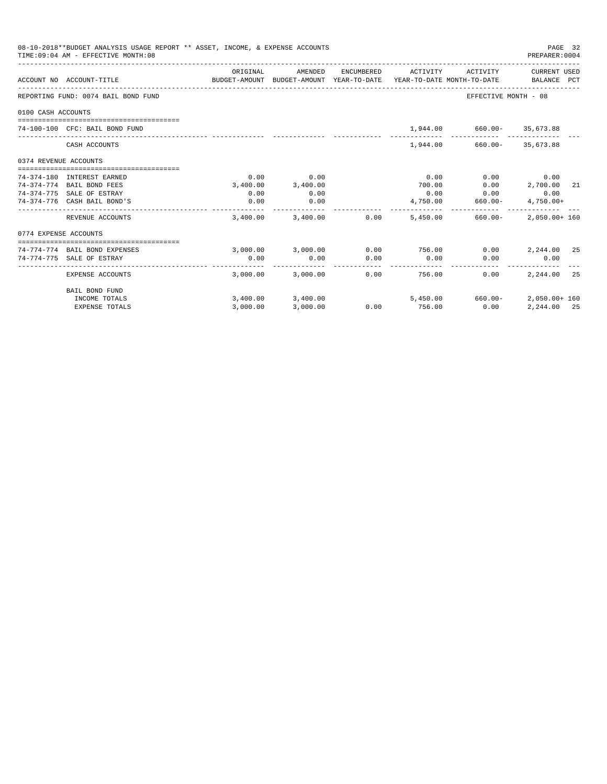|                       | 08-10-2018**BUDGET ANALYSIS USAGE REPORT ** ASSET, INCOME, & EXPENSE ACCOUNTS<br>TIME: 09:04 AM - EFFECTIVE MONTH: 08 |          |                                                                                |            |               |                             | PAGE 32<br>PREPARER: 0004   |    |
|-----------------------|-----------------------------------------------------------------------------------------------------------------------|----------|--------------------------------------------------------------------------------|------------|---------------|-----------------------------|-----------------------------|----|
|                       | ACCOUNT NO ACCOUNT-TITLE                                                                                              | ORIGINAL | AMENDED<br>BUDGET-AMOUNT BUDGET-AMOUNT YEAR-TO-DATE YEAR-TO-DATE MONTH-TO-DATE | ENCUMBERED | ACTIVITY      | ACTIVITY                    | CURRENT USED<br>BALANCE PCT |    |
|                       | REPORTING FUND: 0074 BAIL BOND FUND                                                                                   |          |                                                                                |            |               | EFFECTIVE MONTH - 08        |                             |    |
| 0100 CASH ACCOUNTS    |                                                                                                                       |          |                                                                                |            |               |                             |                             |    |
|                       | 74-100-100 CFC: BAIL BOND FUND                                                                                        |          |                                                                                |            |               | 1,944.00 660.00- 35,673.88  |                             |    |
|                       | CASH ACCOUNTS                                                                                                         |          |                                                                                |            |               | 1,944.00 660.00 - 35,673.88 |                             |    |
| 0374 REVENUE ACCOUNTS |                                                                                                                       |          |                                                                                |            |               |                             |                             |    |
|                       | 74-374-180 INTEREST EARNED                                                                                            | 0.00     | 0.00                                                                           |            | 0.00          | 0.00                        | 0.00                        |    |
|                       | 74-374-774 BAIL BOND FEES                                                                                             | 3,400.00 | 3,400.00                                                                       |            | 700.00        | 0.00                        | 2,700.00                    | 21 |
|                       | 74-374-775 SALE OF ESTRAY                                                                                             | 0.00     | 0.00                                                                           |            | 0.00          | 0.00                        | 0.00                        |    |
|                       | 74-374-776 CASH BAIL BOND'S                                                                                           | 0.00     | 0.00<br>.                                                                      |            |               | 4,750.00 660.00-            | $4,750.00+$                 |    |
|                       | REVENUE ACCOUNTS                                                                                                      |          | 3,400.00 3,400.00                                                              | 0.00       |               | 5,450.00 660.00-            | $2.050.00 + 160$            |    |
| 0774 EXPENSE ACCOUNTS |                                                                                                                       |          |                                                                                |            |               |                             |                             |    |
|                       | 74-774-774 BAIL BOND EXPENSES                                                                                         |          | 3,000.00 3,000.00                                                              |            | $0.00$ 756.00 |                             | $0.00$ 2, 244.00 25         |    |
|                       | 74-774-775 SALE OF ESTRAY                                                                                             | 0.00     | 0.00                                                                           | 0.00       | 0.00          | 0.00                        | 0.00                        |    |
|                       | EXPENSE ACCOUNTS                                                                                                      |          | 3,000.00 3,000.00                                                              | 0.00       | 756.00        | 0.00                        | 2, 244, 00 25               |    |
|                       | <b>BAIL BOND FUND</b>                                                                                                 |          |                                                                                |            |               |                             |                             |    |
|                       | INCOME TOTALS                                                                                                         |          | 3,400.00 3,400.00                                                              |            |               | 5,450.00 660.00-            | 2,050.00+ 160               |    |
|                       | <b>EXPENSE TOTALS</b>                                                                                                 | 3,000.00 | 3,000.00                                                                       | 0.00       | 756.00        | 0.00                        | 2,244.00 25                 |    |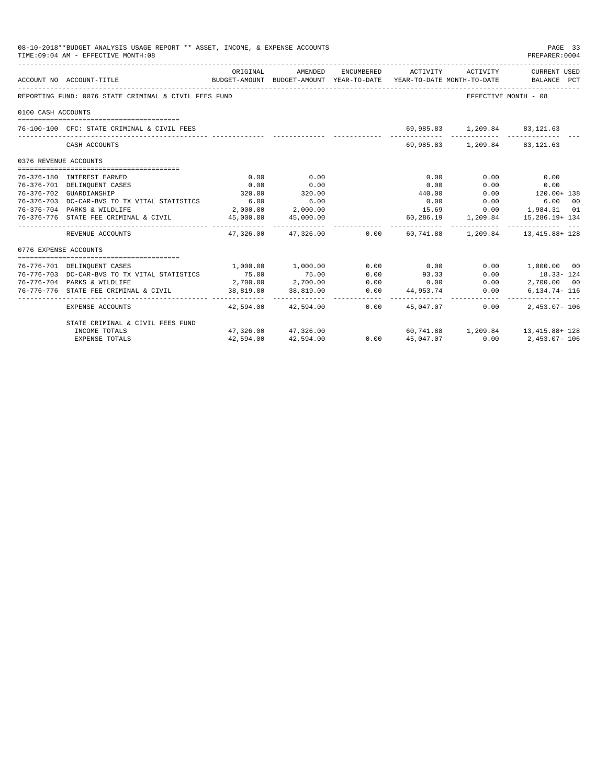|                       | 08-10-2018**BUDGET ANALYSIS USAGE REPORT ** ASSET, INCOME, & EXPENSE ACCOUNTS<br>TIME: 09:04 AM - EFFECTIVE MONTH: 08 |           |                                   |      |             |                              | PAGE 33<br>PREPARER: 0004                                                                                                    |
|-----------------------|-----------------------------------------------------------------------------------------------------------------------|-----------|-----------------------------------|------|-------------|------------------------------|------------------------------------------------------------------------------------------------------------------------------|
|                       | ACCOUNT NO ACCOUNT-TITLE                                                                                              | ORIGINAL  | AMENDED                           |      |             |                              | ENCUMBERED ACTIVITY ACTIVITY CURRENT USED<br>BUDGET-AMOUNT BUDGET-AMOUNT YEAR-TO-DATE YEAR-TO-DATE MONTH-TO-DATE BALANCE PCT |
|                       | REPORTING FUND: 0076 STATE CRIMINAL & CIVIL FEES FUND                                                                 |           |                                   |      |             | EFFECTIVE MONTH - 08         |                                                                                                                              |
| 0100 CASH ACCOUNTS    |                                                                                                                       |           |                                   |      |             |                              |                                                                                                                              |
|                       | 76-100-100 CFC: STATE CRIMINAL & CIVIL FEES                                                                           |           |                                   |      |             | 69,985.83 1,209.84 83,121.63 |                                                                                                                              |
|                       | CASH ACCOUNTS                                                                                                         |           |                                   |      |             | 69,985.83 1,209.84 83,121.63 |                                                                                                                              |
| 0376 REVENUE ACCOUNTS |                                                                                                                       |           |                                   |      |             |                              |                                                                                                                              |
|                       | 76-376-180 INTEREST EARNED                                                                                            | 0.00      | 0.00                              |      | 0.00        | 0.00                         | 0.00                                                                                                                         |
|                       | 76-376-701 DELINQUENT CASES                                                                                           | 0.00      | 0.00                              |      | 0.00        | 0.00                         | 0.00                                                                                                                         |
|                       | 76-376-702 GUARDIANSHIP                                                                                               | 320.00    | 320.00                            |      | 440.00      |                              | $0.00$ 120.00+ 138                                                                                                           |
|                       | 76-376-703 DC-CAR-BVS TO TX VITAL STATISTICS                                                                          | 6.00      | 6.00                              |      | 0.00        | 0.00                         | 6.00 00                                                                                                                      |
|                       | 76-376-704 PARKS & WILDLIFE                                                                                           |           | 2,000.00 2,000.00                 |      | 15.69       |                              | $0.00$ 1,984.31 01                                                                                                           |
|                       | 76-376-776 STATE FEE CRIMINAL & CIVIL                                                                                 |           | 45,000.00 45,000.00               |      |             |                              | $60, 286.19$ 1, 209.84 15, 286.19+ 134                                                                                       |
|                       | REVENUE ACCOUNTS                                                                                                      |           |                                   |      |             |                              | $47,326.00$ $47,326.00$ $0.00$ $60,741.88$ $1,209.84$ $13,415.88$ $128$                                                      |
| 0776 EXPENSE ACCOUNTS |                                                                                                                       |           |                                   |      |             |                              |                                                                                                                              |
|                       | 76-776-701 DELINQUENT CASES                                                                                           |           | 1,000.00 1,000.00                 |      | $0.00$ 0.00 |                              | $0.00$ 1,000.00 00                                                                                                           |
|                       | 76-776-703 DC-CAR-BVS TO TX VITAL STATISTICS                                                                          | 75.00     | 75.00                             | 0.00 | 93.33       | 0.00                         | 18.33-124                                                                                                                    |
|                       | 76-776-704 PARKS & WILDLIFE                                                                                           |           | $2,700.00$ $2,700.00$             | 0.00 |             | 0.00                         | 2,700.00 00                                                                                                                  |
|                       | 76-776-776 STATE FEE CRIMINAL & CIVIL                                                                                 |           | $2,700.00$<br>38,819.00 38,819.00 |      |             | 0.00                         | 6,134.74- 116                                                                                                                |
|                       | EXPENSE ACCOUNTS                                                                                                      |           | 42,594.00 42,594.00               | 0.00 | 45,047,07   | 0.00                         | $2.453.07 - 106$                                                                                                             |
|                       | STATE CRIMINAL & CIVIL FEES FUND                                                                                      |           |                                   |      |             |                              |                                                                                                                              |
|                       | INCOME TOTALS                                                                                                         |           | 47,326.00 47,326.00               | 0.00 |             |                              | $60, 741.88$ 1, 209.84 13, 415.88+ 128                                                                                       |
|                       | <b>EXPENSE TOTALS</b>                                                                                                 | 42,594.00 | 42,594.00                         |      | 45,047.07   |                              | $0.00$ $2,453.07 - 106$                                                                                                      |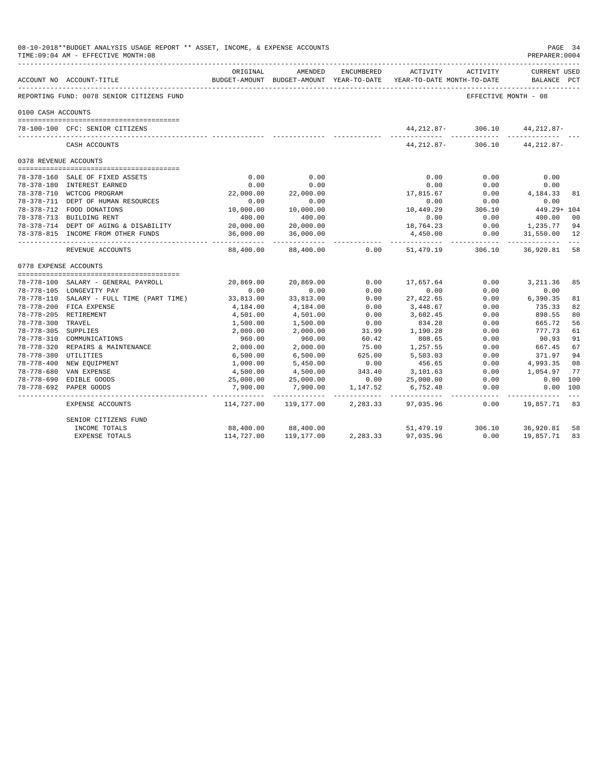|                       | 08-10-2018**BUDGET ANALYSIS USAGE REPORT ** ASSET, INCOME, & EXPENSE ACCOUNTS<br>TIME: 09:04 AM - EFFECTIVE MONTH: 08 |                             |                                      |            |                                                                                 |                      | PAGE 34<br>PREPARER: 0004          |    |
|-----------------------|-----------------------------------------------------------------------------------------------------------------------|-----------------------------|--------------------------------------|------------|---------------------------------------------------------------------------------|----------------------|------------------------------------|----|
|                       | ---------------------------<br>ACCOUNT NO ACCOUNT-TITLE                                                               | ORIGINAL                    | AMENDED                              | ENCUMBERED | ACTIVITY<br>BUDGET-AMOUNT BUDGET-AMOUNT YEAR-TO-DATE YEAR-TO-DATE MONTH-TO-DATE | ACTIVITY             | <b>CURRENT USED</b><br>BALANCE PCT |    |
|                       | REPORTING FUND: 0078 SENIOR CITIZENS FUND                                                                             |                             |                                      |            |                                                                                 | EFFECTIVE MONTH - 08 |                                    |    |
| 0100 CASH ACCOUNTS    |                                                                                                                       |                             |                                      |            |                                                                                 |                      |                                    |    |
|                       |                                                                                                                       |                             |                                      |            |                                                                                 |                      |                                    |    |
|                       | 78-100-100 CFC: SENIOR CITIZENS                                                                                       |                             |                                      |            | 44, 212.87-                                                                     | 306.10               | 44, 212.87-                        |    |
|                       | CASH ACCOUNTS                                                                                                         |                             |                                      |            | 44,212.87-                                                                      | 306.10               | 44, 212.87-                        |    |
| 0378 REVENUE ACCOUNTS |                                                                                                                       |                             |                                      |            |                                                                                 |                      |                                    |    |
|                       |                                                                                                                       |                             |                                      |            |                                                                                 |                      |                                    |    |
|                       | 78-378-160 SALE OF FIXED ASSETS                                                                                       | 0.00                        | 0.00                                 |            | 0.00                                                                            | 0.00                 | 0.00                               |    |
|                       | 78-378-180 INTEREST EARNED                                                                                            | 0.00                        | 0.00                                 |            | 0.00                                                                            | 0.00                 | 0.00                               |    |
|                       | 78-378-710 WCTCOG PROGRAM                                                                                             | 22,000.00                   | 22,000.00                            |            | 17,815.67                                                                       | 0.00                 | 4,184.33                           | 81 |
|                       | 78-378-711 DEPT OF HUMAN RESOURCES                                                                                    | 0.00                        | 0.00                                 |            | 0.00                                                                            | 0.00                 | 0.00                               |    |
|                       | 78-378-712 FOOD DONATIONS                                                                                             | 10,000.00                   | 10,000.00                            |            | 10,449.29                                                                       | 306.10               | 449.29+ 104                        |    |
|                       | 78-378-713 BUILDING RENT                                                                                              | 400.00                      | 400.00                               |            | 0.00                                                                            | 0.00                 | 400.00                             | 00 |
|                       | 78-378-714 DEPT OF AGING & DISABILITY                                                                                 | 20,000.00                   | 20,000.00                            |            | 18,764.23                                                                       | 0.00                 | 1,235.77                           | 94 |
|                       | 78-378-815 INCOME FROM OTHER FUNDS                                                                                    | 36,000.00<br>----------     | 36,000.00<br>. _ _ _ _ _ _ _ _ _ _ _ |            | 4,450.00                                                                        | 0.00                 | 31,550.00                          | 12 |
|                       | REVENUE ACCOUNTS                                                                                                      | 88,400.00                   | 88,400.00                            | 0.00       | 51,479.19                                                                       | 306.10               | 36,920.81                          | 58 |
| 0778 EXPENSE ACCOUNTS |                                                                                                                       |                             |                                      |            |                                                                                 |                      |                                    |    |
|                       |                                                                                                                       |                             |                                      |            |                                                                                 |                      |                                    |    |
|                       | 78-778-100 SALARY - GENERAL PAYROLL                                                                                   | 20,869.00                   | 20,869.00                            | 0.00       | 17,657.64                                                                       | 0.00                 | 3,211.36                           | 85 |
|                       | 78-778-105 LONGEVITY PAY                                                                                              | 0.00                        | 0.00                                 | 0.00       | 0.00                                                                            | 0.00                 | 0.00                               |    |
|                       | 78-778-110 SALARY - FULL TIME (PART TIME)                                                                             | 33,813.00                   | 33,813.00                            | 0.00       | 27,422.65                                                                       | 0.00                 | 6,390.35                           | 81 |
|                       | 78-778-200 FICA EXPENSE                                                                                               | 4,184.00                    | 4,184.00                             | 0.00       | 3,448.67                                                                        | 0.00                 | 735.33                             | 82 |
|                       | 78-778-205 RETIREMENT                                                                                                 | 4,501.00                    | 4,501.00                             | 0.00       | 3,602.45                                                                        | 0.00                 | 898.55                             | 80 |
| 78-778-300 TRAVEL     |                                                                                                                       | 1,500.00                    | 1,500.00                             | 0.00       | 834.28                                                                          | 0.00                 | 665.72                             | 56 |
| 78-778-305 SUPPLIES   |                                                                                                                       | 2,000.00                    | 2,000.00                             | 31.99      | 1,190.28                                                                        | 0.00                 | 777.73                             | 61 |
|                       | 78-778-310 COMMUNICATIONS                                                                                             | 960.00                      | 960.00                               | 60.42      | 808.65                                                                          | 0.00                 | 90.93                              | 91 |
|                       | 78-778-320 REPAIRS & MAINTENANCE                                                                                      | 2,000.00                    | 2,000.00                             | 75.00      | 1,257.55                                                                        | 0.00                 | 667.45                             | 67 |
| 78-778-380 UTILITIES  |                                                                                                                       | 6,500.00                    | 6,500.00                             | 625.00     | 5,503.03                                                                        | 0.00                 | 371.97                             | 94 |
|                       | 78-778-400 NEW EQUIPMENT                                                                                              | 1,000.00                    | 5,450.00                             | 0.00       | 456.65                                                                          | 0.00                 | 4,993.35                           | 08 |
|                       | 78-778-680 VAN EXPENSE                                                                                                | 4,500.00                    | 4,500.00                             | 343.40     | 3,101.63                                                                        | 0.00                 | 1,054.97                           | 77 |
|                       | 78-778-690 EDIBLE GOODS                                                                                               | 25,000.00                   | 25,000.00                            | 0.00       | 25,000.00                                                                       | 0.00                 | $0.00$ 100                         |    |
|                       | 78-778-692 PAPER GOODS                                                                                                | 7,900.00<br>_ _____________ | 7,900.00                             | 1,147.52   | 6,752.48<br>----------- -                                                       | 0.00<br>__________   | 0.00 100                           |    |
|                       | EXPENSE ACCOUNTS                                                                                                      | 114,727.00                  | 119,177.00                           | 2,283.33   | 97,035.96                                                                       | 0.00                 | 19,857.71                          | 83 |
|                       | SENIOR CITIZENS FUND                                                                                                  |                             |                                      |            |                                                                                 |                      |                                    |    |
|                       | INCOME TOTALS                                                                                                         | 88,400.00                   | 88,400.00                            |            | 51,479.19                                                                       | 306.10               | 36,920.81                          | 58 |
|                       | <b>EXPENSE TOTALS</b>                                                                                                 | 114,727.00                  | 119,177.00                           | 2,283.33   | 97,035.96                                                                       | 0.00                 | 19,857.71                          | 83 |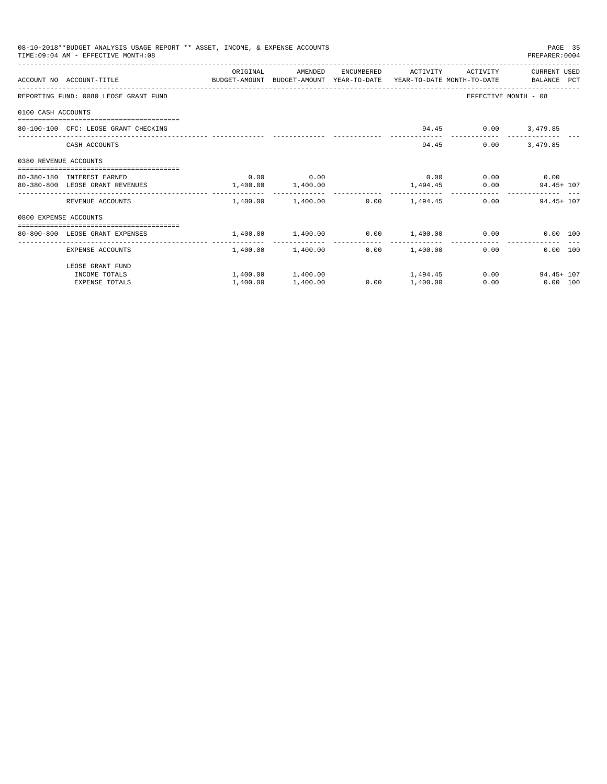|                       | 08-10-2018**BUDGET ANALYSIS USAGE REPORT ** ASSET, INCOME, & EXPENSE ACCOUNTS<br>TIME: 09:04 AM - EFFECTIVE MONTH: 08 |                       |                                                |      |                     |                             | PAGE 35<br>PREPARER: 0004   |  |
|-----------------------|-----------------------------------------------------------------------------------------------------------------------|-----------------------|------------------------------------------------|------|---------------------|-----------------------------|-----------------------------|--|
|                       |                                                                                                                       | ORIGINAL              | AMENDED                                        |      | ENCUMBERED ACTIVITY | ACTIVITY                    | CURRENT USED                |  |
|                       | ACCOUNT NO ACCOUNT-TITLE CONTROL SUDGET-AMOUNT BUDGET-AMOUNT YEAR-TO-DATE YEAR-TO-DATE MONTH-TO-DATE BALANCE PCT      |                       |                                                |      |                     |                             |                             |  |
|                       | REPORTING FUND: 0080 LEOSE GRANT FUND                                                                                 |                       |                                                |      |                     |                             | EFFECTIVE MONTH - 08        |  |
| 0100 CASH ACCOUNTS    |                                                                                                                       |                       |                                                |      |                     |                             |                             |  |
|                       | 80-100-100 CFC: LEOSE GRANT CHECKING                                                                                  |                       |                                                |      |                     | 94.45 0.00 3,479.85         |                             |  |
|                       | CASH ACCOUNTS                                                                                                         |                       |                                                |      |                     | 94.45<br>0.00               | 3,479.85                    |  |
| 0380 REVENUE ACCOUNTS |                                                                                                                       |                       |                                                |      |                     |                             |                             |  |
|                       | 80-380-180 INTEREST EARNED                                                                                            |                       | $0.00$ 0.00                                    |      |                     | $0.00$ $0.00$ $0.00$ $0.00$ |                             |  |
|                       | 80-380-800 LEOSE GRANT REVENUES                                                                                       | $1,400.00$ $1,400.00$ |                                                |      |                     |                             | $1,494.45$ 0.00 94.45 + 107 |  |
|                       | REVENUE ACCOUNTS                                                                                                      |                       | $1,400.00$ $1,400.00$ $0.00$ $1,494.45$        |      |                     |                             | $0.00$ 94.45+107            |  |
| 0800 EXPENSE ACCOUNTS |                                                                                                                       |                       |                                                |      |                     |                             |                             |  |
|                       | :==================================<br>80-800-800 LEOSE GRANT EXPENSES                                                |                       | $1.400.00$ $1.400.00$ $0.00$ $1.400.00$ $0.00$ |      |                     |                             | 0.00 100                    |  |
|                       | EXPENSE ACCOUNTS                                                                                                      |                       | 1,400.00 1,400.00                              |      | $0.00$ 1,400.00     |                             | 0.00<br>0.00 100            |  |
|                       | LEOSE GRANT FUND                                                                                                      |                       |                                                |      |                     |                             |                             |  |
|                       | INCOME TOTALS                                                                                                         |                       | $1,400.00$ $1,400.00$ $1,494.45$               |      |                     |                             | 0.00<br>$94.45 + 107$       |  |
|                       | <b>EXPENSE TOTALS</b>                                                                                                 | 1,400.00              | 1,400.00                                       | 0.00 | 1,400.00            | 0.00                        | $0.00$ 100                  |  |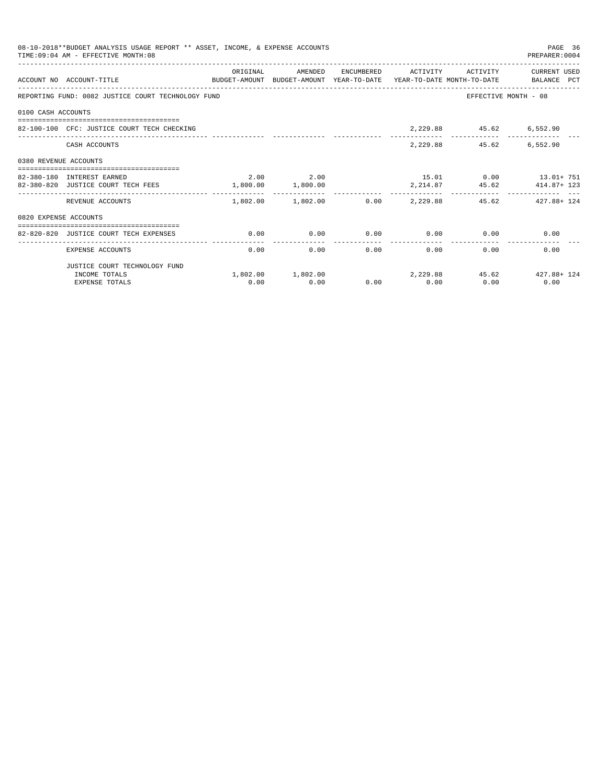| 08-10-2018**BUDGET ANALYSIS USAGE REPORT ** ASSET, INCOME, & EXPENSE ACCOUNTS<br>PAGE 36<br>TIME: 09:04 AM - EFFECTIVE MONTH: 08<br>PREPARER: 0004 |                                                                                                                 |                       |           |               |                |                                    |                                                                |  |  |
|----------------------------------------------------------------------------------------------------------------------------------------------------|-----------------------------------------------------------------------------------------------------------------|-----------------------|-----------|---------------|----------------|------------------------------------|----------------------------------------------------------------|--|--|
|                                                                                                                                                    | ACCOUNT NO ACCOUNT-TITLE CONTROL PROTOCOLLY BUDGET-AMOUNT BUDGET-AMOUNT YEAR-TO-DATE YEAR-TO-DATE MONTH-TO-DATE | ORIGINAL              | AMENDED   |               |                |                                    | ENCUMBERED ACTIVITY ACTIVITY CURRENT USED                      |  |  |
|                                                                                                                                                    | REPORTING FUND: 0082 JUSTICE COURT TECHNOLOGY FUND                                                              |                       |           |               |                |                                    | EFFECTIVE MONTH - 08                                           |  |  |
| 0100 CASH ACCOUNTS                                                                                                                                 |                                                                                                                 |                       |           |               |                |                                    |                                                                |  |  |
|                                                                                                                                                    | 82-100-100 CFC: JUSTICE COURT TECH CHECKING                                                                     |                       |           |               |                | 2,229.88 45.62 6,552.90            |                                                                |  |  |
|                                                                                                                                                    | CASH ACCOUNTS                                                                                                   |                       |           |               |                | 2,229.88 45.62 6,552.90            |                                                                |  |  |
| 0380 REVENUE ACCOUNTS                                                                                                                              |                                                                                                                 |                       |           |               |                |                                    |                                                                |  |  |
|                                                                                                                                                    |                                                                                                                 |                       |           |               |                |                                    |                                                                |  |  |
|                                                                                                                                                    | 82-380-180 INTEREST EARNED                                                                                      |                       | 2.00 2.00 |               |                |                                    | 15.01 0.00 13.01+ 751                                          |  |  |
|                                                                                                                                                    | 82-380-820 JUSTICE COURT TECH FEES                                                                              | $1,800.00$ $1,800.00$ |           |               |                |                                    | $2, 214.87$ $45.62$ $414.87 + 123$                             |  |  |
|                                                                                                                                                    | REVENUE ACCOUNTS                                                                                                |                       |           |               |                |                                    | $1,802.00$ $1,802.00$ $0.00$ $2,229.88$ $45.62$ $427.88 + 124$ |  |  |
| 0820 EXPENSE ACCOUNTS                                                                                                                              |                                                                                                                 |                       |           |               |                |                                    |                                                                |  |  |
|                                                                                                                                                    |                                                                                                                 |                       |           |               |                |                                    |                                                                |  |  |
|                                                                                                                                                    | 82-820-820 JUSTICE COURT TECH EXPENSES                                                                          | 0.00                  | 0.00      | ------------- | -------------- | $0.00$ $0.00$ $0.00$ $0.00$ $0.00$ |                                                                |  |  |
|                                                                                                                                                    | EXPENSE ACCOUNTS                                                                                                | 0.00                  | 0.00      |               | 0.00           | 0.00                               | 0.00<br>$0.00$ and $0.00$                                      |  |  |
|                                                                                                                                                    | JUSTICE COURT TECHNOLOGY FUND                                                                                   |                       |           |               |                |                                    |                                                                |  |  |
|                                                                                                                                                    | INCOME TOTALS                                                                                                   |                       |           |               |                |                                    | $1,802.00$ $1,802.00$ $2,229.88$ $45.62$ $427.88 + 124$        |  |  |
|                                                                                                                                                    | <b>EXPENSE TOTALS</b>                                                                                           | 0.00                  | 0.00      |               | $0.00$ 0.00    | 0.00                               | 0.00                                                           |  |  |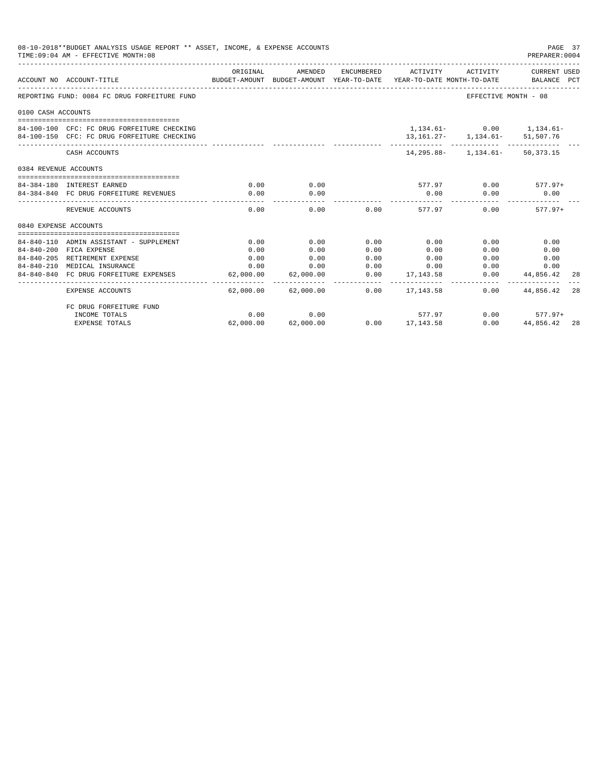| 08-10-2018**BUDGET ANALYSIS USAGE REPORT ** ASSET, INCOME, & EXPENSE ACCOUNTS<br>TIME: 09:04 AM - EFFECTIVE MONTH: 08 |                                                                      |              |               |               |                                                                                            |                                        |                             | PAGE 37<br>PREPARER: 0004 |
|-----------------------------------------------------------------------------------------------------------------------|----------------------------------------------------------------------|--------------|---------------|---------------|--------------------------------------------------------------------------------------------|----------------------------------------|-----------------------------|---------------------------|
|                                                                                                                       | ACCOUNT NO ACCOUNT-TITLE                                             | ORIGINAL     | AMENDED       |               | ENCUMBERED ACTIVITY<br>BUDGET-AMOUNT BUDGET-AMOUNT YEAR-TO-DATE YEAR-TO-DATE MONTH-TO-DATE | ACTIVITY                               | CURRENT USED<br>BALANCE PCT |                           |
|                                                                                                                       | REPORTING FUND: 0084 FC DRUG FORFEITURE FUND                         |              |               |               |                                                                                            | EFFECTIVE MONTH - 08                   |                             |                           |
| 0100 CASH ACCOUNTS                                                                                                    |                                                                      |              |               |               |                                                                                            |                                        |                             |                           |
|                                                                                                                       | 84-100-100 CFC: FC DRUG FORFEITURE CHECKING                          |              |               |               |                                                                                            | 1,134.61- 0.00 1,134.61-               |                             |                           |
|                                                                                                                       | 84-100-150 CFC: FC DRUG FORFEITURE CHECKING                          |              |               |               |                                                                                            | 13, 161. 27 - 1, 134. 61 - 51, 507. 76 |                             |                           |
|                                                                                                                       | CASH ACCOUNTS                                                        |              |               |               |                                                                                            | 14, 295.88 - 1, 134.61 - 50, 373.15    |                             |                           |
| 0384 REVENUE ACCOUNTS                                                                                                 |                                                                      |              |               |               |                                                                                            |                                        |                             |                           |
|                                                                                                                       |                                                                      |              |               |               |                                                                                            |                                        |                             |                           |
|                                                                                                                       | 84-384-180 INTEREST EARNED<br>84-384-840 FC DRUG FORFEITURE REVENUES | 0.00<br>0.00 | 0.00<br>0.00  |               | $577.97$ 0.00 577.97+<br>0.00                                                              | 0.00                                   | 0.00                        |                           |
|                                                                                                                       |                                                                      |              |               |               |                                                                                            |                                        |                             |                           |
|                                                                                                                       | REVENUE ACCOUNTS                                                     | 0.00         | 0.00          |               | $0.00$ 577.97                                                                              | 0.00                                   | $577.97+$                   |                           |
| 0840 EXPENSE ACCOUNTS                                                                                                 |                                                                      |              |               |               |                                                                                            |                                        |                             |                           |
|                                                                                                                       | 84-840-110 ADMIN ASSISTANT - SUPPLEMENT                              | 0.00         | 0.00          | 0.00          | 0.00                                                                                       | 0.00                                   | 0.00                        |                           |
|                                                                                                                       | 84-840-200 FICA EXPENSE                                              | 0.00         | 0.00          | 0.00          | 0.00                                                                                       | 0.00                                   | 0.00                        |                           |
|                                                                                                                       | 84-840-205 RETIREMENT EXPENSE                                        | 0.00         | 0.00          | 0.00          | 0.00                                                                                       | 0.00                                   | 0.00                        |                           |
|                                                                                                                       | 84-840-210 MEDICAL INSURANCE                                         | 0.00         | 0.00          | 0.00          | 0.00                                                                                       | 0.00                                   | 0.00                        |                           |
|                                                                                                                       | 84-840-840 FC DRUG FORFEITURE EXPENSES                               | 62,000.00    | 62,000.00     | 0.00          | 17, 143, 58                                                                                | 0.00                                   | 44,856.42                   | 28                        |
|                                                                                                                       | <b>EXPENSE ACCOUNTS</b>                                              | --------     | ------------- | ----------- - | -------------<br>$62.000.00$ $62.000.00$ $0.00$ $17.143.58$                                | 0.00                                   | 44,856.42                   | 28                        |
|                                                                                                                       | FC DRUG FORFEITURE FUND                                              |              |               |               |                                                                                            |                                        |                             |                           |
|                                                                                                                       | INCOME TOTALS                                                        | 0.00         | 0.00          |               | 577.97                                                                                     | 0.00                                   | 577.97+                     |                           |
|                                                                                                                       | <b>EXPENSE TOTALS</b>                                                | 62,000.00    | 62,000.00     |               | $0.00$ $17,143.58$                                                                         | 0.00                                   | 44,856.42 28                |                           |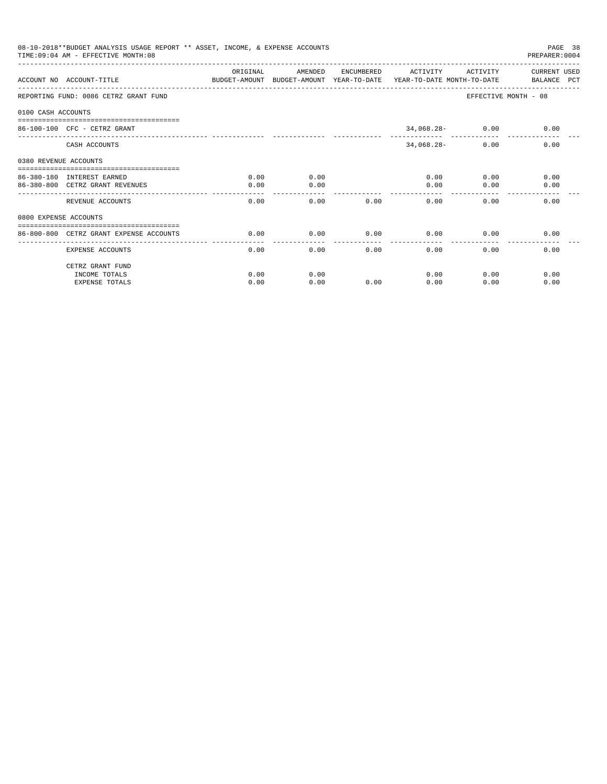|                       | 08-10-2018**BUDGET ANALYSIS USAGE REPORT ** ASSET, INCOME, & EXPENSE ACCOUNTS<br>TIME: 09:04 AM - EFFECTIVE MONTH: 08 |                        |         |      |                     |                    | PAGE 38<br>PREPARER: 0004                                                           |
|-----------------------|-----------------------------------------------------------------------------------------------------------------------|------------------------|---------|------|---------------------|--------------------|-------------------------------------------------------------------------------------|
|                       | ACCOUNT NO ACCOUNT-TITLE                                                                                              | ORIGINAL               | AMENDED |      | ENCUMBERED ACTIVITY | ACTIVITY           | CURRENT USED                                                                        |
|                       |                                                                                                                       |                        |         |      |                     |                    | BUDGET-AMOUNT BUDGET-AMOUNT YEAR-TO-DATE YEAR-TO-DATE MONTH-TO-DATE     BALANCE PCT |
|                       | REPORTING FUND: 0086 CETRZ GRANT FUND                                                                                 |                        |         |      |                     |                    | EFFECTIVE MONTH - 08                                                                |
| 0100 CASH ACCOUNTS    |                                                                                                                       |                        |         |      |                     |                    |                                                                                     |
|                       | $86 - 100 - 100$ CFC - CETRZ GRANT                                                                                    |                        |         |      |                     | $34,068.28 - 0.00$ | 0.00                                                                                |
|                       |                                                                                                                       |                        |         |      |                     |                    |                                                                                     |
|                       | CASH ACCOUNTS                                                                                                         |                        |         |      | $34,068.28-$        | 0.00               | 0.00                                                                                |
| 0380 REVENUE ACCOUNTS |                                                                                                                       |                        |         |      |                     |                    |                                                                                     |
|                       | 86-380-180 INTEREST EARNED                                                                                            | 0.00                   | 0.00    |      | 0.00                |                    | 0.00<br>0.00                                                                        |
|                       | 86-380-800 CETRZ GRANT REVENUES                                                                                       | 0.00                   | 0.00    |      | 0.00                | 0.00               | 0.00                                                                                |
|                       | REVENUE ACCOUNTS                                                                                                      | 0.00                   | 0.00    | 0.00 | 0.00                | 0.00               | 0.00                                                                                |
| 0800 EXPENSE ACCOUNTS |                                                                                                                       |                        |         |      |                     |                    |                                                                                     |
|                       | ==============================                                                                                        |                        |         |      |                     |                    |                                                                                     |
|                       | 86-800-800 CETRZ GRANT EXPENSE ACCOUNTS                                                                               | 0.00<br>-------------- | 0.00    | 0.00 | 0.00<br>-------     | 0.00               | 0.00                                                                                |
|                       | <b>EXPENSE ACCOUNTS</b>                                                                                               | 0.00                   | 0.00    | 0.00 | 0.00                | 0.00               | 0.00                                                                                |
|                       | CETRZ GRANT FUND                                                                                                      |                        |         |      |                     |                    |                                                                                     |
|                       | INCOME TOTALS                                                                                                         | 0.00                   | 0.00    |      | 0.00                | 0.00               | 0.00                                                                                |
|                       | <b>EXPENSE TOTALS</b>                                                                                                 | 0.00                   | 0.00    | 0.00 | 0.00                | 0.00               | 0.00                                                                                |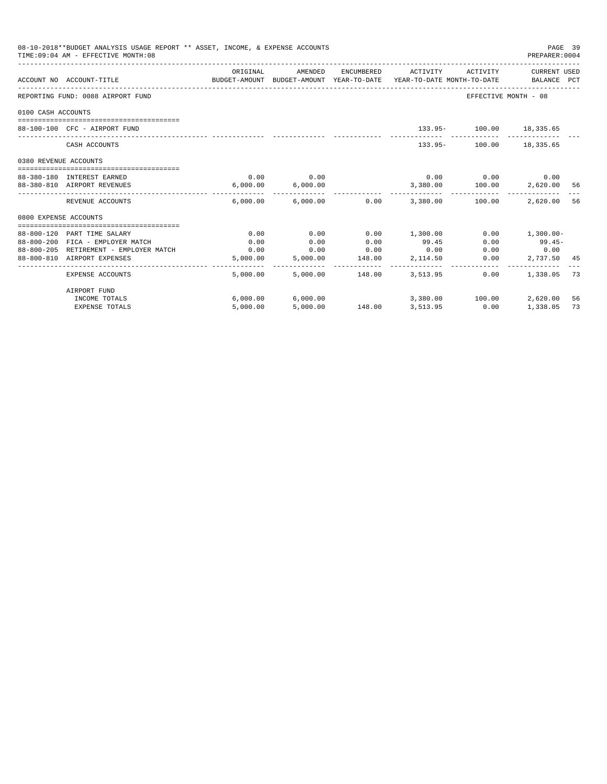| 08-10-2018**BUDGET ANALYSIS USAGE REPORT ** ASSET, INCOME, & EXPENSE ACCOUNTS<br>TIME: 09:04 AM - EFFECTIVE MONTH: 08 |                                        |                                                                                             |                          |        |                                                   |                             |                  | PAGE 39<br>PREPARER: 0004 |
|-----------------------------------------------------------------------------------------------------------------------|----------------------------------------|---------------------------------------------------------------------------------------------|--------------------------|--------|---------------------------------------------------|-----------------------------|------------------|---------------------------|
|                                                                                                                       | ACCOUNT NO ACCOUNT-TITLE               | ORIGINAL<br>BUDGET-AMOUNT BUDGET-AMOUNT YEAR-TO-DATE YEAR-TO-DATE MONTH-TO-DATE BALANCE PCT |                          |        | AMENDED ENCUMBERED ACTIVITY ACTIVITY CURRENT USED |                             |                  |                           |
|                                                                                                                       | REPORTING FUND: 0088 AIRPORT FUND      |                                                                                             |                          |        |                                                   | EFFECTIVE MONTH - 08        |                  |                           |
| 0100 CASH ACCOUNTS                                                                                                    |                                        |                                                                                             |                          |        |                                                   |                             |                  |                           |
|                                                                                                                       | 88-100-100 CFC - AIRPORT FUND          |                                                                                             |                          |        |                                                   | 133.95- 100.00 18,335.65    |                  |                           |
|                                                                                                                       | CASH ACCOUNTS                          |                                                                                             |                          |        |                                                   | 133.95- 100.00 18.335.65    |                  |                           |
| 0380 REVENUE ACCOUNTS                                                                                                 |                                        |                                                                                             |                          |        |                                                   |                             |                  |                           |
|                                                                                                                       | 88-380-180 INTEREST EARNED             | 0.00                                                                                        | 0.00                     |        |                                                   | $0.00$ $0.00$ $0.00$ $0.00$ |                  |                           |
|                                                                                                                       | 88-380-810 AIRPORT REVENUES            | 6,000.00                                                                                    | 6,000.00                 |        | 3,380.00    100.00    2,620.00    56              |                             |                  |                           |
|                                                                                                                       | REVENUE ACCOUNTS                       |                                                                                             |                          |        | $6.000.00$ $6.000.00$ $0.00$ $3.380.00$ $100.00$  |                             | 2,620.00         | 56                        |
| 0800 EXPENSE ACCOUNTS                                                                                                 |                                        |                                                                                             |                          |        |                                                   |                             |                  |                           |
|                                                                                                                       | 88-800-120 PART TIME SALARY            | 0.00                                                                                        | 0.00                     | 0.00   | 1,300.00                                          |                             | $0.00$ 1,300.00- |                           |
|                                                                                                                       | 88-800-200 FICA - EMPLOYER MATCH       | 0.00                                                                                        | 0.00                     | 0.00   | 99.45                                             | 0.00                        | $99.45-$         |                           |
|                                                                                                                       | 88-800-205 RETIREMENT - EMPLOYER MATCH | 0.00                                                                                        | 0.00                     | 0.00   | 0.00                                              |                             | $0.00$ 0.00      |                           |
|                                                                                                                       | 88-800-810 AIRPORT EXPENSES            |                                                                                             | 5,000.00 5,000.00        | 148.00 | 2,114.50                                          | 0.00                        | 2,737.50 45      |                           |
|                                                                                                                       | EXPENSE ACCOUNTS                       |                                                                                             | 5,000.00 5,000.00 148.00 |        | 3,513.95                                          | 0.00                        | 1,338.05         | -73                       |
|                                                                                                                       | AIRPORT FUND                           |                                                                                             |                          |        |                                                   |                             |                  |                           |
|                                                                                                                       | INCOME TOTALS                          |                                                                                             |                          |        | $6,000.00$ $6,000.00$ $3,380.00$ $100.00$         |                             | 2,620.00         | 56                        |
|                                                                                                                       | <b>EXPENSE TOTALS</b>                  | 5.000.00                                                                                    | 5,000.00                 |        | 148.00 3,513.95                                   | 0.00                        | 1,338.05         | 73                        |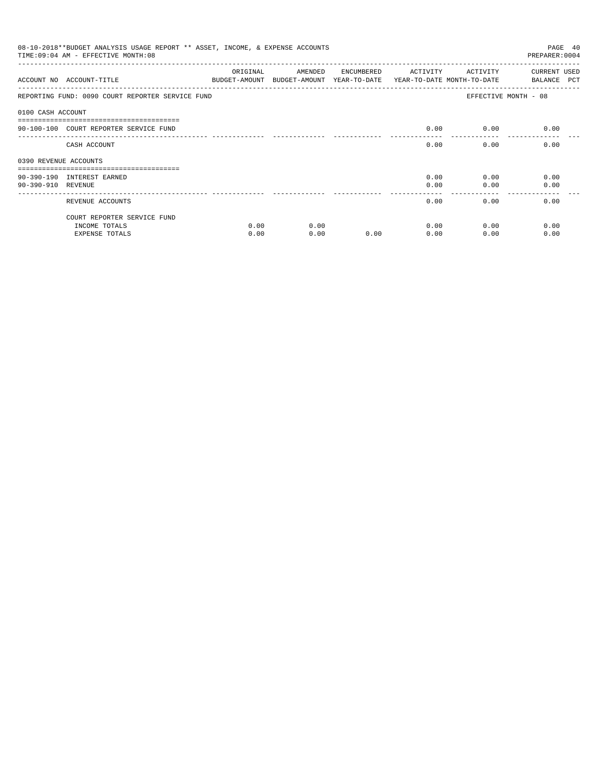| 08-10-2018**BUDGET ANALYSIS USAGE REPORT ** ASSET, INCOME, & EXPENSE ACCOUNTS<br>TIME: 09:04 AM - EFFECTIVE MONTH: 08<br>PREPARER: 0004 |                                                  |          |                                                                                |            |          |          |                             |  |
|-----------------------------------------------------------------------------------------------------------------------------------------|--------------------------------------------------|----------|--------------------------------------------------------------------------------|------------|----------|----------|-----------------------------|--|
|                                                                                                                                         | ACCOUNT NO ACCOUNT-TITLE                         | ORIGINAL | AMENDED<br>BUDGET-AMOUNT BUDGET-AMOUNT YEAR-TO-DATE YEAR-TO-DATE MONTH-TO-DATE | ENCUMBERED | ACTIVITY | ACTIVITY | CURRENT USED<br>BALANCE PCT |  |
|                                                                                                                                         | REPORTING FUND: 0090 COURT REPORTER SERVICE FUND |          |                                                                                |            |          |          | EFFECTIVE MONTH - 08        |  |
| 0100 CASH ACCOUNT                                                                                                                       |                                                  |          |                                                                                |            |          |          |                             |  |
|                                                                                                                                         | 90-100-100 COURT REPORTER SERVICE FUND           |          |                                                                                |            | 0.00     | 0.00     | 0.00                        |  |
|                                                                                                                                         | CASH ACCOUNT                                     |          |                                                                                |            | 0.00     | 0.00     | 0.00                        |  |
| 0390 REVENUE ACCOUNTS                                                                                                                   |                                                  |          |                                                                                |            |          |          |                             |  |
|                                                                                                                                         |                                                  |          |                                                                                |            |          |          |                             |  |
|                                                                                                                                         | 90-390-190 INTEREST EARNED                       |          |                                                                                |            | 0.00     | 0.00     | 0.00                        |  |
| 90-390-910 REVENUE                                                                                                                      |                                                  |          |                                                                                |            | 0.00     | 0.00     | 0.00                        |  |
|                                                                                                                                         | REVENUE ACCOUNTS                                 |          |                                                                                |            | 0.00     | 0.00     | 0.00                        |  |
|                                                                                                                                         | COURT REPORTER SERVICE FUND                      |          |                                                                                |            |          |          |                             |  |
|                                                                                                                                         | INCOME TOTALS                                    | 0.00     | 0.00                                                                           |            | 0.00     | 0.00     | 0.00                        |  |
|                                                                                                                                         | <b>EXPENSE TOTALS</b>                            | 0.00     | 0.00                                                                           | 0.00       | 0.00     | 0.00     | 0.00                        |  |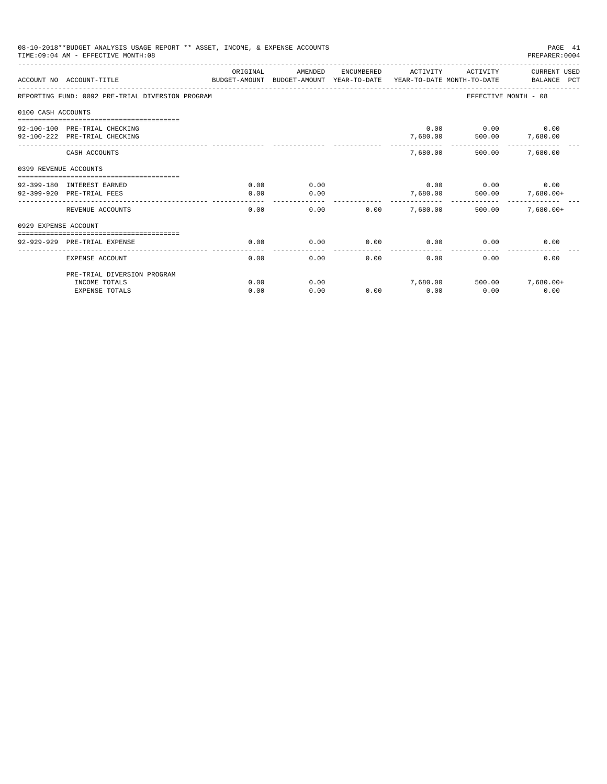| 08-10-2018**BUDGET ANALYSIS USAGE REPORT ** ASSET, INCOME, & EXPENSE ACCOUNTS<br>TIME: 09:04 AM - EFFECTIVE MONTH: 08<br>PREPARER: 0004 |                                                                                                 |          |         |            |          |                             |                             |  |
|-----------------------------------------------------------------------------------------------------------------------------------------|-------------------------------------------------------------------------------------------------|----------|---------|------------|----------|-----------------------------|-----------------------------|--|
|                                                                                                                                         | ACCOUNT NO ACCOUNT-TITLE<br>BUDGET-AMOUNT BUDGET-AMOUNT YEAR-TO-DATE YEAR-TO-DATE MONTH-TO-DATE | ORIGINAL | AMENDED | ENCUMBERED | ACTIVITY | ACTIVITY                    | CURRENT USED<br>BALANCE PCT |  |
|                                                                                                                                         | REPORTING FUND: 0092 PRE-TRIAL DIVERSION PROGRAM                                                |          |         |            |          |                             | EFFECTIVE MONTH - 08        |  |
| 0100 CASH ACCOUNTS                                                                                                                      |                                                                                                 |          |         |            |          |                             |                             |  |
|                                                                                                                                         |                                                                                                 |          |         |            |          | $0.00$ $0.00$ $0.00$        |                             |  |
|                                                                                                                                         | 92-100-100 PRE-TRIAL CHECKING                                                                   |          |         |            |          |                             |                             |  |
|                                                                                                                                         | 92-100-222 PRE-TRIAL CHECKING                                                                   |          |         |            | 7,680.00 |                             | 500.00 7,680.00             |  |
|                                                                                                                                         | CASH ACCOUNTS                                                                                   |          |         |            |          | 7,680.00 500.00             | 7,680.00                    |  |
| 0399 REVENUE ACCOUNTS                                                                                                                   |                                                                                                 |          |         |            |          |                             |                             |  |
|                                                                                                                                         | 92-399-180 INTEREST EARNED                                                                      | 0.00     | 0.00    |            |          | $0.00$ $0.00$ $0.00$ $0.00$ |                             |  |
|                                                                                                                                         | 92-399-920 PRE-TRIAL FEES                                                                       | 0.00     | 0.00    |            | 7,680.00 |                             | 500.00 7,680.00+            |  |
|                                                                                                                                         |                                                                                                 |          |         |            |          |                             |                             |  |
|                                                                                                                                         | REVENUE ACCOUNTS                                                                                | 0.00     | 0.00    | 0.00       | 7,680.00 | 500.00                      | $7,680.00+$                 |  |
| 0929 EXPENSE ACCOUNT                                                                                                                    |                                                                                                 |          |         |            |          |                             |                             |  |
|                                                                                                                                         |                                                                                                 |          |         |            |          |                             |                             |  |
|                                                                                                                                         | 92-929-929 PRE-TRIAL EXPENSE                                                                    | 0.00     | 0.00    | 0.00       | 0.00     | 0.00                        | 0.00                        |  |
|                                                                                                                                         | EXPENSE ACCOUNT                                                                                 | 0.00     | 0.00    | 0.00       | 0.00     | 0.00                        | 0.00                        |  |
|                                                                                                                                         | PRE-TRIAL DIVERSION PROGRAM                                                                     |          |         |            |          |                             |                             |  |
|                                                                                                                                         | INCOME TOTALS                                                                                   | 0.00     | 0.00    |            | 7,680.00 | 500.00                      | $7,680.00+$                 |  |
|                                                                                                                                         | <b>EXPENSE TOTALS</b>                                                                           | 0.00     | 0.00    | 0.00       | 0.00     | 0.00                        | 0.00                        |  |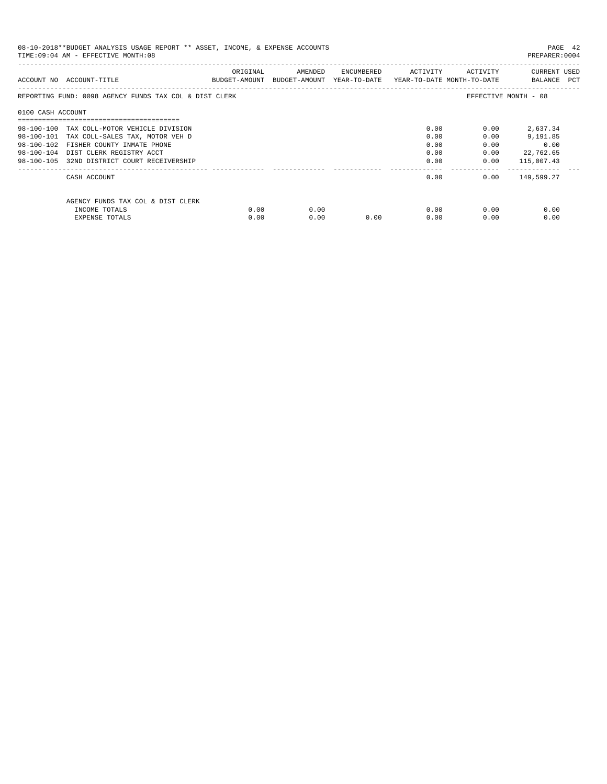| 08-10-2018**BUDGET ANALYSIS USAGE REPORT ** ASSET, INCOME, & EXPENSE ACCOUNTS<br>TIME: 09:04 AM - EFFECTIVE MONTH: 08 |                                                        |          |                                                                     |                             |      |              |                             |  |
|-----------------------------------------------------------------------------------------------------------------------|--------------------------------------------------------|----------|---------------------------------------------------------------------|-----------------------------|------|--------------|-----------------------------|--|
|                                                                                                                       | ACCOUNT NO ACCOUNT-TITLE                               | ORIGINAL | BUDGET-AMOUNT BUDGET-AMOUNT YEAR-TO-DATE YEAR-TO-DATE MONTH-TO-DATE | AMENDED ENCUMBERED ACTIVITY |      | ACTIVITY     | CURRENT USED<br>BALANCE PCT |  |
|                                                                                                                       | REPORTING FUND: 0098 AGENCY FUNDS TAX COL & DIST CLERK |          |                                                                     |                             |      |              | EFFECTIVE MONTH - 08        |  |
| 0100 CASH ACCOUNT                                                                                                     |                                                        |          |                                                                     |                             |      |              |                             |  |
|                                                                                                                       | 98-100-100 TAX COLL-MOTOR VEHICLE DIVISION             |          |                                                                     |                             | 0.00 | 0.00         | 2,637.34                    |  |
|                                                                                                                       | 98-100-101 TAX COLL-SALES TAX, MOTOR VEH D             |          |                                                                     |                             | 0.00 | 0.00         | 9,191.85                    |  |
|                                                                                                                       | 98-100-102 FISHER COUNTY INMATE PHONE                  |          |                                                                     |                             | 0.00 | 0.00         | 0.00                        |  |
|                                                                                                                       | 98-100-104 DIST CLERK REGISTRY ACCT                    |          |                                                                     |                             | 0.00 | 0.00         | 22,762.65                   |  |
|                                                                                                                       | 98-100-105 32ND DISTRICT COURT RECEIVERSHIP            |          |                                                                     |                             |      | 0.00         | $0.00$ 115,007.43           |  |
|                                                                                                                       | CASH ACCOUNT                                           |          |                                                                     |                             |      | 0.00         | $0.00$ 149,599.27           |  |
|                                                                                                                       | AGENCY FUNDS TAX COL & DIST CLERK                      |          |                                                                     |                             |      |              |                             |  |
|                                                                                                                       | INCOME TOTALS                                          | 0.00     | 0.00                                                                |                             |      | 0.00<br>0.00 | 0.00                        |  |
|                                                                                                                       | EXPENSE TOTALS                                         | 0.00     | 0.00                                                                | 0.00                        | 0.00 | 0.00         | 0.00                        |  |